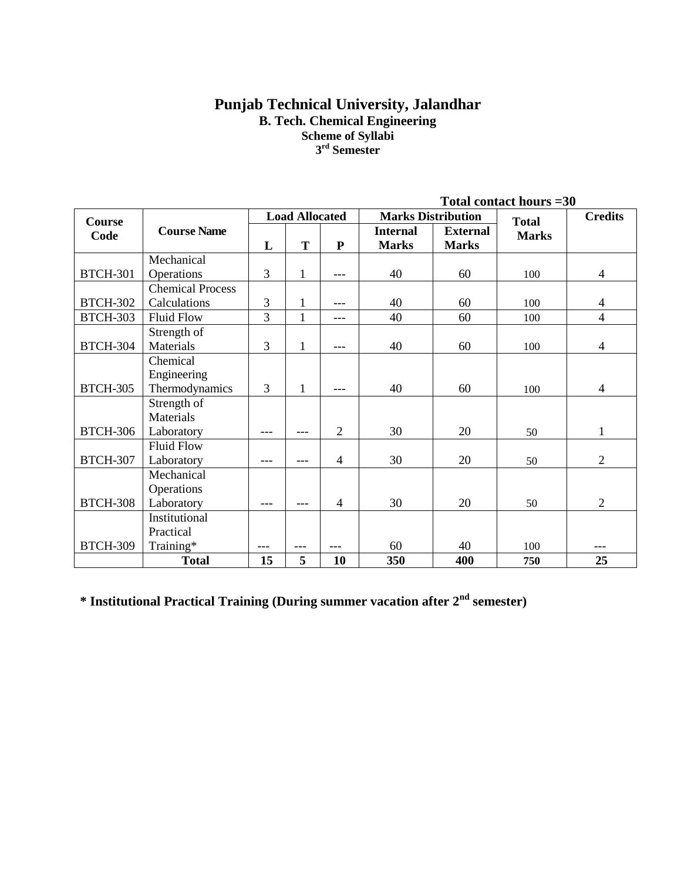# **Punjab Technical University, Jalandhar B. Tech. Chemical Engineering Scheme of Syllabi 3 rd Semester**

|                 | Total contact hours = 30                |           |                       |                |                                 |                                 |              |                |
|-----------------|-----------------------------------------|-----------|-----------------------|----------------|---------------------------------|---------------------------------|--------------|----------------|
| <b>Course</b>   |                                         |           | <b>Load Allocated</b> |                |                                 | <b>Marks Distribution</b>       | <b>Total</b> | <b>Credits</b> |
| Code            | <b>Course Name</b>                      | L         | T                     | ${\bf P}$      | <b>Internal</b><br><b>Marks</b> | <b>External</b><br><b>Marks</b> | <b>Marks</b> |                |
|                 | Mechanical                              |           |                       |                |                                 |                                 |              |                |
| <b>BTCH-301</b> | Operations                              | 3         | $\mathbf{1}$          | ---            | 40                              | 60                              | 100          | $\overline{4}$ |
| <b>BTCH-302</b> | <b>Chemical Process</b><br>Calculations | 3         | $\mathbf{1}$          | $---$          | 40                              | 60                              | 100          | $\overline{4}$ |
| <b>BTCH-303</b> | <b>Fluid Flow</b>                       | 3         | $\mathbf{1}$          | ---            | 40                              | 60                              | 100          | $\overline{4}$ |
| <b>BTCH-304</b> | Strength of<br>Materials                | 3         | $\mathbf{1}$          | $---$          | 40                              | 60                              | 100          | $\overline{4}$ |
|                 | Chemical                                |           |                       |                |                                 |                                 |              |                |
|                 | Engineering                             |           |                       |                |                                 |                                 |              |                |
| <b>BTCH-305</b> | Thermodynamics                          | 3         | $\mathbf{1}$          |                | 40                              | 60                              | 100          | $\overline{4}$ |
|                 | Strength of<br>Materials                |           |                       |                |                                 |                                 |              |                |
| <b>BTCH-306</b> | Laboratory                              | ---       | ---                   | $\overline{2}$ | 30                              | 20                              | 50           | 1              |
| <b>BTCH-307</b> | <b>Fluid Flow</b><br>Laboratory         | ---       | ---                   | 4              | 30                              | 20                              | 50           | $\overline{2}$ |
|                 | Mechanical<br>Operations                |           |                       |                |                                 |                                 |              |                |
| <b>BTCH-308</b> | Laboratory                              | ---       | ---                   | $\overline{4}$ | 30                              | 20                              | 50           | $\overline{2}$ |
|                 | Institutional                           |           |                       |                |                                 |                                 |              |                |
| <b>BTCH-309</b> | Practical                               |           |                       |                | 60                              | 40                              | 100          |                |
|                 | Training*                               | ---<br>15 | $---$<br>5            | ---<br>10      | 350                             | 400                             |              | 25             |
|                 | <b>Total</b>                            |           |                       |                |                                 |                                 | 750          |                |

**\* Institutional Practical Training (During summer vacation after 2nd semester)**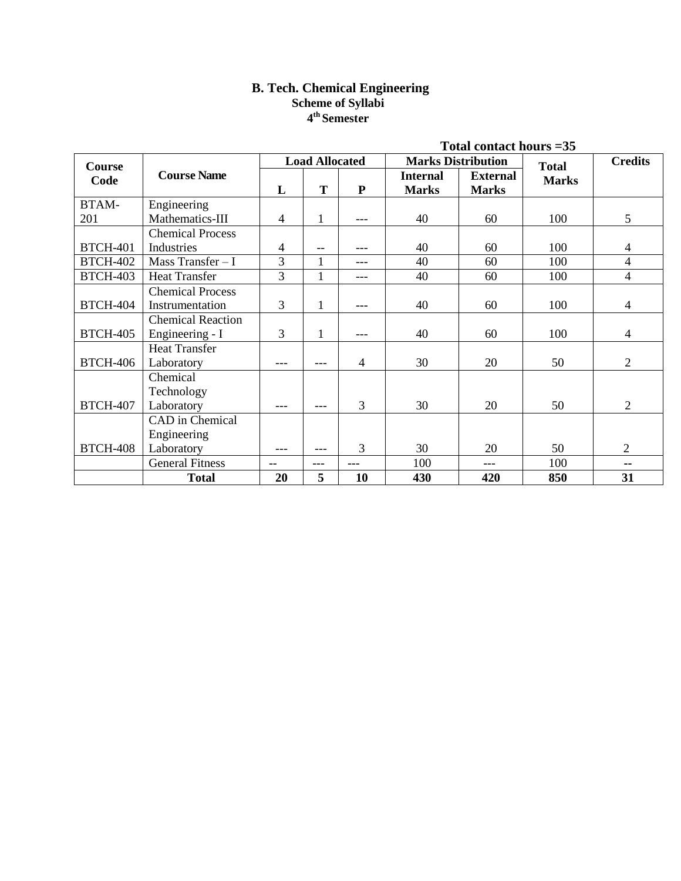# **B. Tech. Chemical Engineering Scheme of Syllabi 4 th Semester**

| Total contact hours $=35$ |                          |                |                       |                |                 |                           |              |                |
|---------------------------|--------------------------|----------------|-----------------------|----------------|-----------------|---------------------------|--------------|----------------|
| Course                    |                          |                | <b>Load Allocated</b> |                |                 | <b>Marks Distribution</b> | <b>Total</b> | <b>Credits</b> |
| Code                      | <b>Course Name</b>       |                |                       |                | <b>Internal</b> | <b>External</b>           | <b>Marks</b> |                |
|                           |                          | L              | T                     | ${\bf P}$      | <b>Marks</b>    | <b>Marks</b>              |              |                |
| BTAM-                     | Engineering              |                |                       |                |                 |                           |              |                |
| 201                       | Mathematics-III          | 4              | $\mathbf{1}$          | ---            | 40              | 60                        | 100          | 5              |
|                           | <b>Chemical Process</b>  |                |                       |                |                 |                           |              |                |
| <b>BTCH-401</b>           | Industries               | $\overline{4}$ | $- -$                 | ---            | 40              | 60                        | 100          | 4              |
| <b>BTCH-402</b>           | Mass Transfer - I        | 3              | $\mathbf{1}$          | $---$          | 40              | 60                        | 100          | $\overline{4}$ |
| <b>BTCH-403</b>           | <b>Heat Transfer</b>     | 3              | 1                     | ---            | 40              | 60                        | 100          | 4              |
|                           | <b>Chemical Process</b>  |                |                       |                |                 |                           |              |                |
| <b>BTCH-404</b>           | Instrumentation          | 3              | $\mathbf{1}$          | ---            | 40              | 60                        | 100          | $\overline{4}$ |
|                           | <b>Chemical Reaction</b> |                |                       |                |                 |                           |              |                |
| <b>BTCH-405</b>           | Engineering - I          | 3              | 1                     | ---            | 40              | 60                        | 100          | 4              |
|                           | <b>Heat Transfer</b>     |                |                       |                |                 |                           |              |                |
| <b>BTCH-406</b>           | Laboratory               | ---            | ---                   | $\overline{4}$ | 30              | 20                        | 50           | $\overline{2}$ |
|                           | Chemical                 |                |                       |                |                 |                           |              |                |
|                           | Technology               |                |                       |                |                 |                           |              |                |
| <b>BTCH-407</b>           | Laboratory               | ---            | ---                   | 3              | 30              | 20                        | 50           | $\overline{2}$ |
|                           | CAD in Chemical          |                |                       |                |                 |                           |              |                |
|                           | Engineering              |                |                       |                |                 |                           |              |                |
| <b>BTCH-408</b>           | Laboratory               | ---            | ---                   | 3              | 30              | 20                        | 50           | $\overline{2}$ |
|                           | <b>General Fitness</b>   | --             | ---                   | ---            | 100             | ---                       | 100          | --             |
|                           | <b>Total</b>             | 20             | 5                     | 10             | 430             | 420                       | 850          | 31             |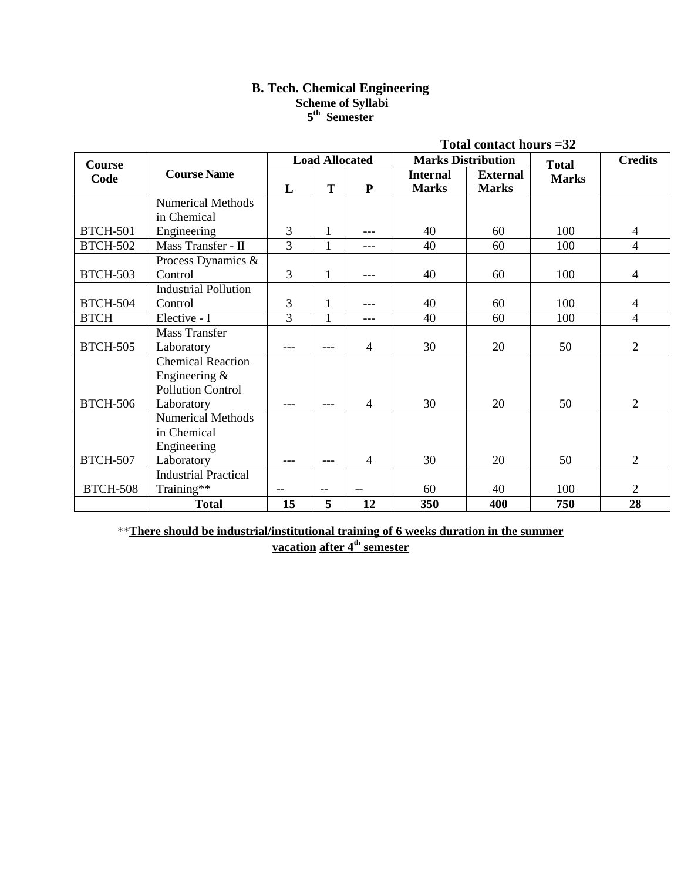# **B. Tech. Chemical Engineering Scheme of Syllabi 5 th Semester**

|                 |                             |                |                       |                |                 | Total contact hours = 32  |              |                |
|-----------------|-----------------------------|----------------|-----------------------|----------------|-----------------|---------------------------|--------------|----------------|
| Course          |                             |                | <b>Load Allocated</b> |                |                 | <b>Marks Distribution</b> | <b>Total</b> | <b>Credits</b> |
| Code            | <b>Course Name</b>          |                |                       |                | <b>Internal</b> | <b>External</b>           | <b>Marks</b> |                |
|                 |                             | L              | T                     | ${\bf P}$      | <b>Marks</b>    | <b>Marks</b>              |              |                |
|                 | <b>Numerical Methods</b>    |                |                       |                |                 |                           |              |                |
|                 | in Chemical                 |                |                       |                |                 |                           |              |                |
| <b>BTCH-501</b> | Engineering                 | 3              | 1                     |                | 40              | 60                        | 100          | 4              |
| <b>BTCH-502</b> | Mass Transfer - II          | 3              | 1                     | ---            | 40              | 60                        | 100          | 4              |
|                 | Process Dynamics &          |                |                       |                |                 |                           |              |                |
| <b>BTCH-503</b> | Control                     | 3              | 1                     | ---            | 40              | 60                        | 100          | $\overline{4}$ |
|                 | <b>Industrial Pollution</b> |                |                       |                |                 |                           |              |                |
| <b>BTCH-504</b> | Control                     | 3              | 1                     | ---            | 40              | 60                        | 100          | 4              |
| <b>BTCH</b>     | Elective - I                | $\overline{3}$ | $\mathbf{1}$          | ---            | 40              | 60                        | 100          | 4              |
|                 | <b>Mass Transfer</b>        |                |                       |                |                 |                           |              |                |
| <b>BTCH-505</b> | Laboratory                  | ---            | $---$                 | $\overline{4}$ | 30              | 20                        | 50           | $\overline{2}$ |
|                 | <b>Chemical Reaction</b>    |                |                       |                |                 |                           |              |                |
|                 | Engineering $\&$            |                |                       |                |                 |                           |              |                |
|                 | <b>Pollution Control</b>    |                |                       |                |                 |                           |              |                |
| <b>BTCH-506</b> | Laboratory                  | ---            | $---$                 | $\overline{4}$ | 30              | 20                        | 50           | $\overline{2}$ |
|                 | <b>Numerical Methods</b>    |                |                       |                |                 |                           |              |                |
|                 | in Chemical                 |                |                       |                |                 |                           |              |                |
|                 | Engineering                 |                |                       |                |                 |                           |              |                |
| <b>BTCH-507</b> | Laboratory                  | $- - -$        | $---$                 | $\overline{4}$ | 30              | 20                        | 50           | 2              |
|                 | <b>Industrial Practical</b> |                |                       |                |                 |                           |              |                |
| <b>BTCH-508</b> | Training**                  | $-$            | $\qquad \qquad -$     |                | 60              | 40                        | 100          | $\overline{2}$ |
|                 | <b>Total</b>                | 15             | 5                     | 12             | 350             | 400                       | 750          | 28             |

\*\***There should be industrial/institutional training of 6 weeks duration in the summer vacation after 4 th semester**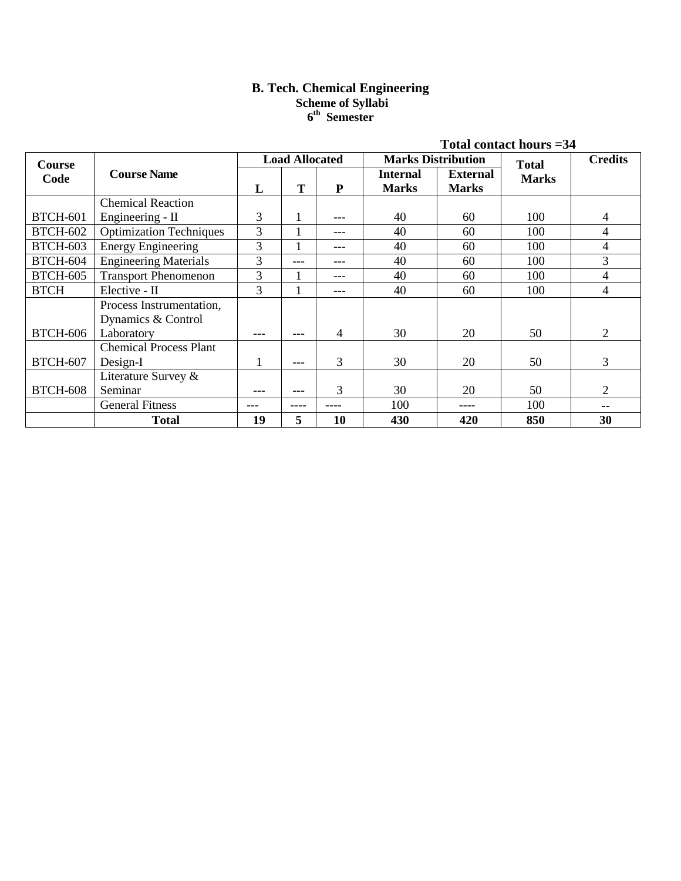# **B. Tech. Chemical Engineering Scheme of Syllabi 6 th Semester**

|                 |                                                |                                                    |       |      |                                 |                                 | Total contact hours $=34$ |                |
|-----------------|------------------------------------------------|----------------------------------------------------|-------|------|---------------------------------|---------------------------------|---------------------------|----------------|
| Course          |                                                | <b>Load Allocated</b><br><b>Marks Distribution</b> |       |      |                                 |                                 | <b>Total</b>              | <b>Credits</b> |
| Code            | <b>Course Name</b>                             | L                                                  | T     | P    | <b>Internal</b><br><b>Marks</b> | <b>External</b><br><b>Marks</b> | <b>Marks</b>              |                |
|                 | <b>Chemical Reaction</b>                       |                                                    |       |      |                                 |                                 |                           |                |
| <b>BTCH-601</b> | Engineering - II                               | 3                                                  |       | ---  | 40                              | 60                              | 100                       | 4              |
| <b>BTCH-602</b> | <b>Optimization Techniques</b>                 | 3                                                  |       | ---  | 40                              | 60                              | 100                       | 4              |
| <b>BTCH-603</b> | <b>Energy Engineering</b>                      | 3                                                  |       | ---  | 40                              | 60                              | 100                       | 4              |
| <b>BTCH-604</b> | <b>Engineering Materials</b>                   | 3                                                  | ---   | ---  | 40                              | 60                              | 100                       | 3              |
| <b>BTCH-605</b> | <b>Transport Phenomenon</b>                    | 3                                                  |       | ---  | 40                              | 60                              | 100                       | 4              |
| <b>BTCH</b>     | Elective - II                                  | $\overline{3}$                                     |       | ---  | 40                              | 60                              | 100                       | 4              |
|                 | Process Instrumentation,<br>Dynamics & Control |                                                    |       |      |                                 |                                 |                           |                |
| <b>BTCH-606</b> | Laboratory                                     | ---                                                | ---   | 4    | 30                              | 20                              | 50                        | 2              |
|                 | <b>Chemical Process Plant</b>                  |                                                    |       |      |                                 |                                 |                           |                |
| <b>BTCH-607</b> | Design-I                                       |                                                    | ---   | 3    | 30                              | 20                              | 50                        | 3              |
|                 | Literature Survey &                            |                                                    |       |      |                                 |                                 |                           |                |
| <b>BTCH-608</b> | Seminar                                        |                                                    | ---   | 3    | 30                              | 20                              | 50                        | 2              |
|                 | <b>General Fitness</b>                         | ---                                                | $---$ | ---- | 100                             | ----                            | 100                       | --             |
|                 | <b>Total</b>                                   | 19                                                 | 5     | 10   | 430                             | 420                             | 850                       | 30             |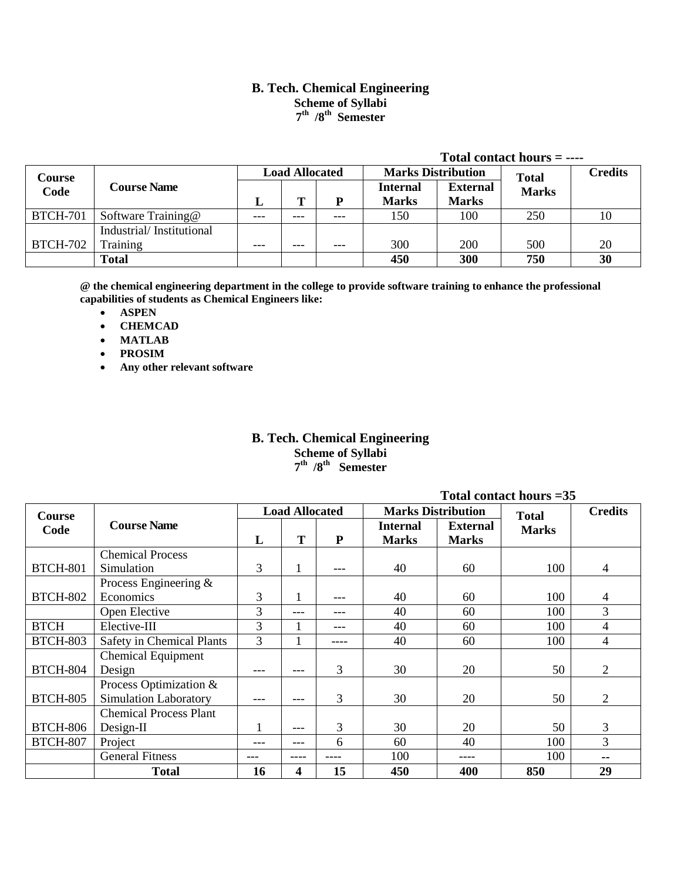# **B. Tech. Chemical Engineering Scheme of Syllabi 7 th /8th Semester**

|                 |                          |                       |     |         |                           |                 | Total contact hours $=$ ---- |                |
|-----------------|--------------------------|-----------------------|-----|---------|---------------------------|-----------------|------------------------------|----------------|
| Course          |                          | <b>Load Allocated</b> |     |         | <b>Marks Distribution</b> |                 | <b>Total</b>                 | <b>Credits</b> |
| Code            | <b>Course Name</b>       |                       |     |         | <b>Internal</b>           | <b>External</b> | <b>Marks</b>                 |                |
|                 |                          | L                     | т   | P       | <b>Marks</b>              | <b>Marks</b>    |                              |                |
| <b>BTCH-701</b> | Software Training@       | ---                   | --- | $---$   | 150                       | 100             | 250                          | 10             |
|                 | Industrial/Institutional |                       |     |         |                           |                 |                              |                |
| <b>BTCH-702</b> | Training                 | ---                   | --- | $- - -$ | 300                       | 200             | 500                          | 20             |
|                 | <b>Total</b>             |                       |     |         | 450                       | 300             | 750                          | 30             |

**@ the chemical engineering department in the college to provide software training to enhance the professional capabilities of students as Chemical Engineers like:**

- **ASPEN**
- **CHEMCAD**
- **MATLAB**
- **PROSIM**
- **Any other relevant software**

# **B. Tech. Chemical Engineering Scheme of Syllabi 7 th /8th Semester**

|                 |                                  |     |                       |           |                           |                 | Total contact hours $=35$ |                |
|-----------------|----------------------------------|-----|-----------------------|-----------|---------------------------|-----------------|---------------------------|----------------|
| Course          |                                  |     | <b>Load Allocated</b> |           | <b>Marks Distribution</b> |                 | <b>Total</b>              | <b>Credits</b> |
| Code            | <b>Course Name</b>               |     |                       |           | <b>Internal</b>           | <b>External</b> | <b>Marks</b>              |                |
|                 |                                  | L   | T                     | ${\bf P}$ | <b>Marks</b>              | <b>Marks</b>    |                           |                |
|                 | <b>Chemical Process</b>          |     |                       |           |                           |                 |                           |                |
| <b>BTCH-801</b> | Simulation                       | 3   | 1                     | ---       | 40                        | 60              | 100                       | $\overline{4}$ |
|                 | Process Engineering $\&$         |     |                       |           |                           |                 |                           |                |
| <b>BTCH-802</b> | Economics                        | 3   | $\mathbf{I}$          | ---       | 40                        | 60              | 100                       | 4              |
|                 | Open Elective                    | 3   | ---                   | ---       | 40                        | 60              | 100                       | 3              |
| <b>BTCH</b>     | Elective-III                     | 3   |                       | ---       | 40                        | 60              | 100                       | $\overline{4}$ |
| <b>BTCH-803</b> | <b>Safety in Chemical Plants</b> | 3   |                       | ----      | 40                        | 60              | 100                       | $\overline{4}$ |
|                 | <b>Chemical Equipment</b>        |     |                       |           |                           |                 |                           |                |
| <b>BTCH-804</b> | Design                           |     | ---                   | 3         | 30                        | 20              | 50                        | $\overline{2}$ |
|                 | Process Optimization &           |     |                       |           |                           |                 |                           |                |
| <b>BTCH-805</b> | <b>Simulation Laboratory</b>     |     | ---                   | 3         | 30                        | 20              | 50                        | $\overline{2}$ |
|                 | <b>Chemical Process Plant</b>    |     |                       |           |                           |                 |                           |                |
| <b>BTCH-806</b> | $Design-II$                      |     | ---                   | 3         | 30                        | 20              | 50                        | 3              |
| <b>BTCH-807</b> | Project                          | --- | ---                   | 6         | 60                        | 40              | 100                       | 3              |
|                 | <b>General Fitness</b>           |     |                       |           | 100                       | ----            | 100                       | --             |
|                 | <b>Total</b>                     | 16  | 4                     | 15        | 450                       | 400             | 850                       | 29             |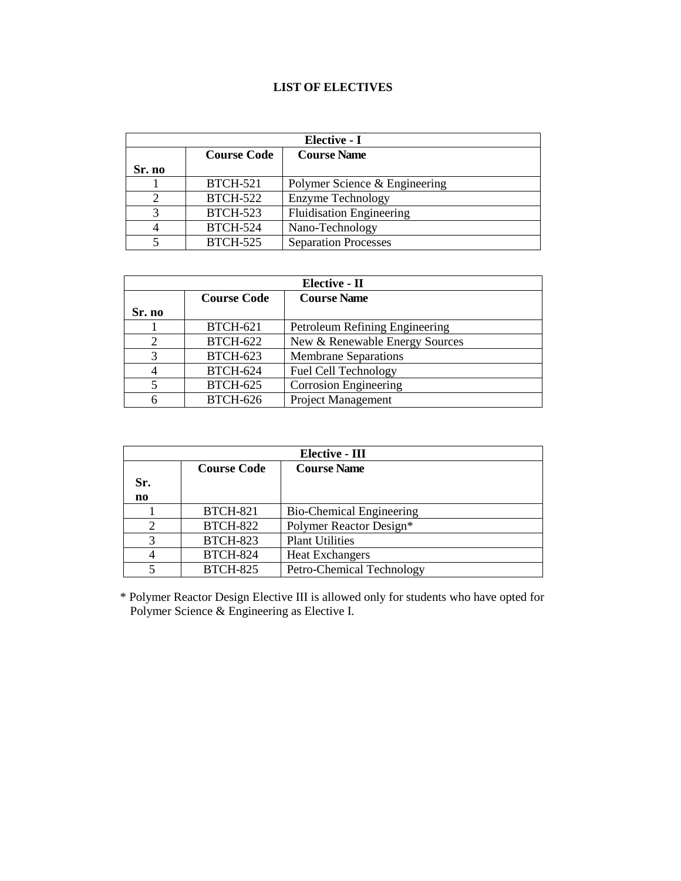# **LIST OF ELECTIVES**

|        | Elective - I       |                                 |  |  |  |  |  |  |
|--------|--------------------|---------------------------------|--|--|--|--|--|--|
|        | <b>Course Code</b> | <b>Course Name</b>              |  |  |  |  |  |  |
| Sr. no |                    |                                 |  |  |  |  |  |  |
|        | <b>BTCH-521</b>    | Polymer Science & Engineering   |  |  |  |  |  |  |
|        | <b>BTCH-522</b>    | <b>Enzyme Technology</b>        |  |  |  |  |  |  |
|        | <b>BTCH-523</b>    | <b>Fluidisation Engineering</b> |  |  |  |  |  |  |
|        | <b>BTCH-524</b>    | Nano-Technology                 |  |  |  |  |  |  |
|        | <b>BTCH-525</b>    | <b>Separation Processes</b>     |  |  |  |  |  |  |

|        | Elective - II      |                                |  |  |  |  |  |  |
|--------|--------------------|--------------------------------|--|--|--|--|--|--|
|        | <b>Course Code</b> | <b>Course Name</b>             |  |  |  |  |  |  |
| Sr. no |                    |                                |  |  |  |  |  |  |
|        | <b>BTCH-621</b>    | Petroleum Refining Engineering |  |  |  |  |  |  |
|        | <b>BTCH-622</b>    | New & Renewable Energy Sources |  |  |  |  |  |  |
| 3      | <b>BTCH-623</b>    | <b>Membrane Separations</b>    |  |  |  |  |  |  |
| 4      | <b>BTCH-624</b>    | Fuel Cell Technology           |  |  |  |  |  |  |
|        | <b>BTCH-625</b>    | <b>Corrosion Engineering</b>   |  |  |  |  |  |  |
|        | <b>BTCH-626</b>    | Project Management             |  |  |  |  |  |  |

|     | Elective - III     |                                 |  |  |  |  |  |
|-----|--------------------|---------------------------------|--|--|--|--|--|
|     | <b>Course Code</b> | <b>Course Name</b>              |  |  |  |  |  |
| Sr. |                    |                                 |  |  |  |  |  |
| no  |                    |                                 |  |  |  |  |  |
|     | <b>BTCH-821</b>    | <b>Bio-Chemical Engineering</b> |  |  |  |  |  |
|     | <b>BTCH-822</b>    | Polymer Reactor Design*         |  |  |  |  |  |
| 3   | <b>BTCH-823</b>    | <b>Plant Utilities</b>          |  |  |  |  |  |
|     | <b>BTCH-824</b>    | <b>Heat Exchangers</b>          |  |  |  |  |  |
|     | <b>BTCH-825</b>    | Petro-Chemical Technology       |  |  |  |  |  |

\* Polymer Reactor Design Elective III is allowed only for students who have opted for Polymer Science & Engineering as Elective I.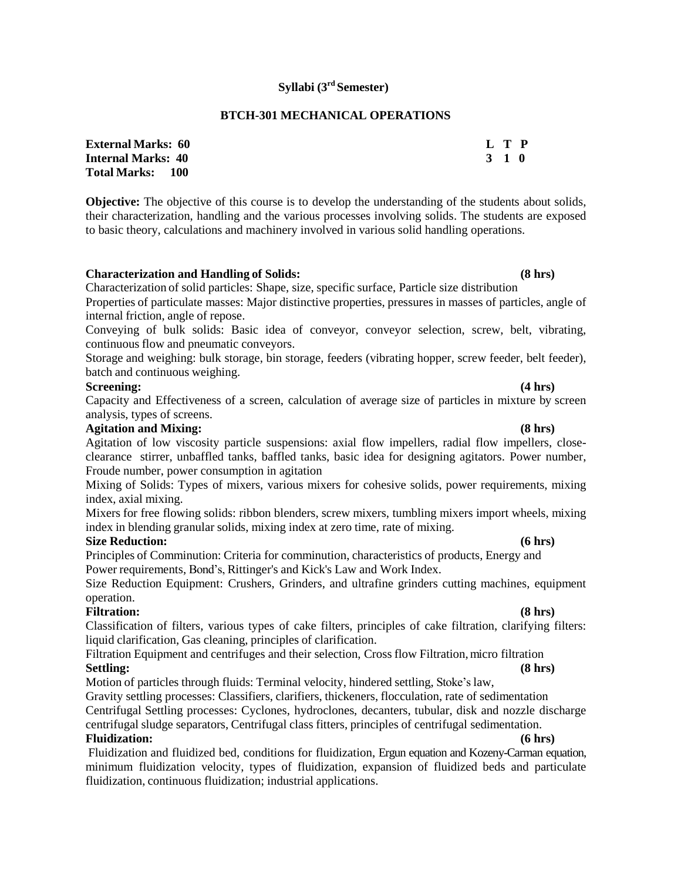# **Syllabi (3 rd Semester)**

## **BTCH-301 MECHANICAL OPERATIONS**

| <b>External Marks: 60</b> | L T P |  |
|---------------------------|-------|--|
| <b>Internal Marks: 40</b> | 3 1 0 |  |
| Total Marks: 100          |       |  |

**Objective:** The objective of this course is to develop the understanding of the students about solids, their characterization, handling and the various processes involving solids. The students are exposed to basic theory, calculations and machinery involved in various solid handling operations.

#### **Characterization and Handling of Solids: (8 hrs)**

Characterization of solid particles: Shape, size, specific surface, Particle size distribution

Properties of particulate masses: Major distinctive properties, pressures in masses of particles, angle of internal friction, angle of repose.

Conveying of bulk solids: Basic idea of conveyor, conveyor selection, screw, belt, vibrating, continuous flow and pneumatic conveyors.

Storage and weighing: bulk storage, bin storage, feeders (vibrating hopper, screw feeder, belt feeder), batch and continuous weighing.

## **Screening: (4 hrs)**

Capacity and Effectiveness of a screen, calculation of average size of particles in mixture by screen analysis, types of screens.

# **Agitation and Mixing: (8 hrs)**

Agitation of low viscosity particle suspensions: axial flow impellers, radial flow impellers, closeclearance stirrer, unbaffled tanks, baffled tanks, basic idea for designing agitators. Power number, Froude number, power consumption in agitation

Mixing of Solids: Types of mixers, various mixers for cohesive solids, power requirements, mixing index, axial mixing.

Mixers for free flowing solids: ribbon blenders, screw mixers, tumbling mixers import wheels, mixing index in blending granular solids, mixing index at zero time, rate of mixing.

#### **Size Reduction: (6 hrs)**

Principles of Comminution: Criteria for comminution, characteristics of products, Energy and Power requirements, Bond's, Rittinger's and Kick's Law and Work Index.

Size Reduction Equipment: Crushers, Grinders, and ultrafine grinders cutting machines, equipment operation.

## **Filtration: (8 hrs)**

Classification of filters, various types of cake filters, principles of cake filtration, clarifying filters: liquid clarification, Gas cleaning, principles of clarification.

# Filtration Equipment and centrifuges and their selection, Cross flow Filtration, micro filtration **Settling: (8 hrs)**

Motion of particles through fluids: Terminal velocity, hindered settling, Stoke's law,

Gravity settling processes: Classifiers, clarifiers, thickeners, flocculation, rate of sedimentation Centrifugal Settling processes: Cyclones, hydroclones, decanters, tubular, disk and nozzle discharge centrifugal sludge separators, Centrifugal class fitters, principles of centrifugal sedimentation. **Fluidization: (6 hrs)**

Fluidization and fluidized bed, conditions for fluidization, Ergun equation and Kozeny-Carman equation, minimum fluidization velocity, types of fluidization, expansion of fluidized beds and particulate fluidization, continuous fluidization; industrial applications.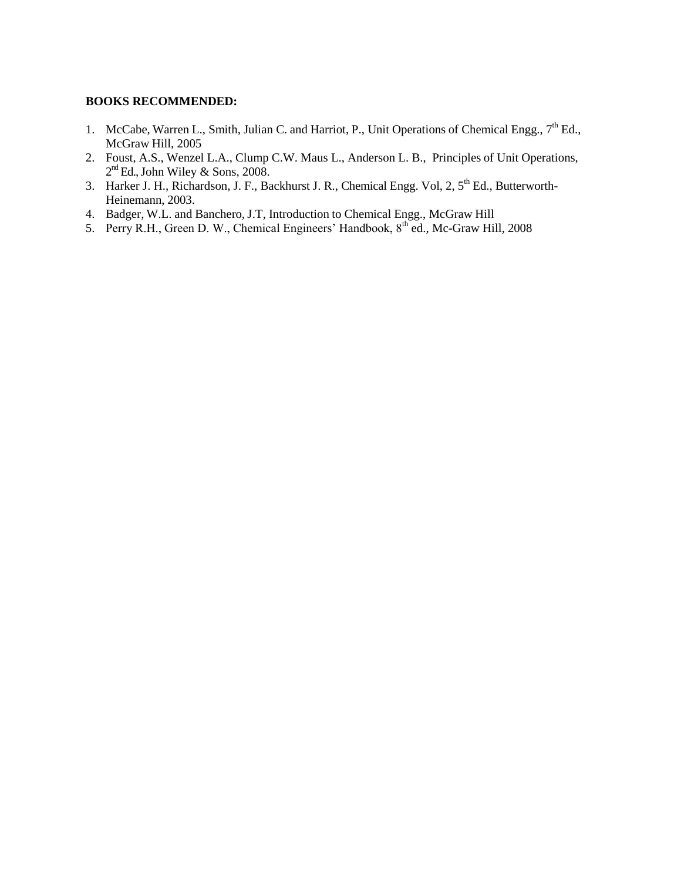- 1. McCabe, Warren L., Smith, Julian C. and Harriot, P., Unit Operations of Chemical Engg.,  $7<sup>th</sup>$  Ed., McGraw Hill, 2005
- 2. Foust, A.S., Wenzel L.A., Clump C.W. Maus L., Anderson L. B., Principles of Unit Operations,  $2<sup>nd</sup>$  Ed., John Wiley & Sons, 2008.
- 3. Harker J. H., Richardson, J. F., Backhurst J. R., Chemical Engg. Vol, 2, 5<sup>th</sup> Ed., Butterworth-Heinemann, 2003.
- 4. Badger, W.L. and Banchero, J.T, Introduction to Chemical Engg., McGraw Hill
- 5. Perry R.H., Green D. W., Chemical Engineers' Handbook, 8<sup>th</sup> ed., Mc-Graw Hill, 2008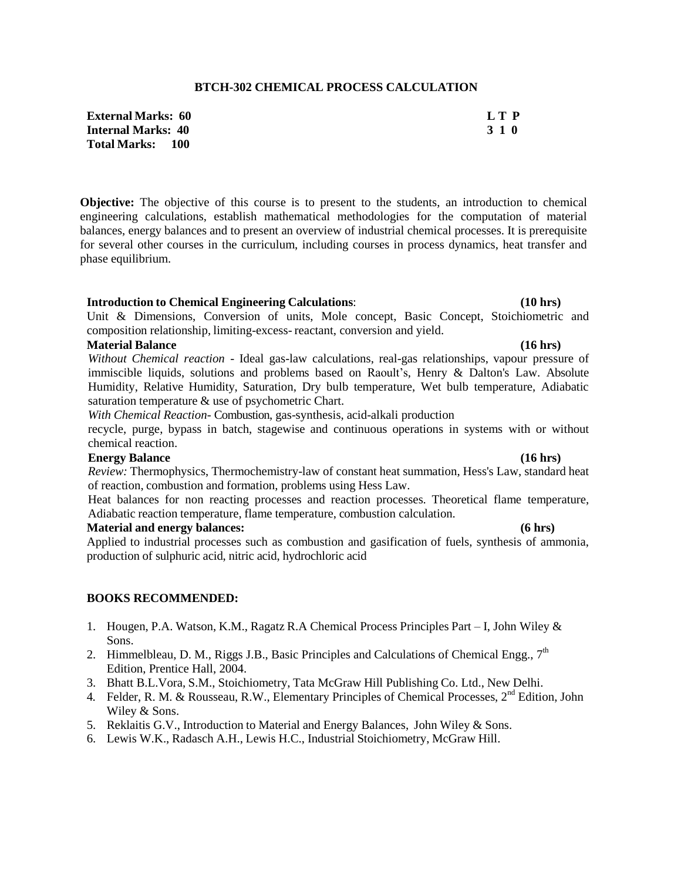# **BTCH-302 CHEMICAL PROCESS CALCULATION**

**External Marks: 60 L T P Internal Marks: 40 3 1 0 Total Marks: 100**

**Objective:** The objective of this course is to present to the students, an introduction to chemical engineering calculations, establish mathematical methodologies for the computation of material balances, energy balances and to present an overview of industrial chemical processes. It is prerequisite for several other courses in the curriculum, including courses in process dynamics, heat transfer and phase equilibrium.

### **Introduction to Chemical Engineering Calculations**: **(10 hrs)**

Unit & Dimensions, Conversion of units, Mole concept, Basic Concept, Stoichiometric and composition relationship, limiting-excess- reactant, conversion and yield.

# **Material Balance (16 hrs)**

*Without Chemical reaction* - Ideal gas-law calculations, real-gas relationships, vapour pressure of immiscible liquids, solutions and problems based on Raoult's, Henry & Dalton's Law. Absolute Humidity, Relative Humidity, Saturation, Dry bulb temperature, Wet bulb temperature, Adiabatic saturation temperature & use of psychometric Chart.

*With Chemical Reaction-* Combustion, gas-synthesis, acid-alkali production

recycle, purge, bypass in batch, stagewise and continuous operations in systems with or without chemical reaction.

## **Energy Balance (16 hrs)**

*Review:* Thermophysics, Thermochemistry-law of constant heat summation, Hess's Law, standard heat of reaction, combustion and formation, problems using Hess Law.

Heat balances for non reacting processes and reaction processes. Theoretical flame temperature, Adiabatic reaction temperature, flame temperature, combustion calculation.

### **Material and energy balances: (6 hrs)**

Applied to industrial processes such as combustion and gasification of fuels, synthesis of ammonia, production of sulphuric acid, nitric acid, hydrochloric acid

- 1. Hougen, P.A. Watson, K.M., Ragatz R.A Chemical Process Principles Part I, John Wiley & Sons.
- 2. Himmelbleau, D. M., Riggs J.B., Basic Principles and Calculations of Chemical Engg.,  $7<sup>th</sup>$ Edition, Prentice Hall, 2004.
- 3. Bhatt B.L.Vora, S.M., Stoichiometry, Tata McGraw Hill Publishing Co. Ltd., New Delhi.
- 4. Felder, R. M. & Rousseau, R.W., Elementary Principles of Chemical Processes, 2<sup>nd</sup> Edition, John Wiley & Sons.
- 5. Reklaitis G.V., Introduction to Material and Energy Balances, John Wiley & Sons.
- 6. Lewis W.K., Radasch A.H., Lewis H.C., Industrial Stoichiometry, McGraw Hill.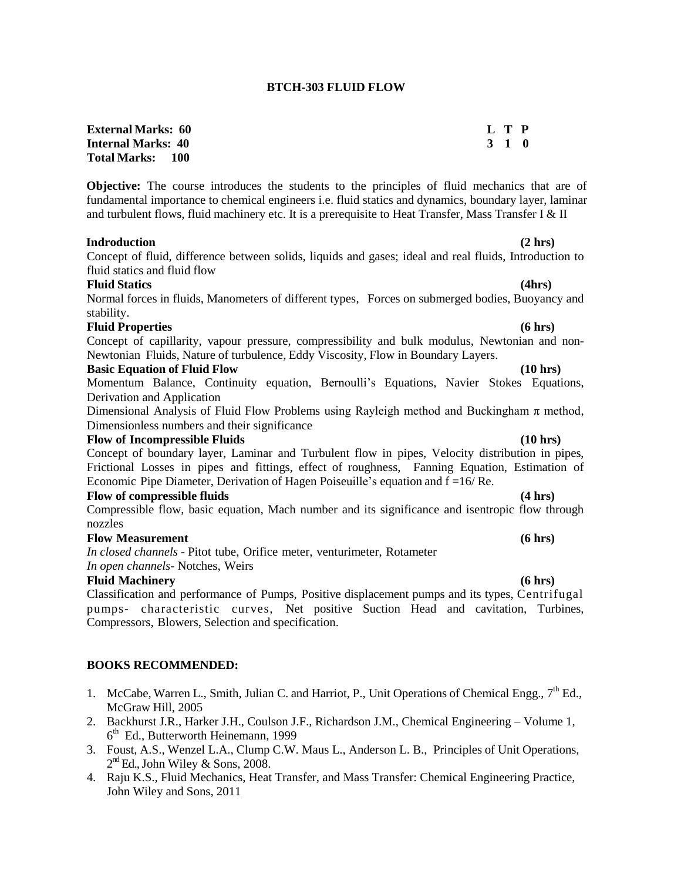#### **BTCH-303 FLUID FLOW**

| <b>External Marks: 60</b> | L T P |  |
|---------------------------|-------|--|
| <b>Internal Marks: 40</b> | 3 1 0 |  |
| <b>Total Marks: 100</b>   |       |  |

**Objective:** The course introduces the students to the principles of fluid mechanics that are of fundamental importance to chemical engineers i.e. fluid statics and dynamics, boundary layer, laminar and turbulent flows, fluid machinery etc. It is a prerequisite to Heat Transfer, Mass Transfer I & II

#### **Indroduction (2 hrs)**

Concept of fluid, difference between solids, liquids and gases; ideal and real fluids, Introduction to fluid statics and fluid flow

#### **Fluid Statics (4hrs)**

Normal forces in fluids, Manometers of different types, Forces on submerged bodies, Buoyancy and stability.

#### **Fluid Properties (6 hrs)**

Concept of capillarity, vapour pressure, compressibility and bulk modulus, Newtonian and non-Newtonian Fluids, Nature of turbulence, Eddy Viscosity, Flow in Boundary Layers.

### **Basic Equation of Fluid Flow (10 hrs)**

Momentum Balance, Continuity equation, Bernoulli's Equations, Navier Stokes Equations, Derivation and Application

Dimensional Analysis of Fluid Flow Problems using Rayleigh method and Buckingham  $\pi$  method, Dimensionless numbers and their significance

### **Flow of Incompressible Fluids (10 hrs)**

Concept of boundary layer, Laminar and Turbulent flow in pipes, Velocity distribution in pipes, Frictional Losses in pipes and fittings, effect of roughness, Fanning Equation, Estimation of Economic Pipe Diameter, Derivation of Hagen Poiseuille's equation and f =16/ Re.

### **Flow of compressible fluids (4 hrs)**

Compressible flow, basic equation, Mach number and its significance and isentropic flow through nozzles

#### **Flow Measurement (6 hrs)**

*In closed channels* - Pitot tube, Orifice meter, venturimeter, Rotameter *In open channels-* Notches, Weirs

#### **Fluid Machinery (6 hrs)**

Classification and performance of Pumps, Positive displacement pumps and its types, Centrifugal pumps- characteristic curves, Net positive Suction Head and cavitation, Turbines, Compressors, Blowers, Selection and specification.

- 1. McCabe, Warren L., Smith, Julian C. and Harriot, P., Unit Operations of Chemical Engg.,  $7<sup>th</sup>$  Ed., McGraw Hill, 2005
- 2. Backhurst J.R., Harker J.H., Coulson J.F., Richardson J.M., Chemical Engineering Volume 1, 6<sup>th</sup> Ed., Butterworth Heinemann, 1999
- 3. Foust, A.S., Wenzel L.A., Clump C.W. Maus L., Anderson L. B., Principles of Unit Operations,  $2<sup>nd</sup>$  Ed., John Wiley & Sons, 2008.
- 4. Raju K.S., Fluid Mechanics, Heat Transfer, and Mass Transfer: Chemical Engineering Practice, John Wiley and Sons, 2011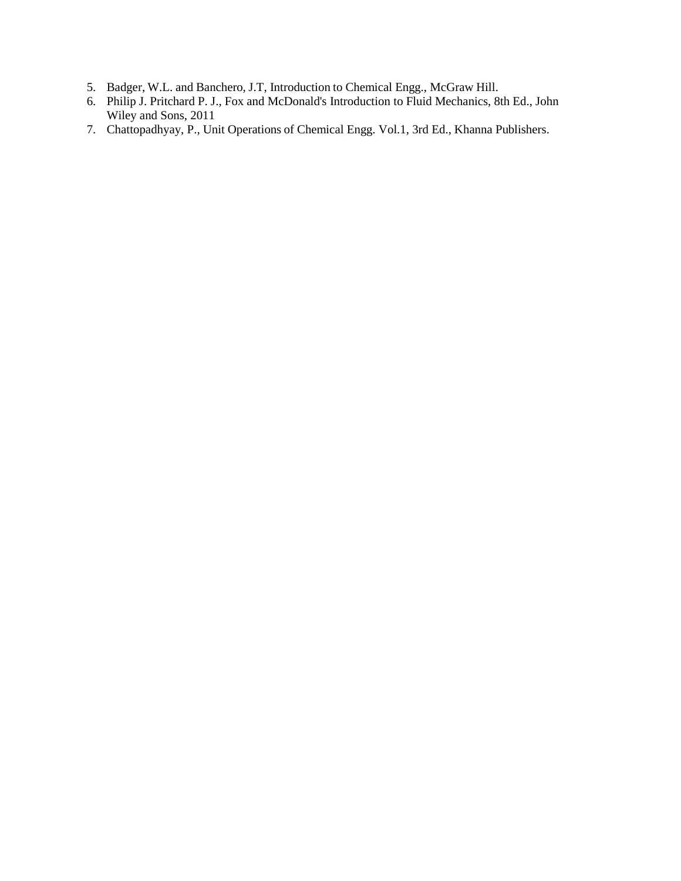- 5. Badger, W.L. and Banchero, J.T, Introduction to Chemical Engg., McGraw Hill.
- 6. [Philip J. Pritchard](http://as.wiley.com/WileyCDA/Section/id-302477.html?query=Philip+J.+Pritchard) P. J., Fox and McDonald's Introduction to Fluid Mechanics, 8th Ed., John Wiley and Sons, 2011
- 7. Chattopadhyay, P., Unit Operations of Chemical Engg. Vol.1, 3rd Ed., Khanna Publishers.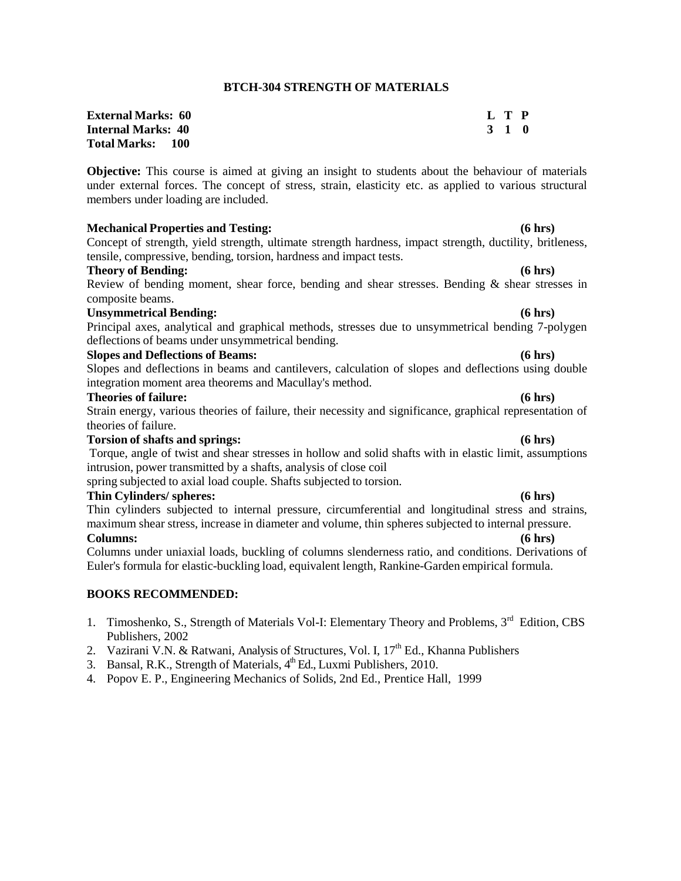### **BTCH-304 STRENGTH OF MATERIALS**

| <b>External Marks: 60</b> | L T P |
|---------------------------|-------|
| <b>Internal Marks: 40</b> | 3 1 0 |
| <b>Total Marks: 100</b>   |       |

**Objective:** This course is aimed at giving an insight to students about the behaviour of materials under external forces. The concept of stress, strain, elasticity etc. as applied to various structural members under loading are included.

#### **Mechanical Properties and Testing: (6 hrs)**

Concept of strength, yield strength, ultimate strength hardness, impact strength, ductility, britleness, tensile, compressive, bending, torsion, hardness and impact tests.

#### **Theory of Bending: (6 hrs)**

Review of bending moment, shear force, bending and shear stresses. Bending & shear stresses in composite beams.

#### **Unsymmetrical Bending: (6 hrs)**

Principal axes, analytical and graphical methods, stresses due to unsymmetrical bending 7-polygen deflections of beams under unsymmetrical bending.

#### **Slopes and Deflections of Beams: (6 hrs)**

Slopes and deflections in beams and cantilevers, calculation of slopes and deflections using double integration moment area theorems and Macullay's method.

#### **Theories of failure: (6 hrs)**

Strain energy, various theories of failure, their necessity and significance, graphical representation of theories of failure.

## **Torsion of shafts and springs: (6 hrs)**

Torque, angle of twist and shear stresses in hollow and solid shafts with in elastic limit, assumptions intrusion, power transmitted by a shafts, analysis of close coil

spring subjected to axial load couple. Shafts subjected to torsion.

## **Thin Cylinders/ spheres: (6 hrs)**

Thin cylinders subjected to internal pressure, circumferential and longitudinal stress and strains, maximum shear stress, increase in diameter and volume, thin spheres subjected to internal pressure. **Columns: (6 hrs)**

Columns under uniaxial loads, buckling of columns slenderness ratio, and conditions. Derivations of Euler's formula for elastic-buckling load, equivalent length, Rankine-Garden empirical formula.

- 1. Timoshenko, S., Strength of Materials Vol-I: Elementary Theory and Problems, 3<sup>rd</sup> Edition, CBS Publishers, 2002
- 2. Vazirani V.N. & Ratwani, Analysis of Structures, Vol. I, 17<sup>th</sup> Ed., Khanna Publishers
- 3. Bansal, R.K., Strength of Materials, 4<sup>th</sup> Ed., Luxmi Publishers, 2010.
- 4. Popov E. P., Engineering Mechanics of Solids, 2nd Ed., Prentice Hall, 1999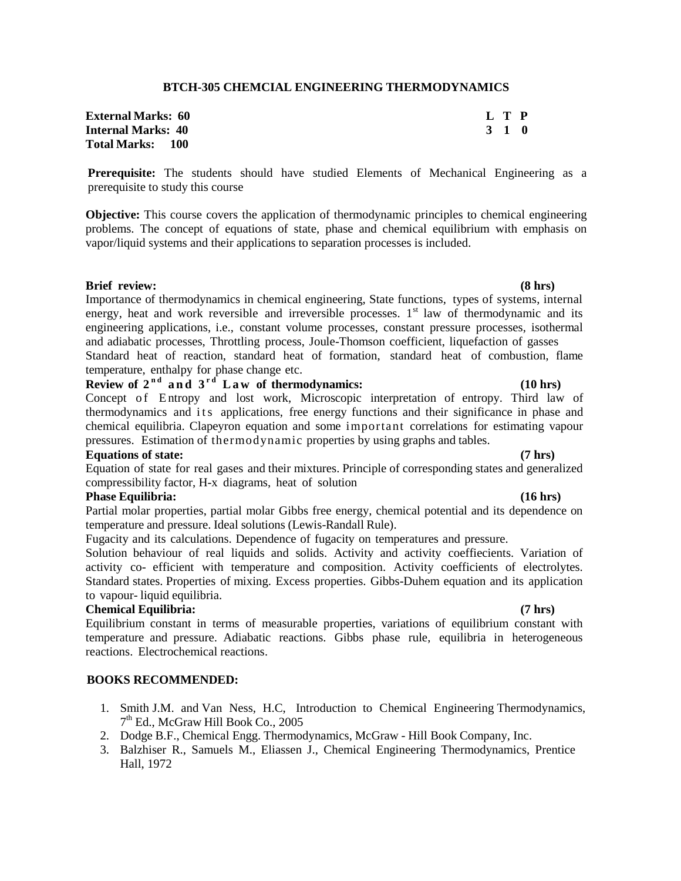### **BTCH-305 CHEMCIAL ENGINEERING THERMODYNAMICS**

| <b>External Marks: 60</b> | L T P |  |
|---------------------------|-------|--|
| <b>Internal Marks: 40</b> | 3 1 0 |  |
| <b>Total Marks: 100</b>   |       |  |

**Prerequisite:** The students should have studied Elements of Mechanical Engineering as a prerequisite to study this course

**Objective:** This course covers the application of thermodynamic principles to chemical engineering problems. The concept of equations of state, phase and chemical equilibrium with emphasis on vapor/liquid systems and their applications to separation processes is included.

### **Brief review: (8 hrs)**

Importance of thermodynamics in chemical engineering, State functions, types of systems, internal energy, heat and work reversible and irreversible processes. 1<sup>st</sup> law of thermodynamic and its engineering applications, i.e., constant volume processes, constant pressure processes, isothermal and adiabatic processes, Throttling process, Joule-Thomson coefficient, liquefaction of gasses Standard heat of reaction, standard heat of formation, standard heat of combustion, flame temperature, enthalpy for phase change etc.

# **Review** of  $2^{nd}$  and  $3^{rd}$  Law of thermodynamics:  $(10 \text{ hrs})$

Concept of Entropy and lost work, Microscopic interpretation of entropy. Third law of thermodynamics and its applications, free energy functions and their significance in phase and chemical equilibria. Clapeyron equation and some important correlations for estimating vapour pressures. Estimation of thermodynamic properties by using graphs and tables.

### **Equations of state: (7 hrs)**

Equation of state for real gases and their mixtures. Principle of corresponding states and generalized compressibility factor, H-x diagrams, heat of solution

#### **Phase Equilibria: (16 hrs)**

Partial molar properties, partial molar Gibbs free energy, chemical potential and its dependence on temperature and pressure. Ideal solutions (Lewis-Randall Rule).

Fugacity and its calculations. Dependence of fugacity on temperatures and pressure.

Solution behaviour of real liquids and solids. Activity and activity coeffiecients. Variation of activity co- efficient with temperature and composition. Activity coefficients of electrolytes. Standard states. Properties of mixing. Excess properties. Gibbs-Duhem equation and its application to vapour- liquid equilibria.

### **Chemical Equilibria: (7 hrs)**

Equilibrium constant in terms of measurable properties, variations of equilibrium constant with temperature and pressure. Adiabatic reactions. Gibbs phase rule, equilibria in heterogeneous reactions. Electrochemical reactions.

- 1. Smith J.M. and Van Ness, H.C, Introduction to Chemical Engineering Thermodynamics, 7 th Ed., McGraw Hill Book Co., 2005
- 2. Dodge B.F., Chemical Engg. Thermodynamics, McGraw Hill Book Company, Inc.
- 3. Balzhiser R., Samuels M., Eliassen J., Chemical Engineering Thermodynamics, Prentice Hall, 1972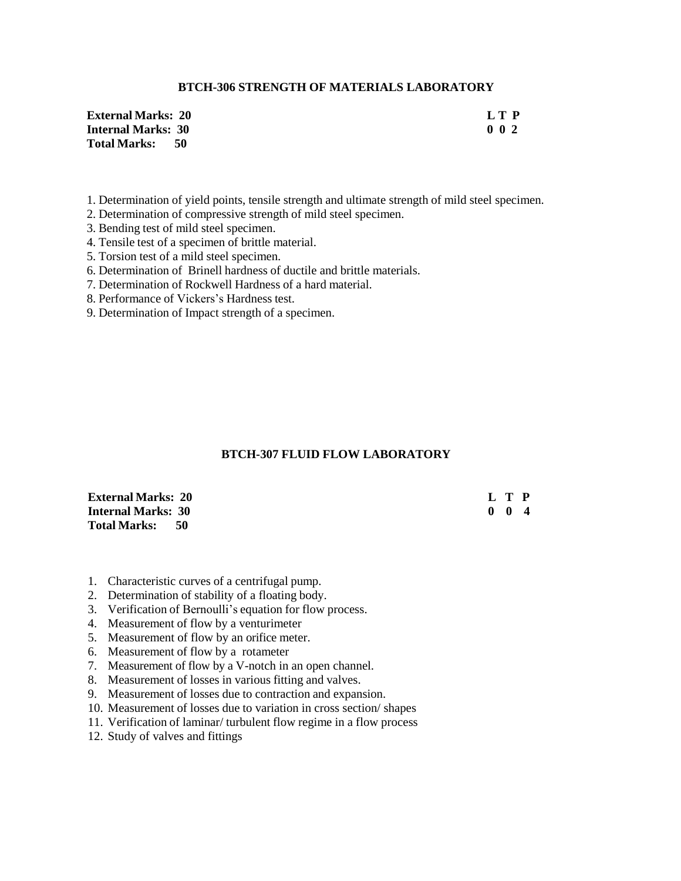## **BTCH-306 STRENGTH OF MATERIALS LABORATORY**

| <b>External Marks: 20</b> | LT P      |
|---------------------------|-----------|
| <b>Internal Marks: 30</b> | $0\,0\,2$ |
| Total Marks: 50           |           |

- 1. Determination of yield points, tensile strength and ultimate strength of mild steel specimen.
- 2. Determination of compressive strength of mild steel specimen.
- 3. Bending test of mild steel specimen.
- 4. Tensile test of a specimen of brittle material.
- 5. Torsion test of a mild steel specimen.
- 6. Determination of Brinell hardness of ductile and brittle materials.
- 7. Determination of Rockwell Hardness of a hard material.
- 8. Performance of Vickers's Hardness test.
- 9. Determination of Impact strength of a specimen.

### **BTCH-307 FLUID FLOW LABORATORY**

| <b>External Marks: 20</b> | L T P               |  |
|---------------------------|---------------------|--|
| <b>Internal Marks: 30</b> | $0 \quad 0 \quad 4$ |  |
| Total Marks: 50           |                     |  |

- 1. Characteristic curves of a centrifugal pump.
- 2. Determination of stability of a floating body.
- 3. Verification of Bernoulli's equation for flow process.
- 4. Measurement of flow by a venturimeter
- 5. Measurement of flow by an orifice meter.
- 6. Measurement of flow by a rotameter
- 7. Measurement of flow by a V-notch in an open channel.
- 8. Measurement of losses in various fitting and valves.
- 9. Measurement of losses due to contraction and expansion.
- 10. Measurement of losses due to variation in cross section/ shapes
- 11. Verification of laminar/ turbulent flow regime in a flow process
- 12. Study of valves and fittings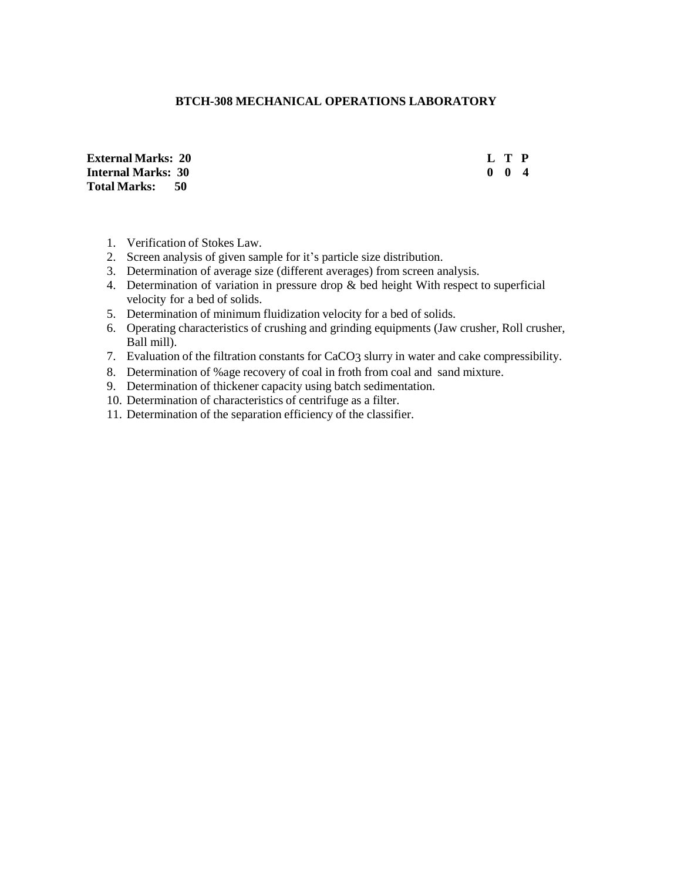# **BTCH-308 MECHANICAL OPERATIONS LABORATORY**

**External Marks: 20 L T P Internal Marks: 30 0 0 4 Total Marks: 50**

- 1. Verification of Stokes Law.
- 2. Screen analysis of given sample for it's particle size distribution.
- 3. Determination of average size (different averages) from screen analysis.
- 4. Determination of variation in pressure drop & bed height With respect to superficial velocity for a bed of solids.
- 5. Determination of minimum fluidization velocity for a bed of solids.
- 6. Operating characteristics of crushing and grinding equipments (Jaw crusher, Roll crusher, Ball mill).
- 7. Evaluation of the filtration constants for CaCO3 slurry in water and cake compressibility.
- 8. Determination of %age recovery of coal in froth from coal and sand mixture.
- 9. Determination of thickener capacity using batch sedimentation.
- 10. Determination of characteristics of centrifuge as a filter.
- 11. Determination of the separation efficiency of the classifier.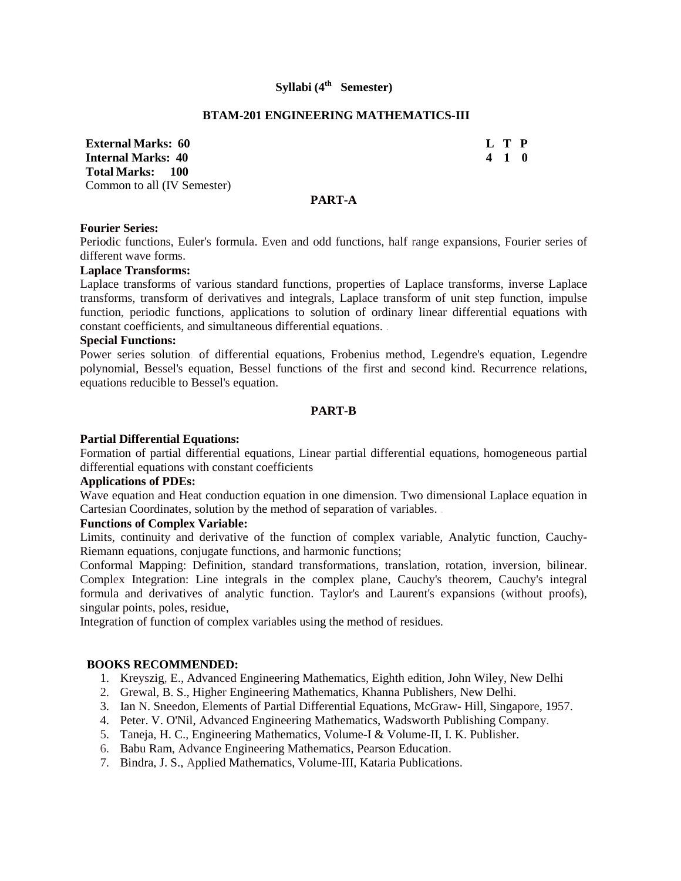# **Syllabi (4 th Semester)**

#### **BTAM-201 ENGINEERING MATHEMATICS-III**

**External Marks: 60 L T P Internal Marks: 40 4 1 0 Total Marks: 100** Common to all (IV Semester)

### **PART-A**

#### **Fourier Series:**

Periodic functions, Euler's formula. Even and odd functions, half range expansions, Fourier series of different wave forms.

### **Laplace Transforms:**

Laplace transforms of various standard functions, properties of Laplace transforms, inverse Laplace transforms, transform of derivatives and integrals, Laplace transform of unit step function, impulse function, periodic functions, applications to solution of ordinary linear differential equations with constant coefficients, and simultaneous differential equations. .

### **Special Functions:**

Power series solution. of differential equations, Frobenius method, Legendre's equation, Legendre polynomial, Bessel's equation, Bessel functions of the first and second kind. Recurrence relations, equations reducible to Bessel's equation.

### **PART-B**

### **Partial Differential Equations:**

Formation of partial differential equations, Linear partial differential equations, homogeneous partial differential equations with constant coefficients

## **Applications of PDEs:**

Wave equation and Heat conduction equation in one dimension. Two dimensional Laplace equation in Cartesian Coordinates, solution by the method of separation of variables. .

### **Functions of Complex Variable:**

Limits, continuity and derivative of the function of complex variable, Analytic function, Cauchy-Riemann equations, conjugate functions, and harmonic functions;

Conformal Mapping: Definition, standard transformations, translation, rotation, inversion, bilinear. Complex Integration: Line integrals in the complex plane, Cauchy's theorem, Cauchy's integral formula and derivatives of analytic function. Taylor's and Laurent's expansions (without proofs), singular points, poles, residue,

Integration of function of complex variables using the method of residues.

- 1. Kreyszig, E., Advanced Engineering Mathematics, Eighth edition, John Wiley, New Delhi
- 2. Grewal, B. S., Higher Engineering Mathematics, Khanna Publishers, New Delhi.
- 3. Ian N. Sneedon, Elements of Partial Differential Equations, McGraw- Hill, Singapore, 1957.
- 4. Peter. V. O'Nil, Advanced Engineering Mathematics, Wadsworth Publishing Company.
- 5. Taneja, H. C., Engineering Mathematics, Volume-I & Volume-II, I. K. Publisher.
- 6. Babu Ram, Advance Engineering Mathematics, Pearson Education.
- 7. Bindra, J. S., Applied Mathematics, Volume-III, Kataria Publications.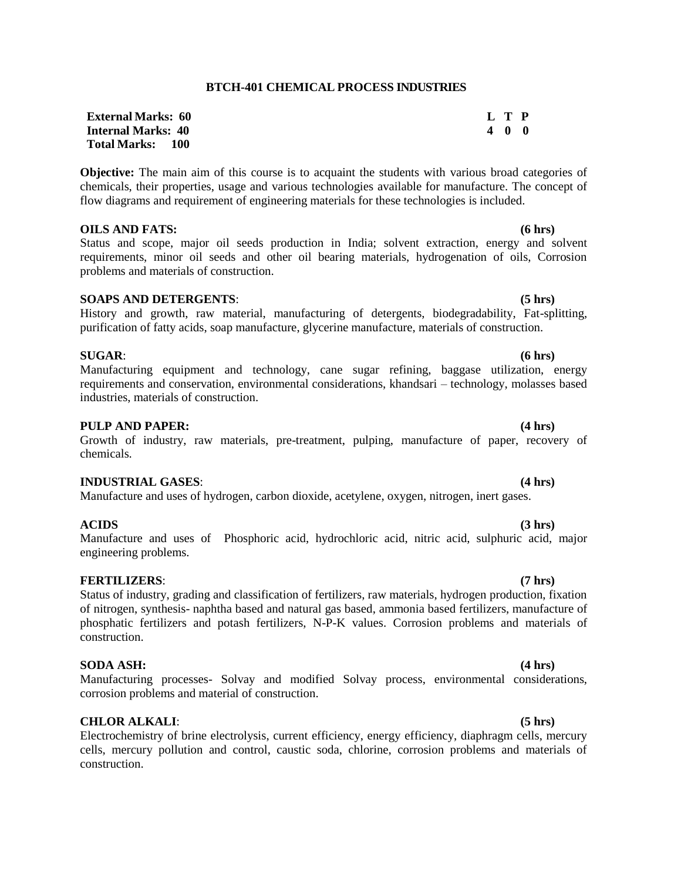# **BTCH-401 CHEMICAL PROCESS INDUSTRIES**

| <b>External Marks: 60</b> | L T P |     |  |
|---------------------------|-------|-----|--|
| <b>Internal Marks: 40</b> |       | 400 |  |
| <b>Total Marks: 100</b>   |       |     |  |

**Objective:** The main aim of this course is to acquaint the students with various broad categories of chemicals, their properties, usage and various technologies available for manufacture. The concept of flow diagrams and requirement of engineering materials for these technologies is included.

#### **OILS AND FATS: (6 hrs)**

Status and scope, major oil seeds production in India; solvent extraction, energy and solvent requirements, minor oil seeds and other oil bearing materials, hydrogenation of oils, Corrosion problems and materials of construction.

### **SOAPS AND DETERGENTS**: **(5 hrs)**

History and growth, raw material, manufacturing of detergents, biodegradability, Fat-splitting, purification of fatty acids, soap manufacture, glycerine manufacture, materials of construction.

#### **SUGAR**: **(6 hrs)**

Manufacturing equipment and technology, cane sugar refining, baggase utilization, energy requirements and conservation, environmental considerations, khandsari – technology, molasses based industries, materials of construction.

#### **PULP AND PAPER: (4 hrs)**

# Growth of industry, raw materials, pre-treatment, pulping, manufacture of paper, recovery of chemicals.

### **INDUSTRIAL GASES**: **(4 hrs)**

Manufacture and uses of hydrogen, carbon dioxide, acetylene, oxygen, nitrogen, inert gases.

### **ACIDS (3 hrs)**

# Manufacture and uses of Phosphoric acid, hydrochloric acid, nitric acid, sulphuric acid, major engineering problems.

## **FERTILIZERS**: **(7 hrs)**

# Status of industry, grading and classification of fertilizers, raw materials, hydrogen production, fixation of nitrogen, synthesis- naphtha based and natural gas based, ammonia based fertilizers, manufacture of phosphatic fertilizers and potash fertilizers, N-P-K values. Corrosion problems and materials of construction.

#### **SODA ASH: (4 hrs)**

Manufacturing processes- Solvay and modified Solvay process, environmental considerations, corrosion problems and material of construction.

## **CHLOR ALKALI**: **(5 hrs)**

Electrochemistry of brine electrolysis, current efficiency, energy efficiency, diaphragm cells, mercury cells, mercury pollution and control, caustic soda, chlorine, corrosion problems and materials of construction.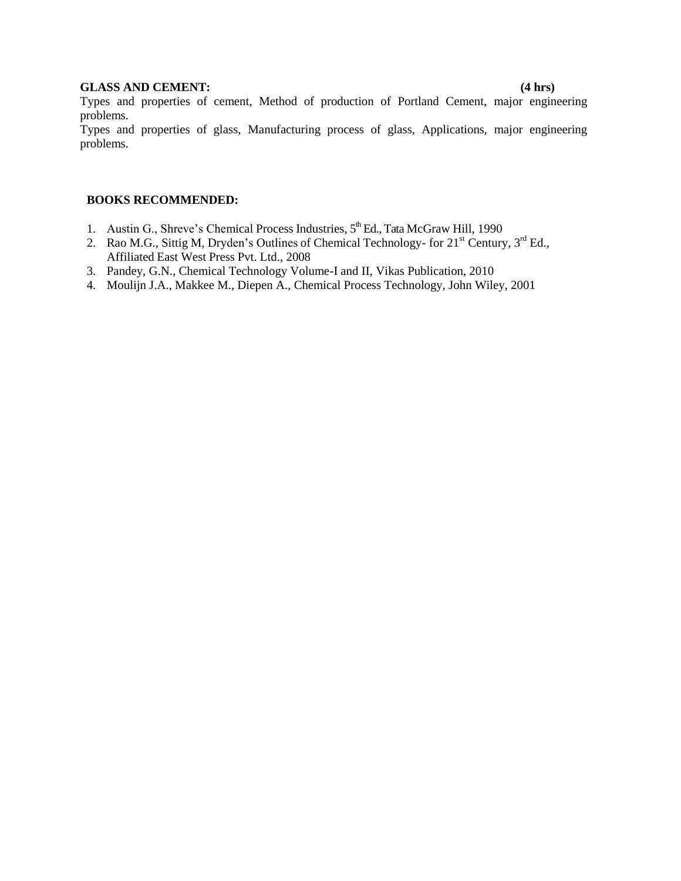# **GLASS AND CEMENT: (4 hrs)**

Types and properties of cement, Method of production of Portland Cement, major engineering problems.

Types and properties of glass, Manufacturing process of glass, Applications, major engineering problems.

- 1. Austin G., Shreve's Chemical Process Industries, 5<sup>th</sup> Ed., Tata McGraw Hill, 1990
- 2. Rao M.G., Sittig M, Dryden's Outlines of Chemical Technology- for 21<sup>st</sup> Century, 3<sup>rd</sup> Ed., Affiliated East West Press Pvt. Ltd., 2008
- 3. Pandey, G.N., Chemical Technology Volume-I and II, Vikas Publication, 2010
- 4. Moulijn J.A., Makkee M., Diepen A., Chemical Process Technology, John Wiley, 2001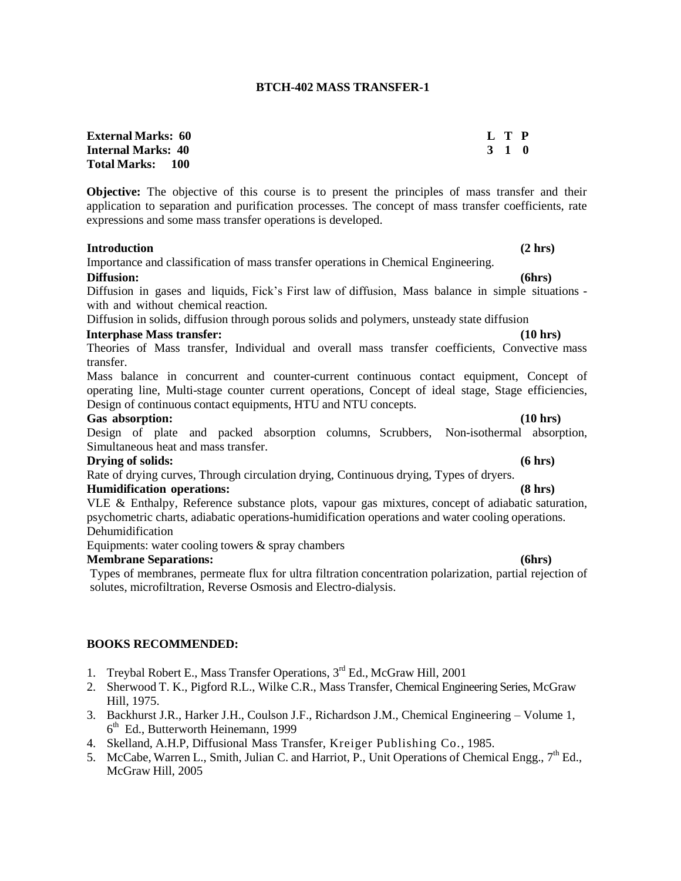### **BTCH-402 MASS TRANSFER-1**

| <b>External Marks: 60</b> | L T P |  |
|---------------------------|-------|--|
| <b>Internal Marks: 40</b> | 3 1 0 |  |
| Total Marks: 100          |       |  |

**Objective:** The objective of this course is to present the principles of mass transfer and their application to separation and purification processes. The concept of mass transfer coefficients, rate expressions and some mass transfer operations is developed.

#### **Introduction (2 hrs)**

Importance and classification of mass transfer operations in Chemical Engineering. **Diffusion: (6hrs)**

Diffusion in gases and liquids, Fick's First law of diffusion, Mass balance in simple situations with and without chemical reaction.

Diffusion in solids, diffusion through porous solids and polymers, unsteady state diffusion

#### **Interphase Mass transfer: (10 hrs)**

Theories of Mass transfer, Individual and overall mass transfer coefficients, Convective mass transfer.

Mass balance in concurrent and counter-current continuous contact equipment, Concept of operating line, Multi-stage counter current operations, Concept of ideal stage, Stage efficiencies, Design of continuous contact equipments, HTU and NTU concepts.

#### **Gas absorption: (10 hrs)**

Design of plate and packed absorption columns, Scrubbers, Non-isothermal absorption, Simultaneous heat and mass transfer.

#### **Drying of solids: (6 hrs)**

Rate of drying curves, Through circulation drying, Continuous drying, Types of dryers. **Humidification operations: (8 hrs)**

VLE & Enthalpy, Reference substance plots, vapour gas mixtures, concept of adiabatic saturation, psychometric charts, adiabatic operations-humidification operations and water cooling operations. Dehumidification

Equipments: water cooling towers & spray chambers

### **Membrane Separations: (6hrs)**

Types of membranes, permeate flux for ultra filtration concentration polarization, partial rejection of solutes, microfiltration, Reverse Osmosis and Electro-dialysis.

- 1. Treybal Robert E., Mass Transfer Operations, 3<sup>rd</sup> Ed., McGraw Hill, 2001
- 2. Sherwood T. K., Pigford R.L., Wilke C.R., Mass Transfer, Chemical Engineering Series, McGraw Hill, 1975.
- 3. Backhurst J.R., Harker J.H., Coulson J.F., Richardson J.M., Chemical Engineering Volume 1, 6<sup>th</sup> Ed., Butterworth Heinemann, 1999
- 4. Skelland, A.H.P, Diffusional Mass Transfer, Kreiger Publishing Co., 1985.
- 5. McCabe, Warren L., Smith, Julian C. and Harriot, P., Unit Operations of Chemical Engg.,  $7<sup>th</sup>$  Ed., McGraw Hill, 2005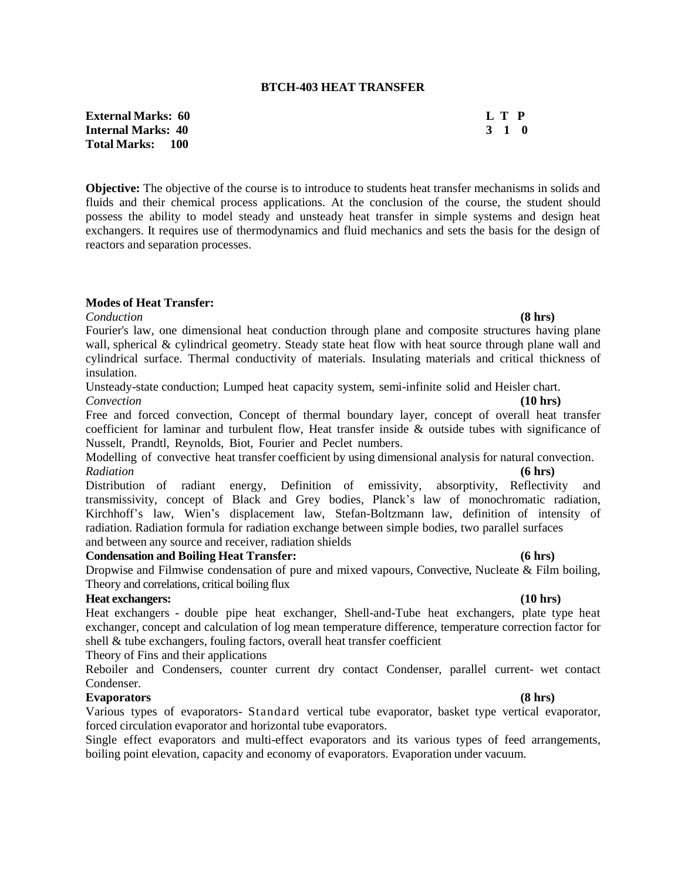### **BTCH-403 HEAT TRANSFER**

**External Marks: 60 L T P Internal Marks: 40 3 1 0 Total Marks: 100**

**Objective:** The objective of the course is to introduce to students heat transfer mechanisms in solids and fluids and their chemical process applications. At the conclusion of the course, the student should possess the ability to model steady and unsteady heat transfer in simple systems and design heat exchangers. It requires use of thermodynamics and fluid mechanics and sets the basis for the design of reactors and separation processes.

# **Modes of Heat Transfer:**

*Conduction* **(8 hrs)** Fourier's law, one dimensional heat conduction through plane and composite structures having plane wall, spherical & cylindrical geometry. Steady state heat flow with heat source through plane wall and cylindrical surface. Thermal conductivity of materials. Insulating materials and critical thickness of insulation.

Unsteady-state conduction; Lumped heat capacity system, semi-infinite solid and Heisler chart. *Convection* **(10 hrs)**

Free and forced convection, Concept of thermal boundary layer, concept of overall heat transfer coefficient for laminar and turbulent flow, Heat transfer inside & outside tubes with significance of Nusselt, Prandtl, Reynolds, Biot, Fourier and Peclet numbers.

Modelling of convective heat transfer coefficient by using dimensional analysis for natural convection. *Radiation* **(6 hrs)**

Distribution of radiant energy, Definition of emissivity, absorptivity, Reflectivity and transmissivity, concept of Black and Grey bodies, Planck's law of monochromatic radiation, Kirchhoff's law, Wien's displacement law, Stefan-Boltzmann law, definition of intensity of radiation. Radiation formula for radiation exchange between simple bodies, two parallel surfaces and between any source and receiver, radiation shields

### **Condensation and Boiling Heat Transfer: (6 hrs)**

Theory and correlations, critical boiling flux

**Heat exchangers: (10 hrs)** Heat exchangers - double pipe heat exchanger, Shell-and-Tube heat exchangers, plate type heat exchanger, concept and calculation of log mean temperature difference, temperature correction factor for shell & tube exchangers, fouling factors, overall heat transfer coefficient

Dropwise and Filmwise condensation of pure and mixed vapours, Convective, Nucleate & Film boiling,

Theory of Fins and their applications

Reboiler and Condensers, counter current dry contact Condenser, parallel current- wet contact Condenser.

# **Evaporators (8 hrs)**

Various types of evaporators- Standard vertical tube evaporator, basket type vertical evaporator, forced circulation evaporator and horizontal tube evaporators.

Single effect evaporators and multi-effect evaporators and its various types of feed arrangements, boiling point elevation, capacity and economy of evaporators. Evaporation under vacuum.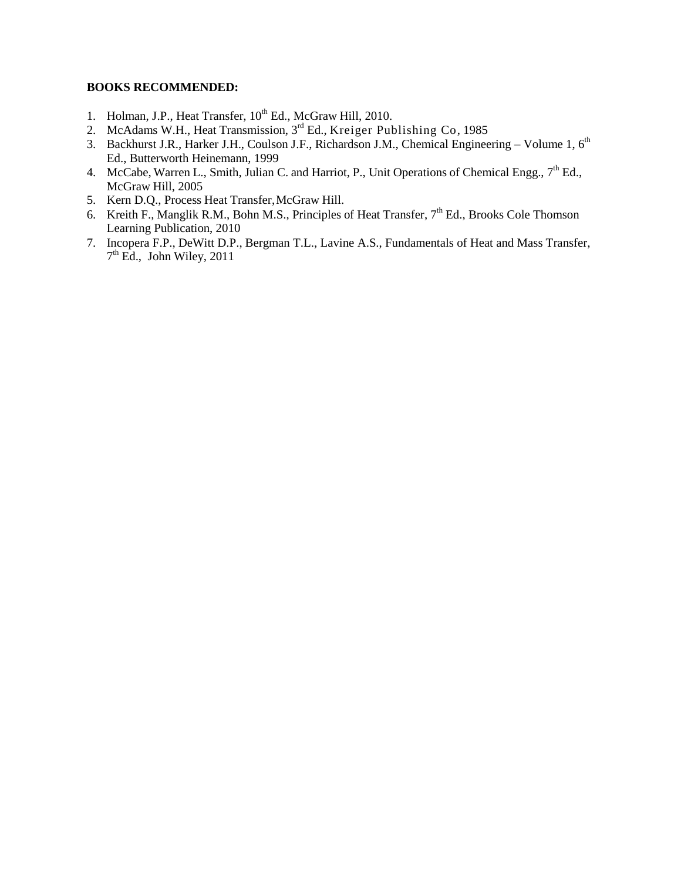- 1. Holman, J.P., Heat Transfer, 10<sup>th</sup> Ed., McGraw Hill, 2010.
- 2. McAdams W.H., Heat Transmission, 3<sup>rd</sup> Ed., Kreiger Publishing Co, 1985
- 3. Backhurst J.R., Harker J.H., Coulson J.F., Richardson J.M., Chemical Engineering Volume 1,  $6<sup>th</sup>$ Ed., Butterworth Heinemann, 1999
- 4. McCabe, Warren L., Smith, Julian C. and Harriot, P., Unit Operations of Chemical Engg.,  $7<sup>th</sup>$  Ed., McGraw Hill, 2005
- 5. Kern D.Q., Process Heat Transfer,McGraw Hill.
- 6. Kreith F., Manglik R.M., Bohn M.S., Principles of Heat Transfer, 7<sup>th</sup> Ed., Brooks Cole Thomson Learning Publication, 2010
- 7. Incopera F.P., DeWitt D.P., Bergman T.L., Lavine A.S., Fundamentals of Heat and Mass Transfer,  $7<sup>th</sup>$  Ed., John Wiley, 2011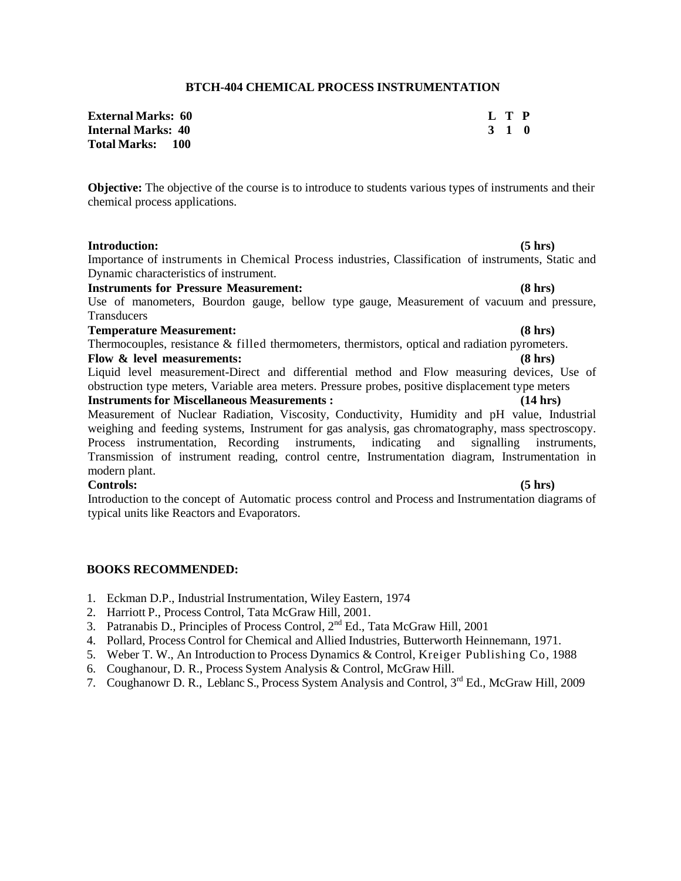### **BTCH-404 CHEMICAL PROCESS INSTRUMENTATION**

| <b>External Marks:   60</b> | L T P |  |
|-----------------------------|-------|--|
| Internal Marks: 40          | 3 1 0 |  |
| Total Marks:      100       |       |  |

**Objective:** The objective of the course is to introduce to students various types of instruments and their chemical process applications.

## **Introduction: (5 hrs)**

Importance of instruments in Chemical Process industries, Classification of instruments, Static and Dynamic characteristics of instrument.

**Instruments for Pressure Measurement: (8 hrs)**

Use of manometers, Bourdon gauge, bellow type gauge, Measurement of vacuum and pressure, **Transducers** 

### **Temperature Measurement: (8 hrs)**

Thermocouples, resistance & filled thermometers, thermistors, optical and radiation pyrometers. **Flow & level measurements: (8 hrs)**

Liquid level measurement-Direct and differential method and Flow measuring devices, Use of obstruction type meters, Variable area meters. Pressure probes, positive displacement type meters **Instruments for Miscellaneous Measurements : (14 hrs)**

Measurement of Nuclear Radiation, Viscosity, Conductivity, Humidity and pH value, Industrial weighing and feeding systems, Instrument for gas analysis, gas chromatography, mass spectroscopy. Process instrumentation, Recording instruments, indicating and signalling instruments, Transmission of instrument reading, control centre, Instrumentation diagram, Instrumentation in modern plant.

## **Controls: (5 hrs)**

Introduction to the concept of Automatic process control and Process and Instrumentation diagrams of typical units like Reactors and Evaporators.

- 1. Eckman D.P., Industrial Instrumentation, Wiley Eastern, 1974
- 2. Harriott P., Process Control, Tata McGraw Hill, 2001.
- 3. Patranabis D., Principles of Process Control,  $2<sup>nd</sup> Ed$ ., Tata McGraw Hill, 2001
- 4. Pollard, Process Control for Chemical and Allied Industries, Butterworth Heinnemann, 1971.
- 5. Weber T. W., An Introduction to Process Dynamics & Control, Kreiger Publishing Co, 1988
- 6. Coughanour, D. R., Process System Analysis & Control, McGraw Hill.
- 7. Coughanowr D. R., Leblanc S., Process System Analysis and Control, 3rd Ed., McGraw Hill, 2009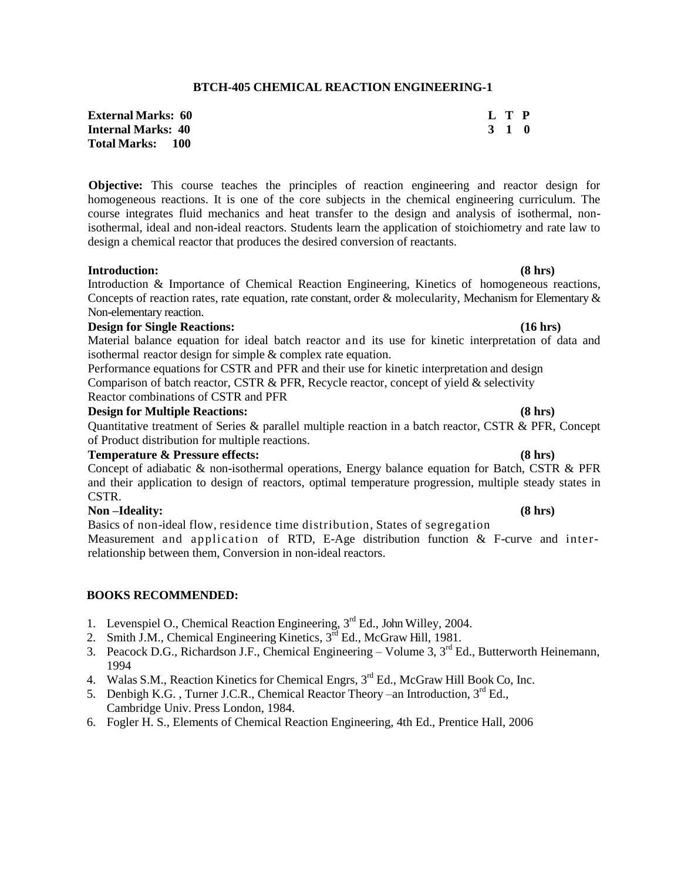## **BTCH-405 CHEMICAL REACTION ENGINEERING-1**

| <b>External Marks:   60</b> |       | L T P |  |
|-----------------------------|-------|-------|--|
| Internal Marks: 40          | 3 1 0 |       |  |
| Total Marks:      100       |       |       |  |

**Objective:** This course teaches the principles of reaction engineering and reactor design for homogeneous reactions. It is one of the core subjects in the chemical engineering curriculum. The course integrates fluid mechanics and heat transfer to the design and analysis of isothermal, nonisothermal, ideal and non-ideal reactors. Students learn the application of stoichiometry and rate law to design a chemical reactor that produces the desired conversion of reactants.

### **Introduction: (8 hrs)**

Introduction & Importance of Chemical Reaction Engineering, Kinetics of homogeneous reactions, Concepts of reaction rates, rate equation, rate constant, order & molecularity, Mechanism for Elementary & Non-elementary reaction.

## **Design for Single Reactions: (16 hrs)**

Material balance equation for ideal batch reactor and its use for kinetic interpretation of data and isothermal reactor design for simple & complex rate equation.

Performance equations for CSTR and PFR and their use for kinetic interpretation and design Comparison of batch reactor, CSTR  $&$  PFR, Recycle reactor, concept of yield  $&$  selectivity Reactor combinations of CSTR and PFR

## **Design for Multiple Reactions: (8 hrs)**

Quantitative treatment of Series & parallel multiple reaction in a batch reactor, CSTR & PFR, Concept of Product distribution for multiple reactions.

### **Temperature & Pressure effects: (8 hrs)**

Concept of adiabatic & non-isothermal operations, Energy balance equation for Batch, CSTR & PFR and their application to design of reactors, optimal temperature progression, multiple steady states in CSTR.

# **Non –Ideality: (8 hrs)**

Basics of non-ideal flow, residence time distribution, States of segregation Measurement and application of RTD, E-Age distribution function & F-curve and interrelationship between them, Conversion in non-ideal reactors.

- 1. Levenspiel O., Chemical Reaction Engineering,  $3<sup>rd</sup>$  Ed., John Willey, 2004.
- 2. Smith J.M., Chemical Engineering Kinetics,  $3^{rd}$  Ed., McGraw Hill, 1981.
- 3. Peacock D.G., Richardson J.F., Chemical Engineering Volume 3, 3<sup>rd</sup> Ed., Butterworth Heinemann, 1994
- 4. Walas S.M., Reaction Kinetics for Chemical Engrs, 3<sup>rd</sup> Ed., McGraw Hill Book Co, Inc.
- 5. Denbigh K.G., Turner J.C.R., Chemical Reactor Theory –an Introduction, 3<sup>rd</sup> Ed., Cambridge Univ. Press London, 1984.
- 6. Fogler H. S., Elements of Chemical Reaction Engineering, 4th Ed., Prentice Hall, 2006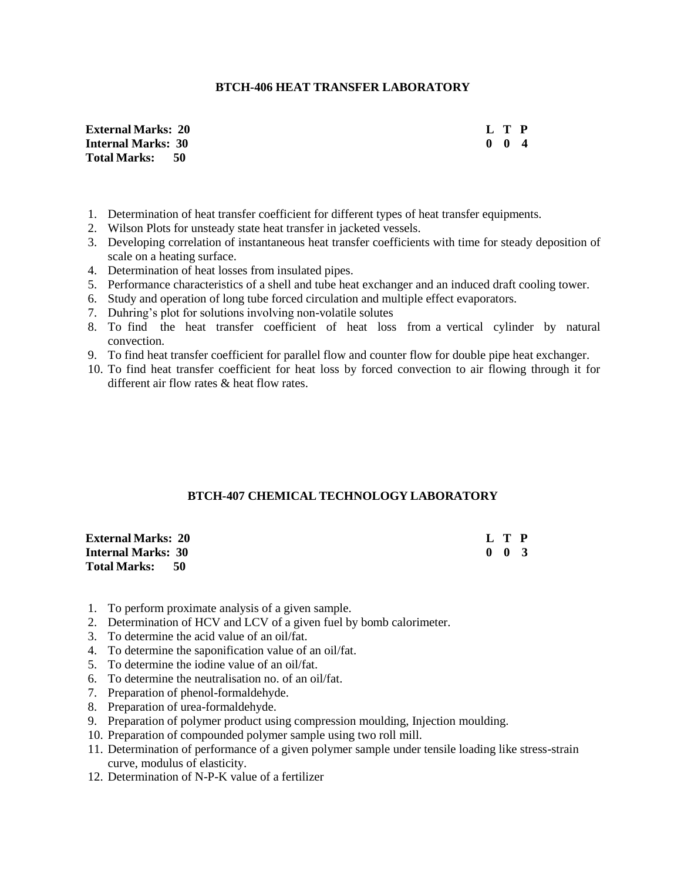## **BTCH-406 HEAT TRANSFER LABORATORY**

**External Marks:** 20<br> **L** T P<br> **Internal Marks:** 30<br> **0** 0 4 **Internal Marks: 30 Total Marks: 50**

- 1. Determination of heat transfer coefficient for different types of heat transfer equipments.
- 2. Wilson Plots for unsteady state heat transfer in jacketed vessels.
- 3. Developing correlation of instantaneous heat transfer coefficients with time for steady deposition of scale on a heating surface.
- 4. Determination of heat losses from insulated pipes.
- 5. Performance characteristics of a shell and tube heat exchanger and an induced draft cooling tower.
- 6. Study and operation of long tube forced circulation and multiple effect evaporators.
- 7. Duhring's plot for solutions involving non-volatile solutes
- 8. To find the heat transfer coefficient of heat loss from a vertical cylinder by natural convection.
- 9. To find heat transfer coefficient for parallel flow and counter flow for double pipe heat exchanger.
- 10. To find heat transfer coefficient for heat loss by forced convection to air flowing through it for different air flow rates & heat flow rates.

# **BTCH-407 CHEMICAL TECHNOLOGY LABORATORY**

| <b>External Marks: 20</b> |  | L T P               |  |
|---------------------------|--|---------------------|--|
| <b>Internal Marks: 30</b> |  | $0 \quad 0 \quad 3$ |  |
| <b>Total Marks: 50</b>    |  |                     |  |

- 1. To perform proximate analysis of a given sample.
- 2. Determination of HCV and LCV of a given fuel by bomb calorimeter.
- 3. To determine the acid value of an oil/fat.
- 4. To determine the saponification value of an oil/fat.
- 5. To determine the iodine value of an oil/fat.
- 6. To determine the neutralisation no. of an oil/fat.
- 7. Preparation of phenol-formaldehyde.
- 8. Preparation of urea-formaldehyde.
- 9. Preparation of polymer product using compression moulding, Injection moulding.
- 10. Preparation of compounded polymer sample using two roll mill.
- 11. Determination of performance of a given polymer sample under tensile loading like stress-strain curve, modulus of elasticity.
- 12. Determination of N-P-K value of a fertilizer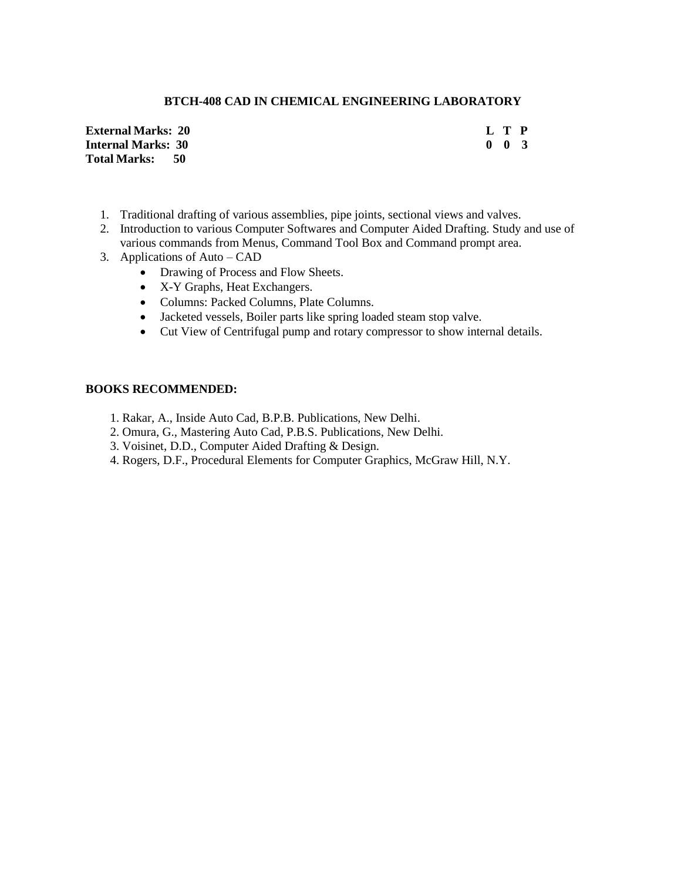# **BTCH-408 CAD IN CHEMICAL ENGINEERING LABORATORY**

**External Marks: 20 L T P Internal Marks: 30 0 0 3 Total Marks: 50**

- 1. Traditional drafting of various assemblies, pipe joints, sectional views and valves.
- 2. Introduction to various Computer Softwares and Computer Aided Drafting. Study and use of various commands from Menus, Command Tool Box and Command prompt area.
- 3. Applications of Auto CAD
	- Drawing of Process and Flow Sheets.
	- X-Y Graphs, Heat Exchangers.
	- Columns: Packed Columns, Plate Columns.
	- Jacketed vessels, Boiler parts like spring loaded steam stop valve.
	- Cut View of Centrifugal pump and rotary compressor to show internal details.

- 1. Rakar, A., Inside Auto Cad, B.P.B. Publications, New Delhi.
- 2. Omura, G., Mastering Auto Cad, P.B.S. Publications, New Delhi.
- 3. Voisinet, D.D., Computer Aided Drafting & Design.
- 4. Rogers, D.F., Procedural Elements for Computer Graphics, McGraw Hill, N.Y.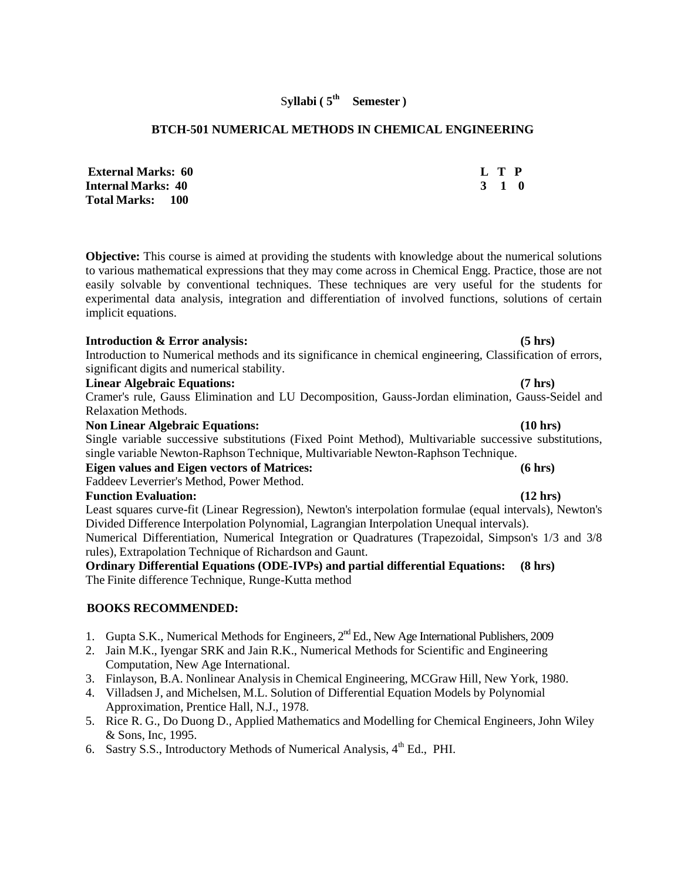#### S**yllabi ( 5 th Semester )**

## **BTCH-501 NUMERICAL METHODS IN CHEMICAL ENGINEERING**

| <b>External Marks: 60</b> |       | L T P |  |
|---------------------------|-------|-------|--|
| Internal Marks:  40       | 3 1 0 |       |  |
| Total Marks: 100          |       |       |  |

**Objective:** This course is aimed at providing the students with knowledge about the numerical solutions to various mathematical expressions that they may come across in Chemical Engg. Practice, those are not easily solvable by conventional techniques. These techniques are very useful for the students for experimental data analysis, integration and differentiation of involved functions, solutions of certain implicit equations.

### **Introduction & Error analysis: (5 hrs)**

Introduction to Numerical methods and its significance in chemical engineering, Classification of errors, significant digits and numerical stability.

#### **Linear Algebraic Equations: (7 hrs)**

Cramer's rule, Gauss Elimination and LU Decomposition, Gauss-Jordan elimination, Gauss-Seidel and Relaxation Methods.

#### **Non Linear Algebraic Equations: (10 hrs)**

Single variable successive substitutions (Fixed Point Method), Multivariable successive substitutions, single variable Newton-Raphson Technique, Multivariable Newton-Raphson Technique.

### **Eigen values and Eigen vectors of Matrices: (6 hrs)**

Faddeev Leverrier's Method, Power Method.

#### **Function Evaluation: (12 hrs)**

Least squares curve-fit (Linear Regression), Newton's interpolation formulae (equal intervals), Newton's Divided Difference Interpolation Polynomial, Lagrangian Interpolation Unequal intervals). Numerical Differentiation, Numerical Integration or Quadratures (Trapezoidal, Simpson's 1/3 and 3/8 rules), Extrapolation Technique of Richardson and Gaunt.

**Ordinary Differential Equations (ODE-IVPs) and partial differential Equations: (8 hrs)** The Finite difference Technique, Runge-Kutta method

- 1. Gupta S.K., Numerical Methods for Engineers, 2<sup>nd</sup> Ed., New Age International Publishers, 2009
- 2. Jain M.K., Iyengar SRK and Jain R.K., Numerical Methods for Scientific and Engineering Computation, New Age International.
- 3. Finlayson, B.A. Nonlinear Analysis in Chemical Engineering, MCGraw Hill, New York, 1980.
- 4. Villadsen J, and Michelsen, M.L. Solution of Differential Equation Models by Polynomial Approximation, Prentice Hall, N.J., 1978.
- 5. Rice R. G., Do Duong D., Applied Mathematics and Modelling for Chemical Engineers, John Wiley & Sons, Inc, 1995.
- 6. Sastry S.S., Introductory Methods of Numerical Analysis,  $4<sup>th</sup>$  Ed., PHI.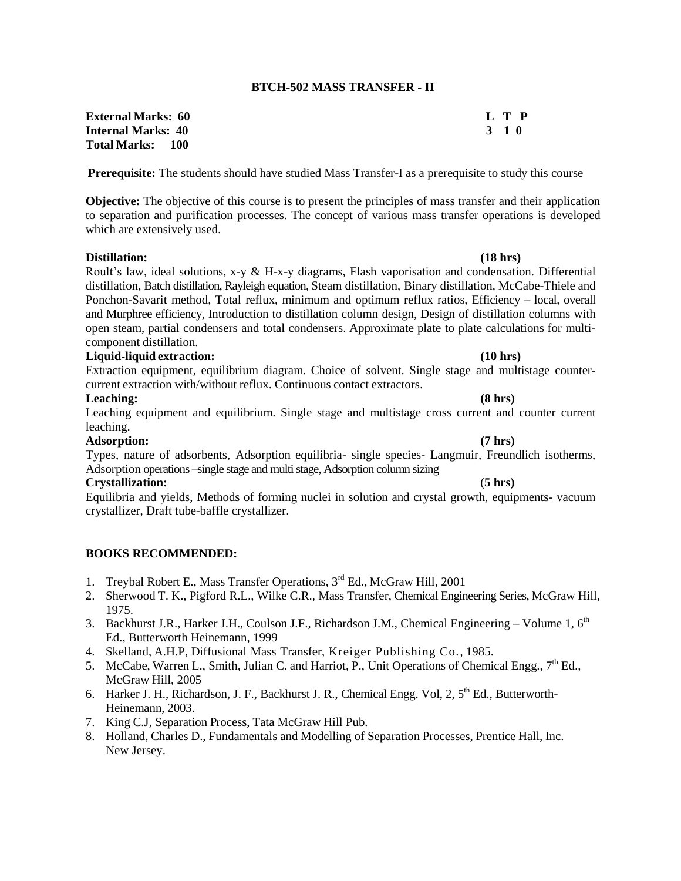### **BTCH-502 MASS TRANSFER - II**

**External Marks: 60 L T P Internal Marks: 40 3 1 0 Total Marks: 100**

**Prerequisite:** The students should have studied Mass Transfer-I as a prerequisite to study this course

**Objective:** The objective of this course is to present the principles of mass transfer and their application to separation and purification processes. The concept of various mass transfer operations is developed which are extensively used.

### **Distillation: (18 hrs)**

Roult's law, ideal solutions, x-y & H-x-y diagrams, Flash vaporisation and condensation. Differential distillation, Batch distillation, Rayleigh equation, Steam distillation, Binary distillation, McCabe-Thiele and Ponchon-Savarit method, Total reflux, minimum and optimum reflux ratios, Efficiency – local, overall and Murphree efficiency, Introduction to distillation column design, Design of distillation columns with open steam, partial condensers and total condensers. Approximate plate to plate calculations for multicomponent distillation.

## **Liquid-liquid extraction: (10 hrs)**

Extraction equipment, equilibrium diagram. Choice of solvent. Single stage and multistage countercurrent extraction with/without reflux. Continuous contact extractors.

#### **Leaching: (8 hrs)**

Leaching equipment and equilibrium. Single stage and multistage cross current and counter current leaching.

#### **Adsorption: (7 hrs)**

Types, nature of adsorbents, Adsorption equilibria- single species- Langmuir, Freundlich isotherms, Adsorption operations –single stage and multi stage, Adsorption column sizing

### **Crystallization:** (**5 hrs)**

Equilibria and yields, Methods of forming nuclei in solution and crystal growth, equipments- vacuum crystallizer, Draft tube-baffle crystallizer.

- 1. Treybal Robert E., Mass Transfer Operations, 3<sup>rd</sup> Ed., McGraw Hill, 2001
- 2. Sherwood T. K., Pigford R.L., Wilke C.R., Mass Transfer, Chemical Engineering Series, McGraw Hill, 1975.
- 3. Backhurst J.R., Harker J.H., Coulson J.F., Richardson J.M., Chemical Engineering Volume 1,  $6<sup>th</sup>$ Ed., Butterworth Heinemann, 1999
- 4. Skelland, A.H.P, Diffusional Mass Transfer, Kreiger Publishing Co., 1985.
- 5. McCabe, Warren L., Smith, Julian C. and Harriot, P., Unit Operations of Chemical Engg.,  $7<sup>th</sup>$  Ed., McGraw Hill, 2005
- 6. Harker J. H., Richardson, J. F., Backhurst J. R., Chemical Engg. Vol, 2,  $5<sup>th</sup>$  Ed., Butterworth-Heinemann, 2003.
- 7. King C.J, Separation Process, Tata McGraw Hill Pub.
- 8. Holland, Charles D., Fundamentals and Modelling of Separation Processes, Prentice Hall, Inc. New Jersey.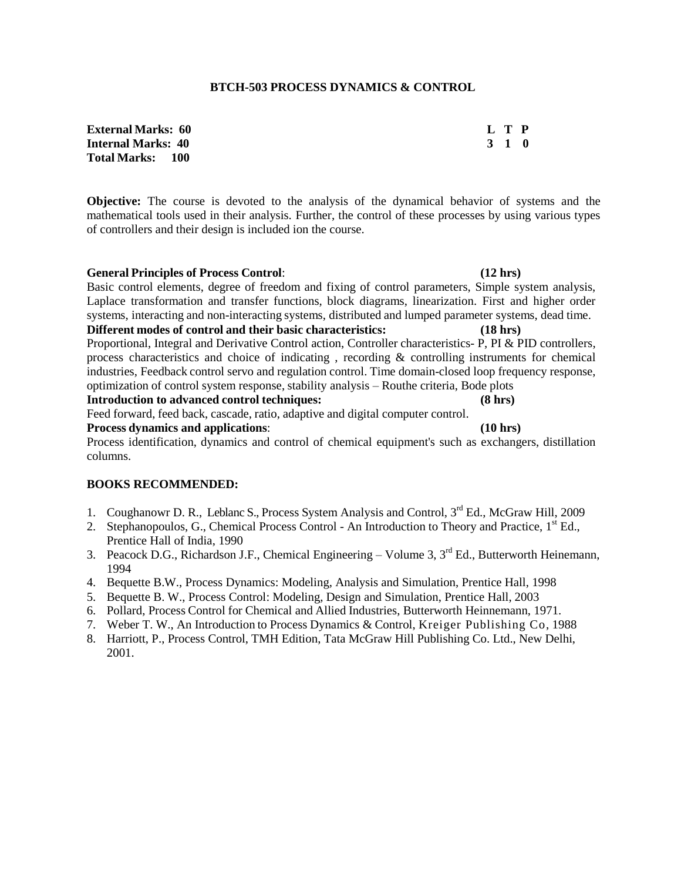### **BTCH-503 PROCESS DYNAMICS & CONTROL**

**External Marks: 60 L T P Internal Marks: 40 3 1 0 Total Marks: 100**

**Objective:** The course is devoted to the analysis of the dynamical behavior of systems and the mathematical tools used in their analysis. Further, the control of these processes by using various types of controllers and their design is included ion the course.

**General Principles of Process Control**: **(12 hrs)** Basic control elements, degree of freedom and fixing of control parameters, Simple system analysis, Laplace transformation and transfer functions, block diagrams, linearization. First and higher order systems, interacting and non-interacting systems, distributed and lumped parameter systems, dead time. **Different modes of control and their basic characteristics: (18 hrs)** Proportional, Integral and Derivative Control action, Controller characteristics- P, PI & PID controllers, process characteristics and choice of indicating , recording & controlling instruments for chemical industries, Feedback control servo and regulation control. Time domain-closed loop frequency response, optimization of control system response, stability analysis – Routhe criteria, Bode plots **Introduction to advanced control techniques: (8 hrs)** Feed forward, feed back, cascade, ratio, adaptive and digital computer control. **Process dynamics and applications**: **(10 hrs)**

Process identification, dynamics and control of chemical equipment's such as exchangers, distillation columns.

- 1. Coughanowr D. R., Leblanc S., Process System Analysis and Control, 3<sup>rd</sup> Ed., McGraw Hill, 2009
- 2. Stephanopoulos, G., Chemical Process Control An Introduction to Theory and Practice, 1<sup>st</sup> Ed., Prentice Hall of India, 1990
- 3. Peacock D.G., Richardson J.F., Chemical Engineering Volume 3, 3<sup>rd</sup> Ed., Butterworth Heinemann, 1994
- 4. Bequette B.W., Process Dynamics: Modeling, Analysis and Simulation, Prentice Hall, 1998
- 5. Bequette B. W., Process Control: Modeling, Design and Simulation, Prentice Hall, 2003
- 6. Pollard, Process Control for Chemical and Allied Industries, Butterworth Heinnemann, 1971.
- 7. Weber T. W., An Introduction to Process Dynamics & Control, Kreiger Publishing Co, 1988
- 8. Harriott, P., Process Control, TMH Edition, Tata McGraw Hill Publishing Co. Ltd., New Delhi, 2001.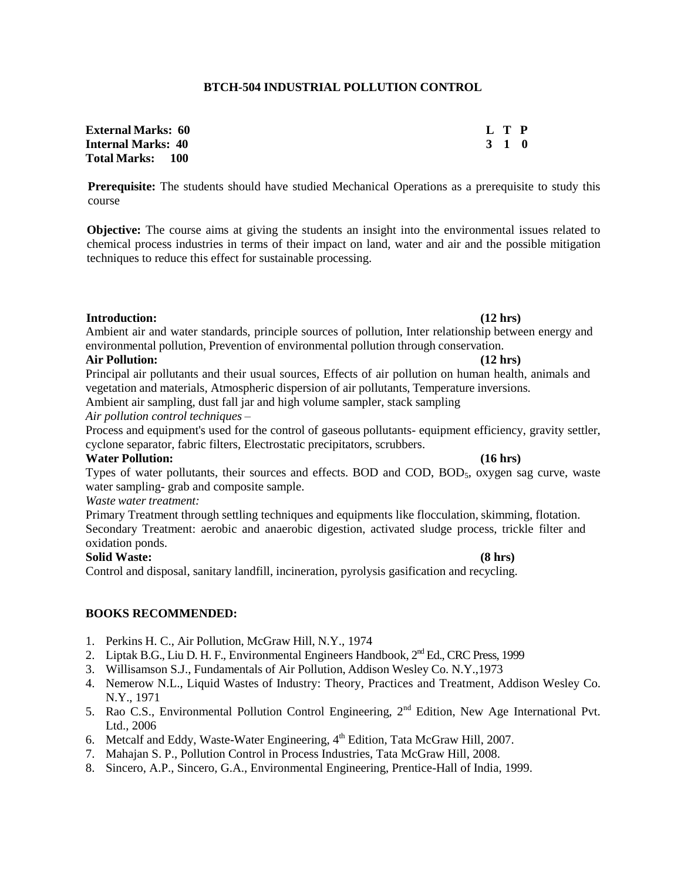## **BTCH-504 INDUSTRIAL POLLUTION CONTROL**

| <b>External Marks:  60</b> | L T P |
|----------------------------|-------|
| Internal Marks: 40         | 3 1 0 |
| Total Marks: 100           |       |

**Prerequisite:** The students should have studied Mechanical Operations as a prerequisite to study this course

**Objective:** The course aims at giving the students an insight into the environmental issues related to chemical process industries in terms of their impact on land, water and air and the possible mitigation techniques to reduce this effect for sustainable processing.

### **Introduction: (12 hrs)**

Ambient air and water standards, principle sources of pollution, Inter relationship between energy and environmental pollution, Prevention of environmental pollution through conservation.

#### **Air Pollution: (12 hrs)**

Principal air pollutants and their usual sources, Effects of air pollution on human health, animals and vegetation and materials, Atmospheric dispersion of air pollutants, Temperature inversions.

Ambient air sampling, dust fall jar and high volume sampler, stack sampling

*Air pollution control techniques* –

Process and equipment's used for the control of gaseous pollutants- equipment efficiency, gravity settler, cyclone separator, fabric filters, Electrostatic precipitators, scrubbers.

## **Water Pollution: (16 hrs)**

Types of water pollutants, their sources and effects. BOD and COD, BOD<sub>5</sub>, oxygen sag curve, waste water sampling- grab and composite sample.

### *Waste water treatment:*

Primary Treatment through settling techniques and equipments like flocculation, skimming, flotation. Secondary Treatment: aerobic and anaerobic digestion, activated sludge process, trickle filter and oxidation ponds.

## **Solid Waste: (8 hrs)**

Control and disposal, sanitary landfill, incineration, pyrolysis gasification and recycling.

- 1. Perkins H. C., Air Pollution, McGraw Hill, N.Y., 1974
- 2. Liptak B.G., Liu D. H. F., Environmental Engineers Handbook, 2<sup>nd</sup> Ed., CRC Press. 1999
- 3. Willisamson S.J., Fundamentals of Air Pollution, Addison Wesley Co. N.Y.,1973
- 4. Nemerow N.L., Liquid Wastes of Industry: Theory, Practices and Treatment, Addison Wesley Co. N.Y., 1971
- 5. Rao C.S., Environmental Pollution Control Engineering, 2<sup>nd</sup> Edition, New Age International Pvt. Ltd., 2006
- 6. Metcalf and Eddy, Waste-Water Engineering,  $4<sup>th</sup>$  Edition, Tata McGraw Hill, 2007.
- 7. Mahajan S. P., Pollution Control in Process Industries, Tata McGraw Hill, 2008.
- 8. Sincero, A.P., Sincero, G.A., Environmental Engineering, Prentice-Hall of India, 1999.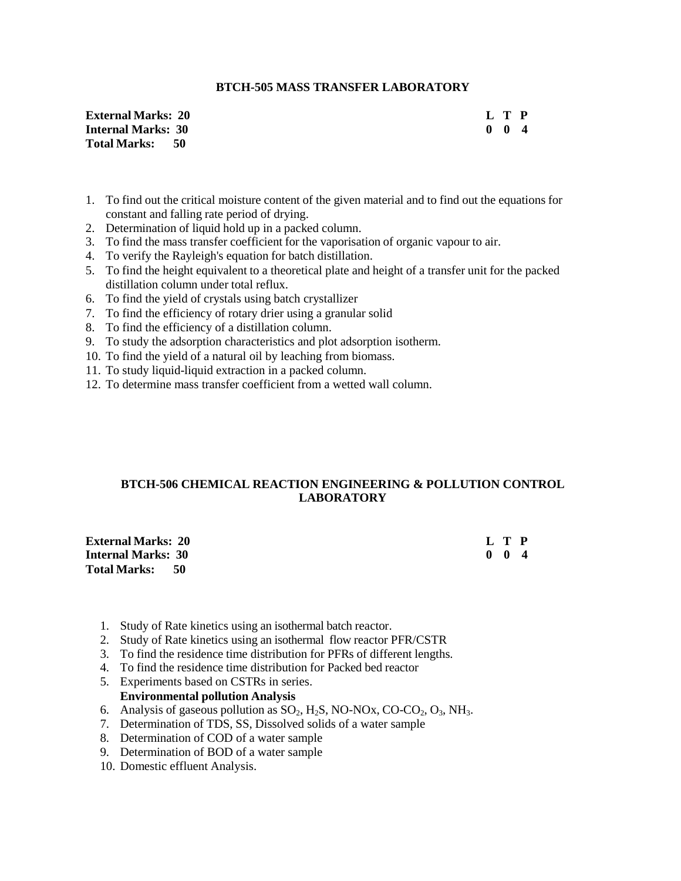## **BTCH-505 MASS TRANSFER LABORATORY**

**External Marks: 20 Internal Marks: 30 Total Marks: 50**

| L         |   | P |
|-----------|---|---|
| $\bullet$ | 0 | 4 |

- 1. To find out the critical moisture content of the given material and to find out the equations for constant and falling rate period of drying.
- 2. Determination of liquid hold up in a packed column.
- 3. To find the mass transfer coefficient for the vaporisation of organic vapour to air.
- 4. To verify the Rayleigh's equation for batch distillation.
- 5. To find the height equivalent to a theoretical plate and height of a transfer unit for the packed distillation column under total reflux.
- 6. To find the yield of crystals using batch crystallizer
- 7. To find the efficiency of rotary drier using a granular solid
- 8. To find the efficiency of a distillation column.
- 9. To study the adsorption characteristics and plot adsorption isotherm.
- 10. To find the yield of a natural oil by leaching from biomass.
- 11. To study liquid-liquid extraction in a packed column.
- 12. To determine mass transfer coefficient from a wetted wall column.

# **BTCH-506 CHEMICAL REACTION ENGINEERING & POLLUTION CONTROL LABORATORY**

| <b>External Marks: 20</b> |  | L T P               |  |
|---------------------------|--|---------------------|--|
| Internal Marks: 30        |  | $0 \quad 0 \quad 4$ |  |
| Total Marks: 50           |  |                     |  |

- 1. Study of Rate kinetics using an isothermal batch reactor.
- 2. Study of Rate kinetics using an isothermal flow reactor PFR/CSTR
- 3. To find the residence time distribution for PFRs of different lengths.
- 4. To find the residence time distribution for Packed bed reactor
- 5. Experiments based on CSTRs in series.

## **Environmental pollution Analysis**

- 6. Analysis of gaseous pollution as  $SO_2$ ,  $H_2S$ , NO-NOx, CO-CO<sub>2</sub>, O<sub>3</sub>, NH<sub>3</sub>.
- 7. Determination of TDS, SS, Dissolved solids of a water sample
- 8. Determination of COD of a water sample
- 9. Determination of BOD of a water sample
- 10. Domestic effluent Analysis.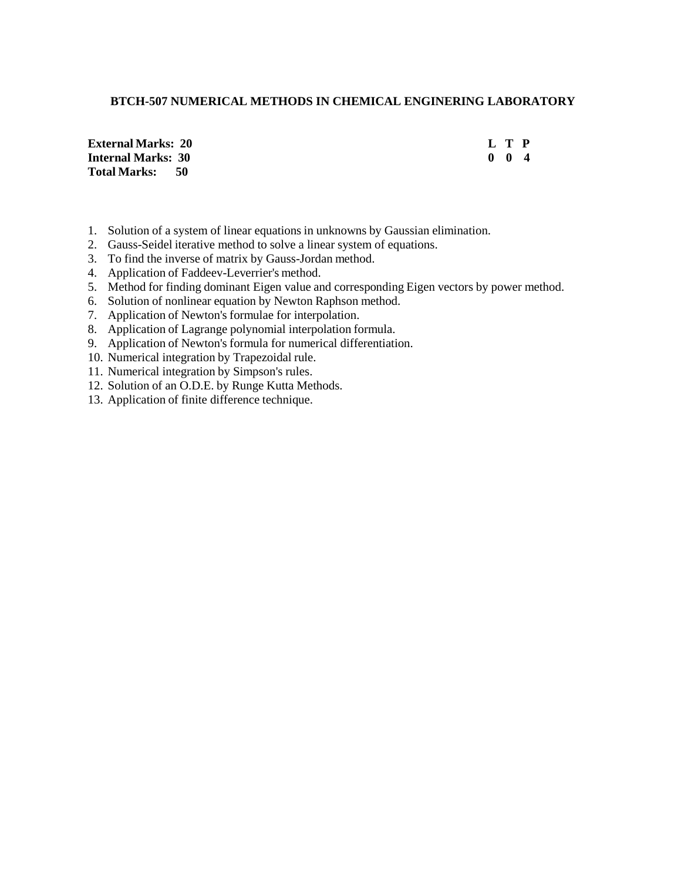# **BTCH-507 NUMERICAL METHODS IN CHEMICAL ENGINERING LABORATORY**

**External Marks: 20 Internal Marks: 30 Total Marks: 50**

| L |   | Р |
|---|---|---|
| 0 | o | 4 |

- 1. Solution of a system of linear equations in unknowns by Gaussian elimination.
- 2. Gauss-Seidel iterative method to solve a linear system of equations.
- 3. To find the inverse of matrix by Gauss-Jordan method.
- 4. Application of Faddeev-Leverrier's method.
- 5. Method for finding dominant Eigen value and corresponding Eigen vectors by power method.
- 6. Solution of nonlinear equation by Newton Raphson method.
- 7. Application of Newton's formulae for interpolation.
- 8. Application of Lagrange polynomial interpolation formula.
- 9. Application of Newton's formula for numerical differentiation.
- 10. Numerical integration by Trapezoidal rule.
- 11. Numerical integration by Simpson's rules.
- 12. Solution of an O.D.E. by Runge Kutta Methods.
- 13. Application of finite difference technique.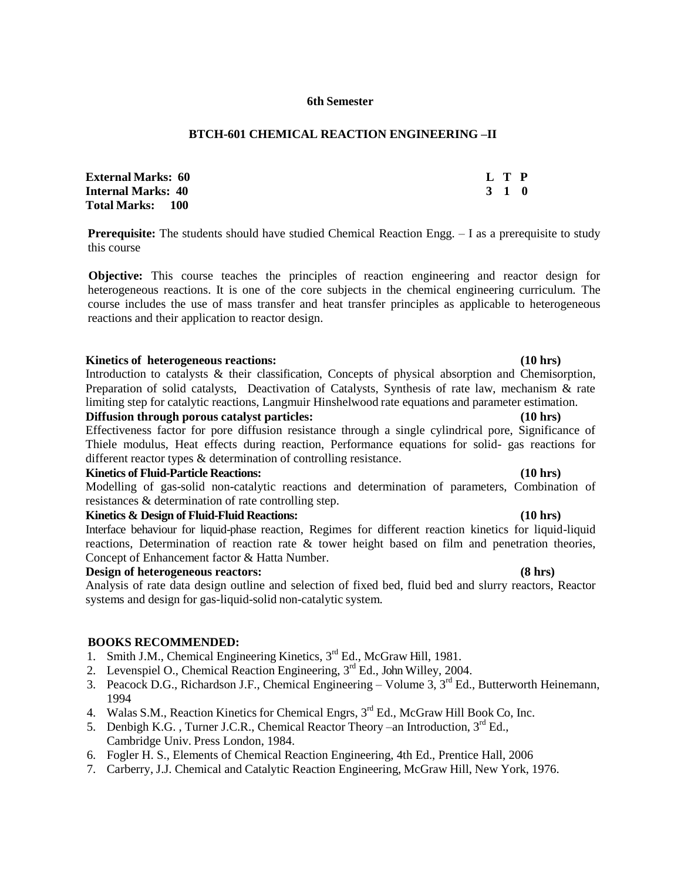### **6th Semester**

## **BTCH-601 CHEMICAL REACTION ENGINEERING –II**

| <b>External Marks:  60</b> | L T P |  |
|----------------------------|-------|--|
| Internal Marks: 40         | 3 1 0 |  |
| Total Marks:      100      |       |  |

**Prerequisite:** The students should have studied Chemical Reaction Engg.  $- I$  as a prerequisite to study this course

**Objective:** This course teaches the principles of reaction engineering and reactor design for heterogeneous reactions. It is one of the core subjects in the chemical engineering curriculum. The course includes the use of mass transfer and heat transfer principles as applicable to heterogeneous reactions and their application to reactor design.

### **Kinetics of heterogeneous reactions: (10 hrs)**

Introduction to catalysts & their classification, Concepts of physical absorption and Chemisorption, Preparation of solid catalysts, Deactivation of Catalysts, Synthesis of rate law, mechanism  $\&$  rate limiting step for catalytic reactions, Langmuir Hinshelwood rate equations and parameter estimation.

## **Diffusion through porous catalyst particles: (10 hrs)**

Effectiveness factor for pore diffusion resistance through a single cylindrical pore, Significance of Thiele modulus, Heat effects during reaction, Performance equations for solid- gas reactions for different reactor types & determination of controlling resistance.

#### **Kinetics of Fluid-Particle Reactions: (10 hrs)**

Modelling of gas-solid non-catalytic reactions and determination of parameters, Combination of resistances & determination of rate controlling step.

### **Kinetics & Design of Fluid-Fluid Reactions: (10 hrs)**

Interface behaviour for liquid-phase reaction, Regimes for different reaction kinetics for liquid-liquid reactions, Determination of reaction rate & tower height based on film and penetration theories, Concept of Enhancement factor & Hatta Number.

### **Design of heterogeneous reactors: (8 hrs)**

Analysis of rate data design outline and selection of fixed bed, fluid bed and slurry reactors, Reactor systems and design for gas-liquid-solid non-catalytic system.

- 1. Smith J.M., Chemical Engineering Kinetics, 3<sup>rd</sup> Ed., McGraw Hill, 1981.
- 2. Levenspiel O., Chemical Reaction Engineering,  $3<sup>rd</sup>$  Ed., John Willey, 2004.
- 3. Peacock D.G., Richardson J.F., Chemical Engineering Volume 3,  $3<sup>rd</sup>$  Ed., Butterworth Heinemann, 1994
- 4. Walas S.M., Reaction Kinetics for Chemical Engrs, 3<sup>rd</sup> Ed., McGraw Hill Book Co, Inc.
- 5. Denbigh K.G., Turner J.C.R., Chemical Reactor Theory –an Introduction, 3<sup>rd</sup> Ed., Cambridge Univ. Press London, 1984.
- 6. Fogler H. S., Elements of Chemical Reaction Engineering, 4th Ed., Prentice Hall, 2006
- 7. Carberry, J.J. Chemical and Catalytic Reaction Engineering, McGraw Hill, New York, 1976.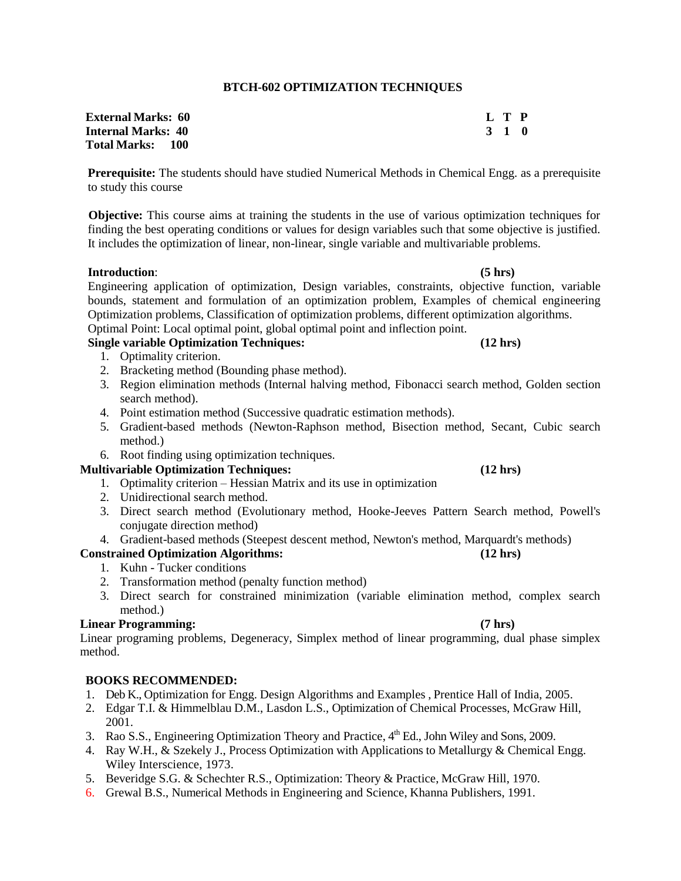# **BTCH-602 OPTIMIZATION TECHNIQUES**

| <b>External Marks: 60</b> | L T P |  |
|---------------------------|-------|--|
| <b>Internal Marks: 40</b> | 3 1 0 |  |
| <b>Total Marks: 100</b>   |       |  |

**Prerequisite:** The students should have studied Numerical Methods in Chemical Engg. as a prerequisite to study this course

**Objective:** This course aims at training the students in the use of various optimization techniques for finding the best operating conditions or values for design variables such that some objective is justified. It includes the optimization of linear, non-linear, single variable and multivariable problems.

# **Introduction**: **(5 hrs)**

Engineering application of optimization, Design variables, constraints, objective function, variable bounds, statement and formulation of an optimization problem, Examples of chemical engineering Optimization problems, Classification of optimization problems, different optimization algorithms. Optimal Point: Local optimal point, global optimal point and inflection point.

# **Single variable Optimization Techniques: (12 hrs)**

- 1. Optimality criterion.
- 2. Bracketing method (Bounding phase method).
- 3. Region elimination methods (Internal halving method, Fibonacci search method, Golden section search method).
- 4. Point estimation method (Successive quadratic estimation methods).
- 5. Gradient-based methods (Newton-Raphson method, Bisection method, Secant, Cubic search method.)
- 6. Root finding using optimization techniques.

# **Multivariable Optimization Techniques: (12 hrs)**

- 1. Optimality criterion Hessian Matrix and its use in optimization
- 2. Unidirectional search method.
- 3. Direct search method (Evolutionary method, Hooke-Jeeves Pattern Search method, Powell's conjugate direction method)
- 4. Gradient-based methods (Steepest descent method, Newton's method, Marquardt's methods)

# **Constrained Optimization Algorithms: (12 hrs)**

- 1. Kuhn Tucker conditions
- 2. Transformation method (penalty function method)
- 3. Direct search for constrained minimization (variable elimination method, complex search method.)

## **Linear Programming: (7 hrs)**

Linear programing problems, Degeneracy, Simplex method of linear programming, dual phase simplex method.

- 1. Deb K., Optimization for Engg. Design Algorithms and Examples , Prentice Hall of India, 2005.
- 2. Edgar T.I. & Himmelblau D.M., Lasdon L.S., Optimization of Chemical Processes, McGraw Hill, 2001.
- 3. Rao S.S., Engineering Optimization Theory and Practice, 4<sup>th</sup> Ed., John Wiley and Sons, 2009.
- 4. Ray W.H., & Szekely J., Process Optimization with Applications to Metallurgy & Chemical Engg. Wiley Interscience, 1973.
- 5. Beveridge S.G. & Schechter R.S., Optimization: Theory & Practice, McGraw Hill, 1970.
- 6. Grewal B.S., Numerical Methods in Engineering and Science, Khanna Publishers, 1991.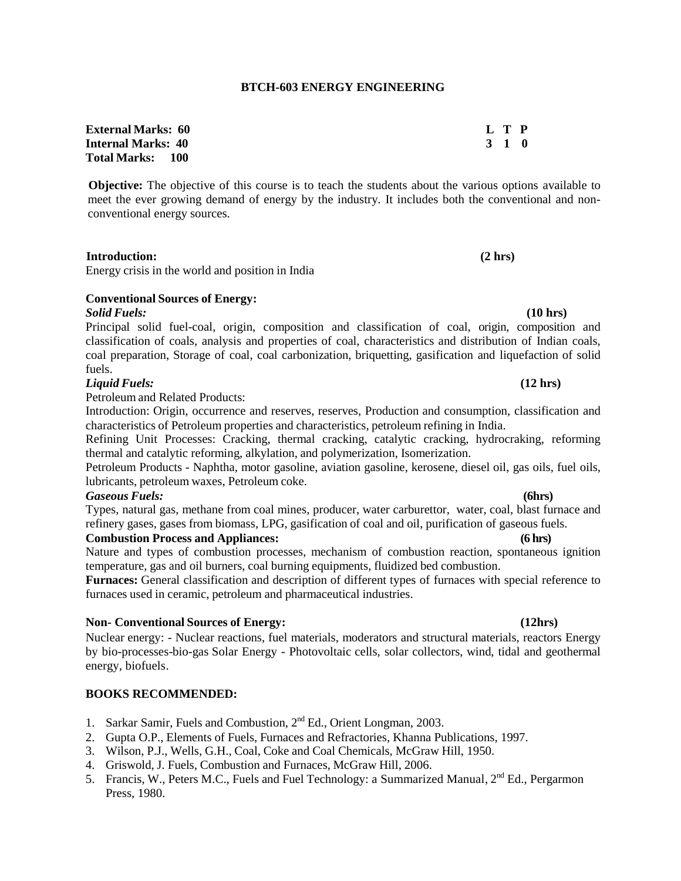| <b>External Marks:  60</b> | L T P |  |
|----------------------------|-------|--|
| Internal Marks: 40         | 3 1 0 |  |
| Total Marks:      100      |       |  |

**Objective:** The objective of this course is to teach the students about the various options available to meet the ever growing demand of energy by the industry. It includes both the conventional and nonconventional energy sources.

 **Introduction: (2 hrs)** Energy crisis in the world and position in India

# **Conventional Sources of Energy:**

# *Solid Fuels:* **(10 hrs)**

Principal solid fuel-coal, origin, composition and classification of coal, origin, composition and classification of coals, analysis and properties of coal, characteristics and distribution of Indian coals, coal preparation, Storage of coal, coal carbonization, briquetting, gasification and liquefaction of solid fuels.

#### *Liquid Fuels:* **(12 hrs)**

Petroleum and Related Products:

Introduction: Origin, occurrence and reserves, reserves, Production and consumption, classification and characteristics of Petroleum properties and characteristics, petroleum refining in India.

Refining Unit Processes: Cracking, thermal cracking, catalytic cracking, hydrocraking, reforming thermal and catalytic reforming, alkylation, and polymerization, Isomerization.

Petroleum Products - Naphtha, motor gasoline, aviation gasoline, kerosene, diesel oil, gas oils, fuel oils, lubricants, petroleum waxes, Petroleum coke.

### *Gaseous Fuels:* **(6hrs)**

Types, natural gas, methane from coal mines, producer, water carburettor, water, coal, blast furnace and refinery gases, gases from biomass, LPG, gasification of coal and oil, purification of gaseous fuels.

### **Combustion Process and Appliances: (6 hrs)**

Nature and types of combustion processes, mechanism of combustion reaction, spontaneous ignition temperature, gas and oil burners, coal burning equipments, fluidized bed combustion.

**Furnaces:** General classification and description of different types of furnaces with special reference to furnaces used in ceramic, petroleum and pharmaceutical industries.

#### **Non- Conventional Sources of Energy: (12hrs)**

Nuclear energy: - Nuclear reactions, fuel materials, moderators and structural materials, reactors Energy by bio-processes-bio-gas Solar Energy - Photovoltaic cells, solar collectors, wind, tidal and geothermal energy, biofuels.

- 1. Sarkar Samir, Fuels and Combustion, 2<sup>nd</sup> Ed., Orient Longman, 2003.
- 2. Gupta O.P., Elements of Fuels, Furnaces and Refractories, Khanna Publications, 1997.
- 3. Wilson, P.J., Wells, G.H., Coal, Coke and Coal Chemicals, McGraw Hill, 1950.
- 4. Griswold, J. Fuels, Combustion and Furnaces, McGraw Hill, 2006.
- 5. Francis, W., Peters M.C., Fuels and Fuel Technology: a Summarized Manual, 2<sup>nd</sup> Ed., Pergarmon Press, 1980.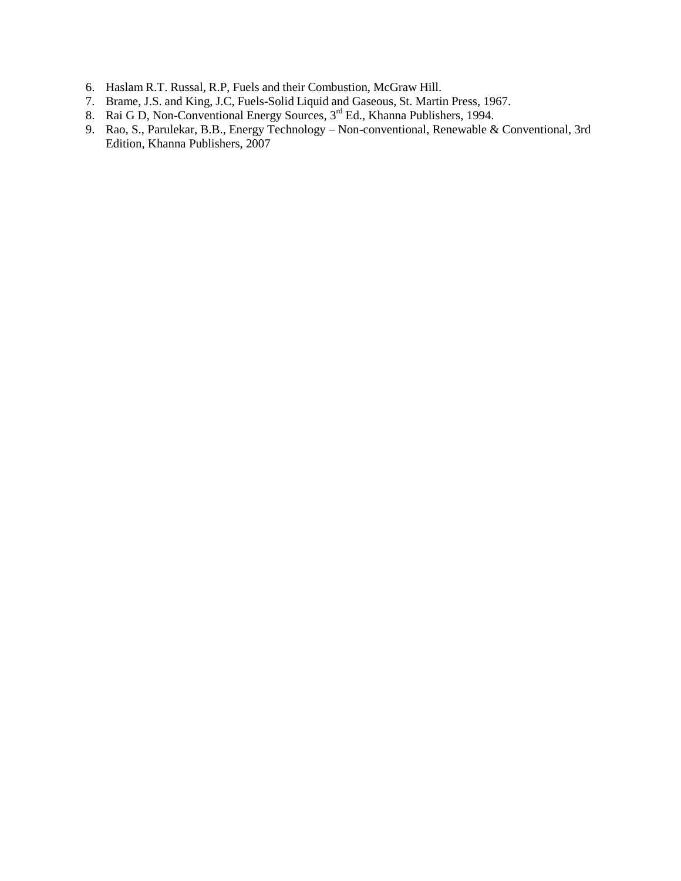- 6. Haslam R.T. Russal, R.P, Fuels and their Combustion, McGraw Hill.
- 7. Brame, J.S. and King, J.C, Fuels-Solid Liquid and Gaseous, St. Martin Press, 1967.
- 8. Rai G D, Non-Conventional Energy Sources, 3<sup>rd</sup> Ed., Khanna Publishers, 1994.
- 9. Rao, S., Parulekar, B.B., Energy Technology Non-conventional, Renewable & Conventional, 3rd Edition, Khanna Publishers, 2007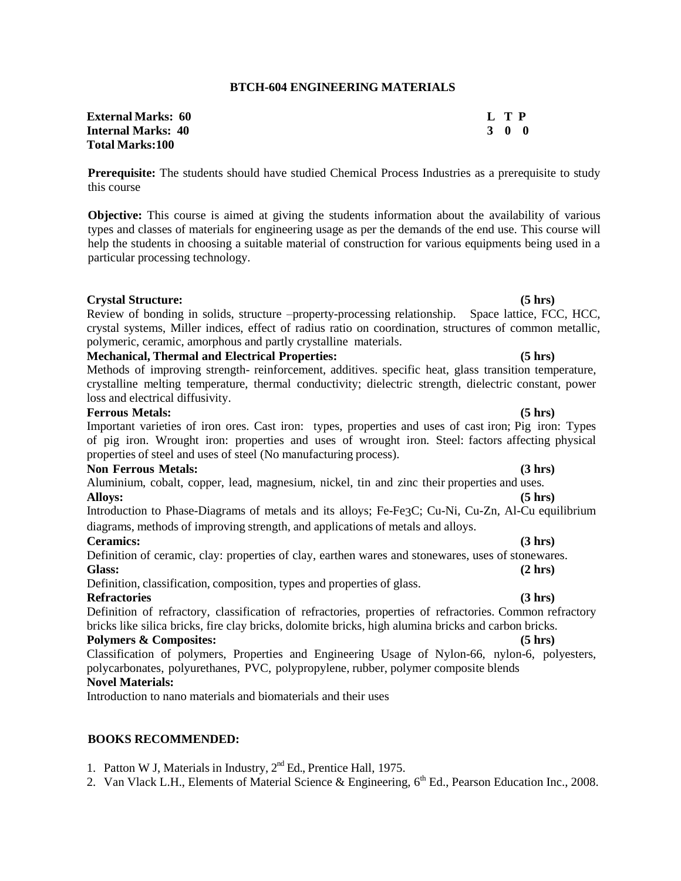#### **BTCH-604 ENGINEERING MATERIALS**

| <b>External Marks:   60</b> | $L$ T P |       |
|-----------------------------|---------|-------|
| Internal Marks: 40          |         | 3 O O |
| Total Marks:100             |         |       |

**Prerequisite:** The students should have studied Chemical Process Industries as a prerequisite to study this course

**Objective:** This course is aimed at giving the students information about the availability of various types and classes of materials for engineering usage as per the demands of the end use. This course will help the students in choosing a suitable material of construction for various equipments being used in a particular processing technology.

#### **Crystal Structure: (5 hrs)**

Review of bonding in solids, structure –property-processing relationship. Space lattice, FCC, HCC, crystal systems, Miller indices, effect of radius ratio on coordination, structures of common metallic, polymeric, ceramic, amorphous and partly crystalline materials. **Mechanical, Thermal and Electrical Properties: (5 hrs)**

Methods of improving strength- reinforcement, additives. specific heat, glass transition temperature, crystalline melting temperature, thermal conductivity; dielectric strength, dielectric constant, power loss and electrical diffusivity.

#### **Ferrous Metals: (5 hrs)**

Important varieties of iron ores. Cast iron: types, properties and uses of cast iron; Pig iron: Types of pig iron. Wrought iron: properties and uses of wrought iron. Steel: factors affecting physical properties of steel and uses of steel (No manufacturing process).

#### **Non Ferrous Metals: (3 hrs)**

Aluminium, cobalt, copper, lead, magnesium, nickel, tin and zinc their properties and uses. **Alloys: (5 hrs)**

Introduction to Phase-Diagrams of metals and its alloys; Fe-Fe3C; Cu-Ni, Cu-Zn, Al-Cu equilibrium diagrams, methods of improving strength, and applications of metals and alloys.

#### **Ceramics: (3 hrs)**

Definition of ceramic, clay: properties of clay, earthen wares and stonewares, uses of stonewares. **Glass: (2 hrs)**

Definition, classification, composition, types and properties of glass.

#### **Refractories (3 hrs)**

Definition of refractory, classification of refractories, properties of refractories. Common refractory bricks like silica bricks, fire clay bricks, dolomite bricks, high alumina bricks and carbon bricks. **Polymers & Composites: (5 hrs)**

Classification of polymers, Properties and Engineering Usage of Nylon-66, nylon-6, polyesters, polycarbonates, polyurethanes, PVC, polypropylene, rubber, polymer composite blends **Novel Materials:**

Introduction to nano materials and biomaterials and their uses

### **BOOKS RECOMMENDED:**

1. Patton W J, Materials in Industry,  $2<sup>nd</sup>$  Ed., Prentice Hall, 1975.

2. Van Vlack L.H., Elements of Material Science & Engineering,  $6<sup>th</sup>$  Ed., Pearson Education Inc., 2008.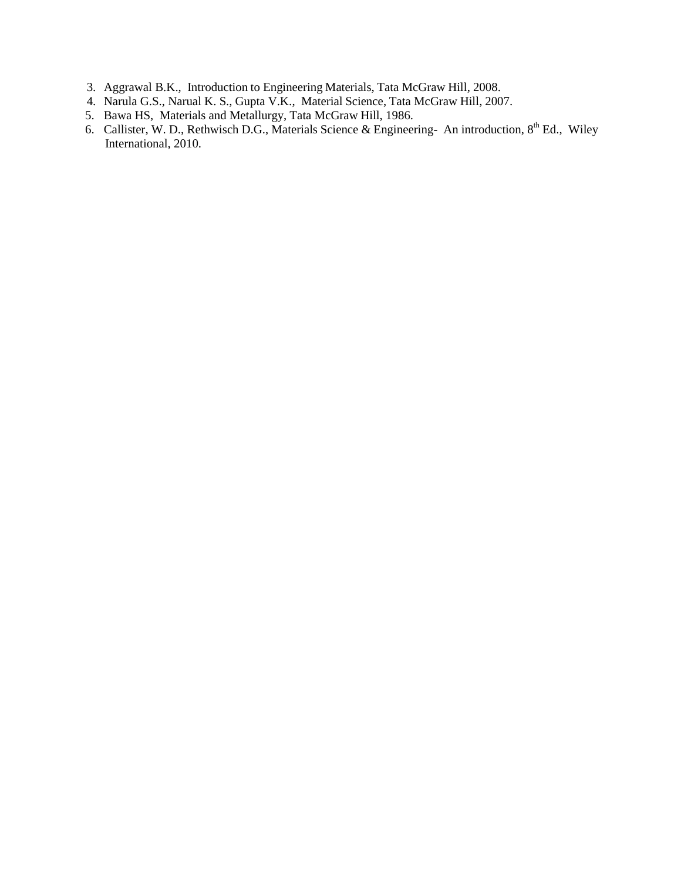- 3. Aggrawal B.K., Introduction to Engineering Materials, Tata McGraw Hill, 2008.
- 4. Narula G.S., Narual K. S., Gupta V.K., Material Science, Tata McGraw Hill, 2007.
- 5. Bawa HS, Materials and Metallurgy, Tata McGraw Hill, 1986.
- 6. Callister, W. D., Rethwisch D.G., Materials Science & Engineering- An introduction,  $8^{th}$  Ed., Wiley International, 2010.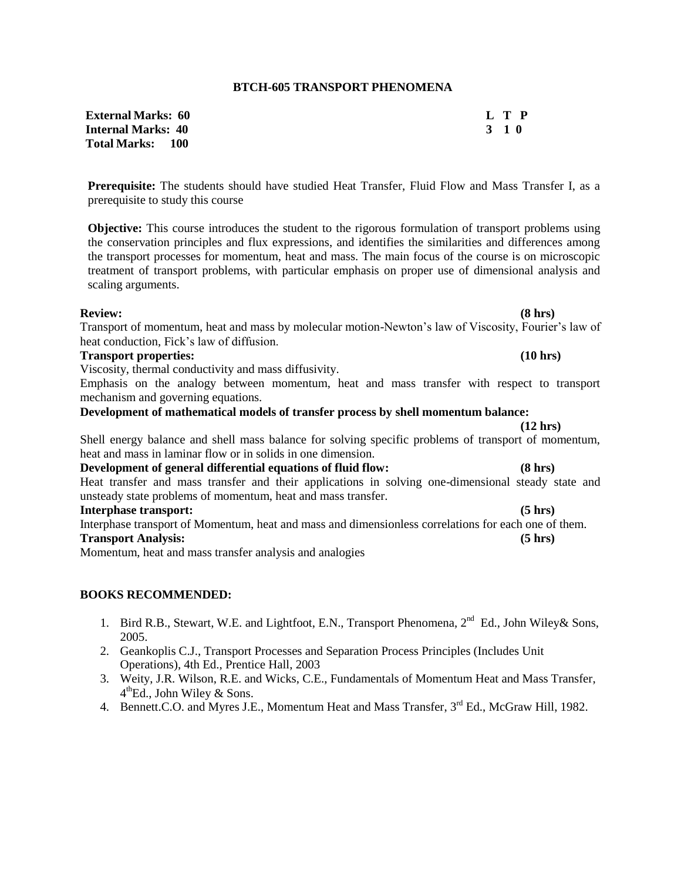#### **BTCH-605 TRANSPORT PHENOMENA**

| <b>External Marks:  60</b> |       | L T P |
|----------------------------|-------|-------|
| Internal Marks: 40         | 3 1 0 |       |
| Total Marks:      100      |       |       |

**Prerequisite:** The students should have studied Heat Transfer, Fluid Flow and Mass Transfer I, as a prerequisite to study this course

**Objective:** This course introduces the student to the rigorous formulation of transport problems using the conservation principles and flux expressions, and identifies the similarities and differences among the transport processes for momentum, heat and mass. The main focus of the course is on microscopic treatment of transport problems, with particular emphasis on proper use of dimensional analysis and scaling arguments.

#### **Review: (8 hrs)**

Transport of momentum, heat and mass by molecular motion-Newton's law of Viscosity, Fourier's law of heat conduction, Fick's law of diffusion.

#### **Transport properties: (10 hrs)**

Viscosity, thermal conductivity and mass diffusivity.

Emphasis on the analogy between momentum, heat and mass transfer with respect to transport mechanism and governing equations.

**Development of mathematical models of transfer process by shell momentum balance:**

Shell energy balance and shell mass balance for solving specific problems of transport of momentum, heat and mass in laminar flow or in solids in one dimension.

### **Development of general differential equations of fluid flow: (8 hrs)**

Heat transfer and mass transfer and their applications in solving one-dimensional steady state and unsteady state problems of momentum, heat and mass transfer.

## **Interphase transport: (5 hrs)**

Interphase transport of Momentum, heat and mass and dimensionless correlations for each one of them. **Transport Analysis: (5 hrs)**

Momentum, heat and mass transfer analysis and analogies

# **BOOKS RECOMMENDED:**

- 1. Bird R.B., Stewart, W.E. and Lightfoot, E.N., Transport Phenomena, 2<sup>nd</sup> Ed., John Wiley & Sons, 2005.
- 2. Geankoplis C.J., Transport Processes and Separation Process Principles (Includes Unit Operations), 4th Ed., Prentice Hall, 2003
- 3. Weity, J.R. Wilson, R.E. and Wicks, C.E., Fundamentals of Momentum Heat and Mass Transfer, 4<sup>th</sup>Ed., John Wiley & Sons.
- 4. Bennett.C.O. and Myres J.E., Momentum Heat and Mass Transfer,  $3<sup>rd</sup>$  Ed., McGraw Hill, 1982.

**(12 hrs)**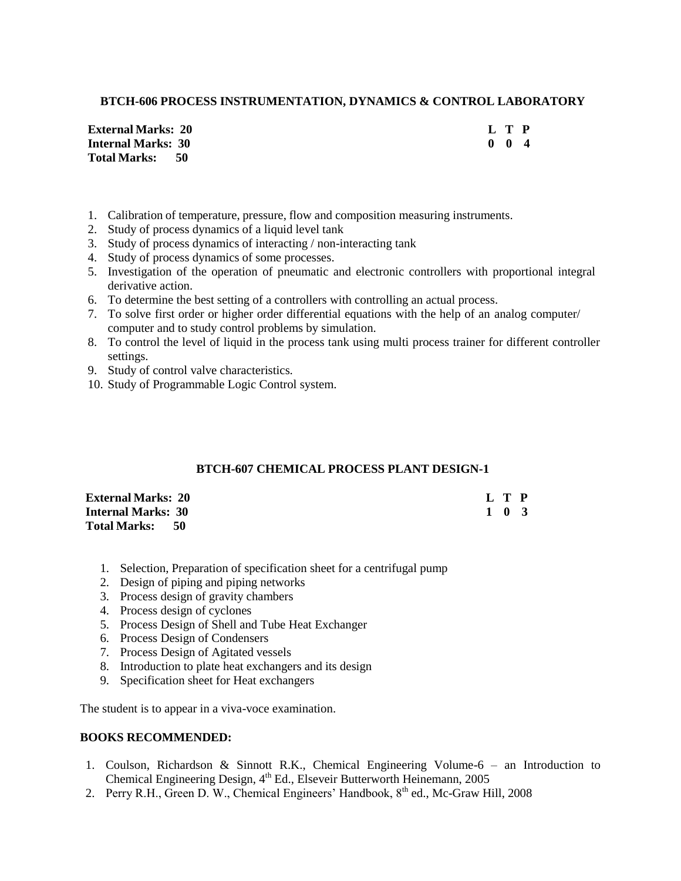## **BTCH-606 PROCESS INSTRUMENTATION, DYNAMICS & CONTROL LABORATORY**

**External Marks: 20 L T P Internal Marks: 30 Total Marks: 50**

- 1. Calibration of temperature, pressure, flow and composition measuring instruments.
- 2. Study of process dynamics of a liquid level tank
- 3. Study of process dynamics of interacting / non-interacting tank
- 4. Study of process dynamics of some processes.
- 5. Investigation of the operation of pneumatic and electronic controllers with proportional integral derivative action.
- 6. To determine the best setting of a controllers with controlling an actual process.
- 7. To solve first order or higher order differential equations with the help of an analog computer/ computer and to study control problems by simulation.
- 8. To control the level of liquid in the process tank using multi process trainer for different controller settings.
- 9. Study of control valve characteristics.
- 10. Study of Programmable Logic Control system.

## **BTCH-607 CHEMICAL PROCESS PLANT DESIGN-1**

| <b>External Marks: 20</b> |  | L T P |  |
|---------------------------|--|-------|--|
| <b>Internal Marks: 30</b> |  | 1 0 3 |  |
| Total Marks: 50           |  |       |  |

- 1. Selection, Preparation of specification sheet for a centrifugal pump
- 2. Design of piping and piping networks
- 3. Process design of gravity chambers
- 4. Process design of cyclones
- 5. Process Design of Shell and Tube Heat Exchanger
- 6. Process Design of Condensers
- 7. Process Design of Agitated vessels
- 8. Introduction to plate heat exchangers and its design
- 9. Specification sheet for Heat exchangers

The student is to appear in a viva-voce examination.

- 1. Coulson, Richardson & Sinnott R.K., Chemical Engineering Volume-6 an Introduction to Chemical Engineering Design, 4<sup>th</sup> Ed., Elseveir Butterworth Heinemann, 2005
- 2. Perry R.H., Green D. W., Chemical Engineers' Handbook,  $8<sup>th</sup>$  ed., Mc-Graw Hill, 2008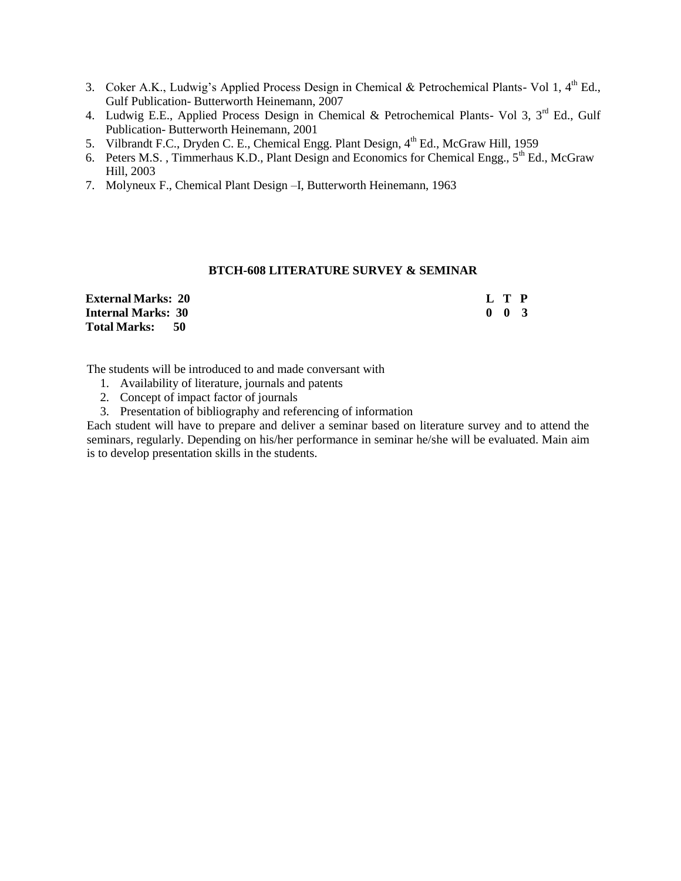- 3. Coker A.K., Ludwig's Applied Process Design in Chemical & Petrochemical Plants- Vol 1,  $4<sup>th</sup>$  Ed., Gulf Publication- Butterworth Heinemann, 2007
- 4. Ludwig E.E., Applied Process Design in Chemical & Petrochemical Plants- Vol 3, 3<sup>rd</sup> Ed., Gulf Publication- Butterworth Heinemann, 2001
- 5. Vilbrandt F.C., Dryden C. E., Chemical Engg. Plant Design, 4<sup>th</sup> Ed., McGraw Hill, 1959
- 6. Peters M.S., Timmerhaus K.D., Plant Design and Economics for Chemical Engg.,  $5<sup>th</sup>$  Ed., McGraw Hill, 2003
- 7. Molyneux F., Chemical Plant Design –I, Butterworth Heinemann, 1963

#### **BTCH-608 LITERATURE SURVEY & SEMINAR**

| <b>External Marks: 20</b> |  | L T P               |  |
|---------------------------|--|---------------------|--|
| <b>Internal Marks: 30</b> |  | $0 \quad 0 \quad 3$ |  |
| Total Marks: 50           |  |                     |  |

The students will be introduced to and made conversant with

- 1. Availability of literature, journals and patents
- 2. Concept of impact factor of journals
- 3. Presentation of bibliography and referencing of information

Each student will have to prepare and deliver a seminar based on literature survey and to attend the seminars, regularly. Depending on his/her performance in seminar he/she will be evaluated. Main aim is to develop presentation skills in the students.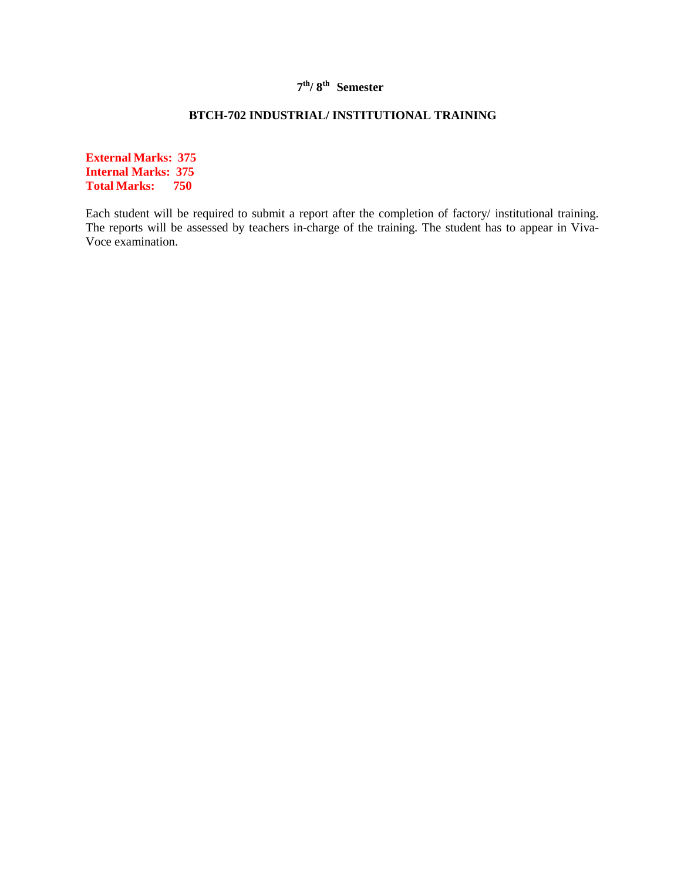# **7 th/ 8th Semester**

# **BTCH-702 INDUSTRIAL/ INSTITUTIONAL TRAINING**

**External Marks: 375 Internal Marks: 375 Total Marks: 750**

Each student will be required to submit a report after the completion of factory/ institutional training. The reports will be assessed by teachers in-charge of the training. The student has to appear in Viva-Voce examination.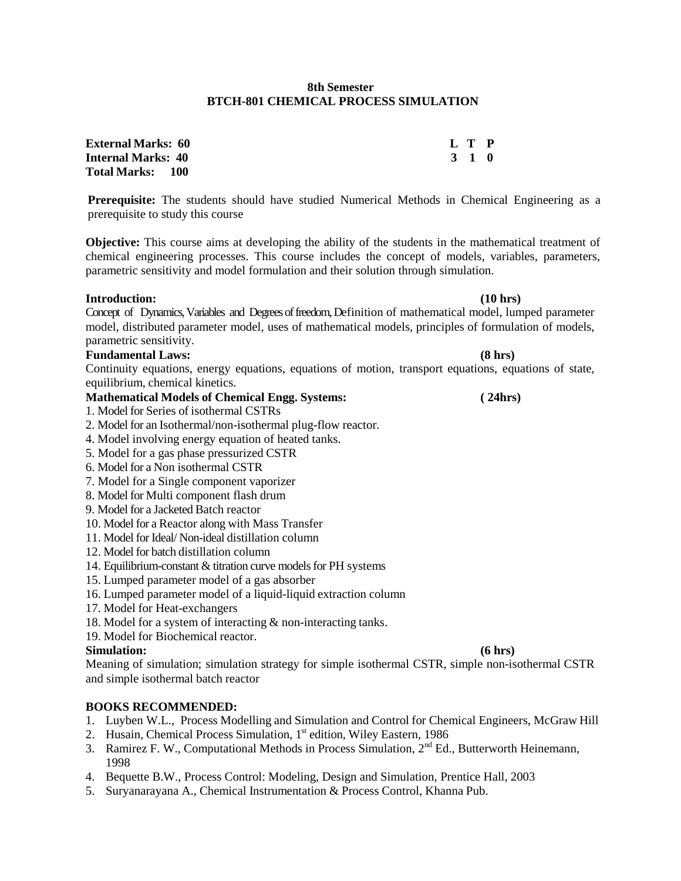### **8th Semester BTCH-801 CHEMICAL PROCESS SIMULATION**

| <b>External Marks: 60</b> | L T P |  |
|---------------------------|-------|--|
| Internal Marks: 40        | 3 1 0 |  |
| Total Marks: 100          |       |  |

**Prerequisite:** The students should have studied Numerical Methods in Chemical Engineering as a prerequisite to study this course

**Objective:** This course aims at developing the ability of the students in the mathematical treatment of chemical engineering processes. This course includes the concept of models, variables, parameters, parametric sensitivity and model formulation and their solution through simulation.

## **Introduction: (10 hrs)**

Concept of Dynamics, Variables and Degrees of freedom, Definition of mathematical model, lumped parameter model, distributed parameter model, uses of mathematical models, principles of formulation of models, parametric sensitivity.

## **Fundamental Laws: (8 hrs)**

Continuity equations, energy equations, equations of motion, transport equations, equations of state, equilibrium, chemical kinetics.

- **Mathematical Models of Chemical Engg. Systems: ( 24hrs)**
- 1. Model for Series of isothermal CSTRs
- 2. Model for an Isothermal/non-isothermal plug-flow reactor.
- 4. Model involving energy equation of heated tanks.
- 5. Model for a gas phase pressurized CSTR
- 6. Model for a Non isothermal CSTR
- 7. Model for a Single component vaporizer
- 8. Model for Multi component flash drum
- 9. Model for a Jacketed Batch reactor
- 10. Model for a Reactor along with Mass Transfer
- 11. Model for Ideal/ Non-ideal distillation column
- 12. Model for batch distillation column
- 14. Equilibrium-constant & titration curve models for PH systems
- 15. Lumped parameter model of a gas absorber
- 16. Lumped parameter model of a liquid-liquid extraction column
- 17. Model for Heat-exchangers
- 18. Model for a system of interacting & non-interacting tanks.
- 19. Model for Biochemical reactor.

# **Simulation: (6 hrs)**

Meaning of simulation; simulation strategy for simple isothermal CSTR, simple non-isothermal CSTR and simple isothermal batch reactor

- 1. Luyben W.L., Process Modelling and Simulation and Control for Chemical Engineers, McGraw Hill
- 2. Husain, Chemical Process Simulation, 1<sup>st</sup> edition, Wiley Eastern, 1986
- 3. Ramirez F. W., Computational Methods in Process Simulation, 2<sup>nd</sup> Ed., Butterworth Heinemann. 1998
- 4. Bequette B.W., Process Control: Modeling, Design and Simulation, Prentice Hall, 2003
- 5. Suryanarayana A., Chemical Instrumentation & Process Control, Khanna Pub.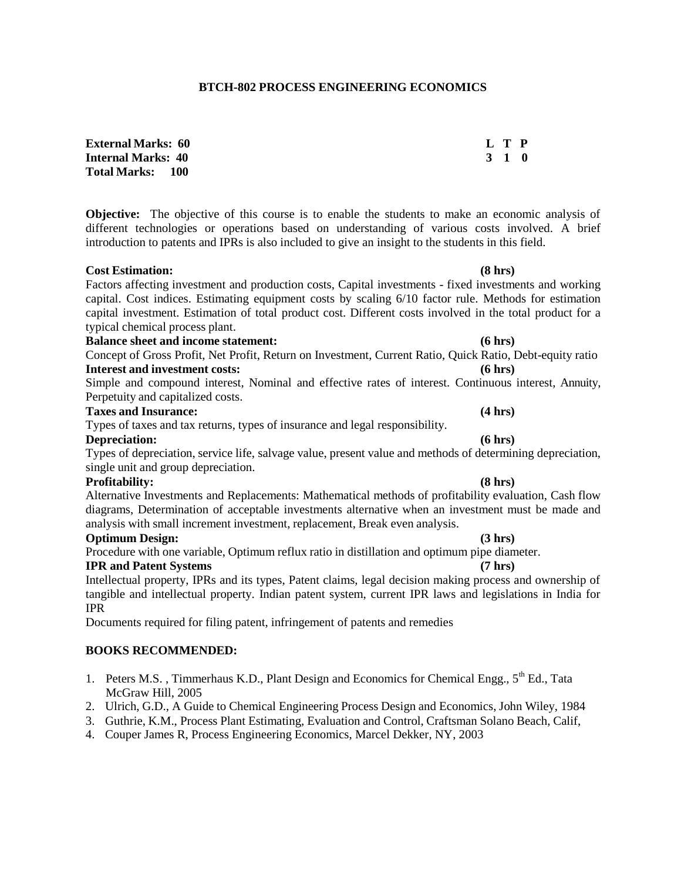### **BTCH-802 PROCESS ENGINEERING ECONOMICS**

**External Marks: 60 L T P Internal Marks: 40 3 1 0 Total Marks: 100**

**Objective:** The objective of this course is to enable the students to make an economic analysis of different technologies or operations based on understanding of various costs involved. A brief introduction to patents and IPRs is also included to give an insight to the students in this field.

## **Cost Estimation: (8 hrs)**

Factors affecting investment and production costs, Capital investments - fixed investments and working capital. Cost indices. Estimating equipment costs by scaling 6/10 factor rule. Methods for estimation capital investment. Estimation of total product cost. Different costs involved in the total product for a typical chemical process plant.

### **Balance sheet and income statement: (6 hrs)**

Concept of Gross Profit, Net Profit, Return on Investment, Current Ratio, Quick Ratio, Debt-equity ratio **Interest and investment costs: (6 hrs)**

Simple and compound interest, Nominal and effective rates of interest. Continuous interest, Annuity, Perpetuity and capitalized costs.

## **Taxes and Insurance: (4 hrs)**

Types of taxes and tax returns, types of insurance and legal responsibility.

### **Depreciation: (6 hrs)**

Types of depreciation, service life, salvage value, present value and methods of determining depreciation, single unit and group depreciation.

### **Profitability: (8 hrs)**

Alternative Investments and Replacements: Mathematical methods of profitability evaluation, Cash flow diagrams, Determination of acceptable investments alternative when an investment must be made and analysis with small increment investment, replacement, Break even analysis.

### **Optimum Design: (3 hrs)**

Procedure with one variable, Optimum reflux ratio in distillation and optimum pipe diameter.

### **IPR and Patent Systems (7 hrs)**

Intellectual property, IPRs and its types, Patent claims, legal decision making process and ownership of tangible and intellectual property. Indian patent system, current IPR laws and legislations in India for IPR

Documents required for filing patent, infringement of patents and remedies

- 1. Peters M.S., Timmerhaus K.D., Plant Design and Economics for Chemical Engg., 5<sup>th</sup> Ed., Tata McGraw Hill, 2005
- 2. Ulrich, G.D., A Guide to Chemical Engineering Process Design and Economics, John Wiley, 1984
- 3. Guthrie, K.M., Process Plant Estimating, Evaluation and Control, Craftsman Solano Beach, Calif,
- 4. Couper James R, Process Engineering Economics, Marcel Dekker, NY, 2003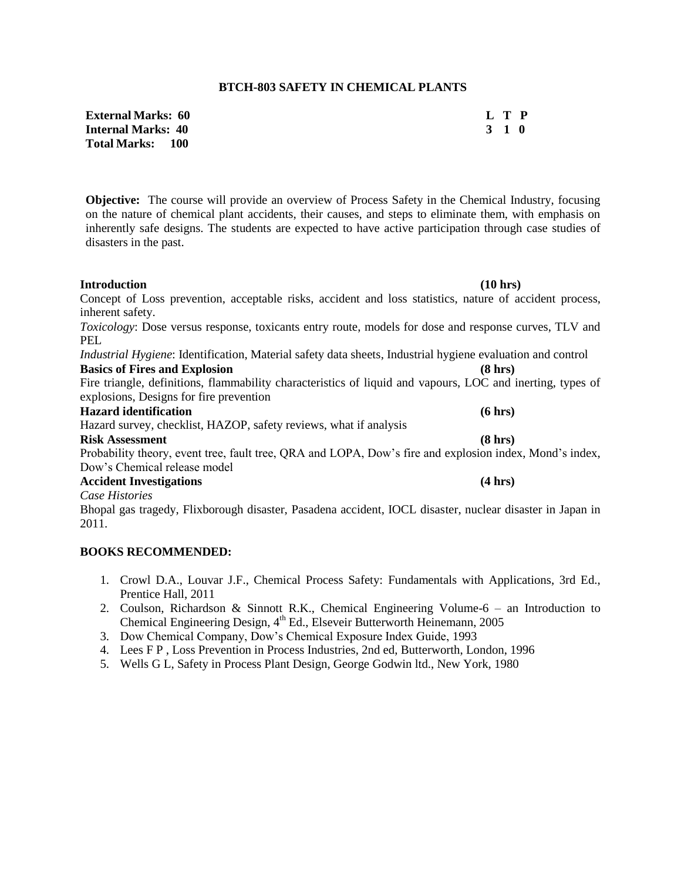## **BTCH-803 SAFETY IN CHEMICAL PLANTS**

| <b>External Marks:  60</b> |       | L T P |  |
|----------------------------|-------|-------|--|
| Internal Marks: 40         | 3 1 0 |       |  |
| Total Marks:      100      |       |       |  |

**Objective:** The course will provide an overview of Process Safety in the Chemical Industry, focusing on the nature of chemical plant accidents, their causes, and steps to eliminate them, with emphasis on inherently safe designs. The students are expected to have active participation through case studies of disasters in the past.

| <b>Introduction</b>                                                                                               | (10 hrs)          |
|-------------------------------------------------------------------------------------------------------------------|-------------------|
| Concept of Loss prevention, acceptable risks, accident and loss statistics, nature of accident process,           |                   |
| inherent safety.                                                                                                  |                   |
| Toxicology: Dose versus response, toxicants entry route, models for dose and response curves, TLV and             |                   |
| PEL                                                                                                               |                   |
| <i>Industrial Hygiene:</i> Identification, Material safety data sheets, Industrial hygiene evaluation and control |                   |
| <b>Basics of Fires and Explosion</b>                                                                              | $(8 \text{ hrs})$ |
| Fire triangle, definitions, flammability characteristics of liquid and vapours, LOC and inerting, types of        |                   |
| explosions, Designs for fire prevention                                                                           |                   |
| <b>Hazard identification</b>                                                                                      | (6 hrs)           |
| Hazard survey, checklist, HAZOP, safety reviews, what if analysis                                                 |                   |
| <b>Risk Assessment</b>                                                                                            | (8 hrs)           |
| Probability theory, event tree, fault tree, QRA and LOPA, Dow's fire and explosion index, Mond's index,           |                   |
| Dow's Chemical release model                                                                                      |                   |
| <b>Accident Investigations</b>                                                                                    | (4 hrs)           |
| Case Histories                                                                                                    |                   |
| Bhopal gas tragedy, Flixborough disaster, Pasadena accident, IOCL disaster, nuclear disaster in Japan in          |                   |
| 2011.                                                                                                             |                   |

- 1. Crowl D.A., Louvar J.F., Chemical Process Safety: Fundamentals with Applications, 3rd Ed., Prentice Hall, 2011
- 2. Coulson, Richardson & Sinnott R.K., Chemical Engineering Volume-6 an Introduction to Chemical Engineering Design, 4<sup>th</sup> Ed., Elseveir Butterworth Heinemann, 2005
- 3. Dow Chemical Company, Dow's Chemical Exposure Index Guide, 1993
- 4. Lees F P , Loss Prevention in Process Industries, 2nd ed, Butterworth, London, 1996
- 5. Wells G L, Safety in Process Plant Design, George Godwin ltd., New York, 1980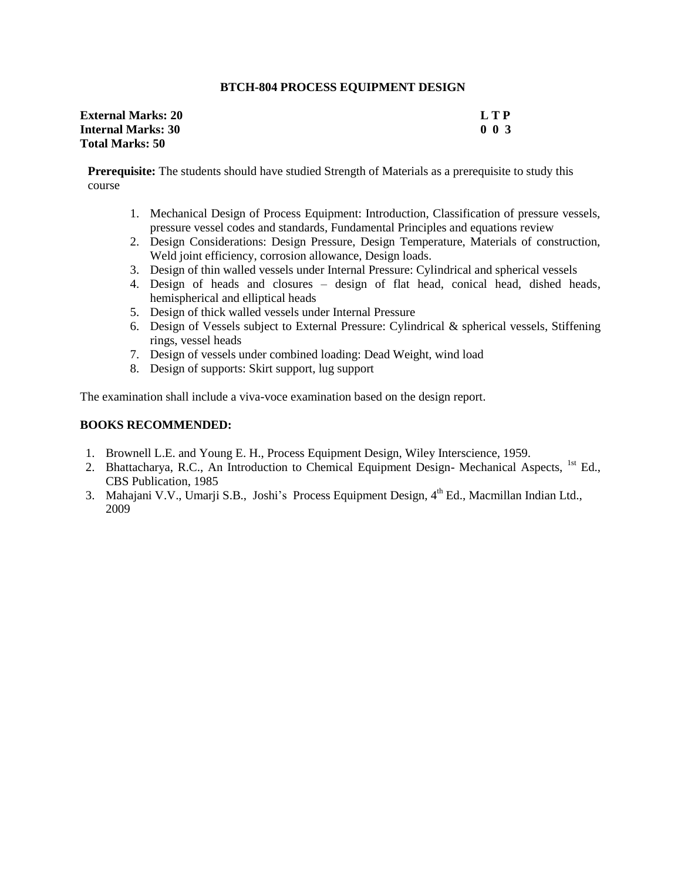## **BTCH-804 PROCESS EQUIPMENT DESIGN**

| <b>External Marks: 20</b> | L T P                      |
|---------------------------|----------------------------|
| <b>Internal Marks: 30</b> | 0 <sub>0<sub>3</sub></sub> |
| <b>Total Marks: 50</b>    |                            |

**Prerequisite:** The students should have studied Strength of Materials as a prerequisite to study this course

- 1. Mechanical Design of Process Equipment: Introduction, Classification of pressure vessels, pressure vessel codes and standards, Fundamental Principles and equations review
- 2. Design Considerations: Design Pressure, Design Temperature, Materials of construction, Weld joint efficiency, corrosion allowance, Design loads.
- 3. Design of thin walled vessels under Internal Pressure: Cylindrical and spherical vessels
- 4. Design of heads and closures design of flat head, conical head, dished heads, hemispherical and elliptical heads
- 5. Design of thick walled vessels under Internal Pressure
- 6. Design of Vessels subject to External Pressure: Cylindrical & spherical vessels, Stiffening rings, vessel heads
- 7. Design of vessels under combined loading: Dead Weight, wind load
- 8. Design of supports: Skirt support, lug support

The examination shall include a viva-voce examination based on the design report.

- 1. Brownell L.E. and Young E. H., Process Equipment Design, Wiley Interscience, 1959.
- 2. Bhattacharya, R.C., An Introduction to Chemical Equipment Design- Mechanical Aspects, <sup>1st</sup> Ed., CBS Publication, 1985
- 3. Mahajani V.V., Umarji S.B., Joshi's Process Equipment Design, 4<sup>th</sup> Ed., Macmillan Indian Ltd., 2009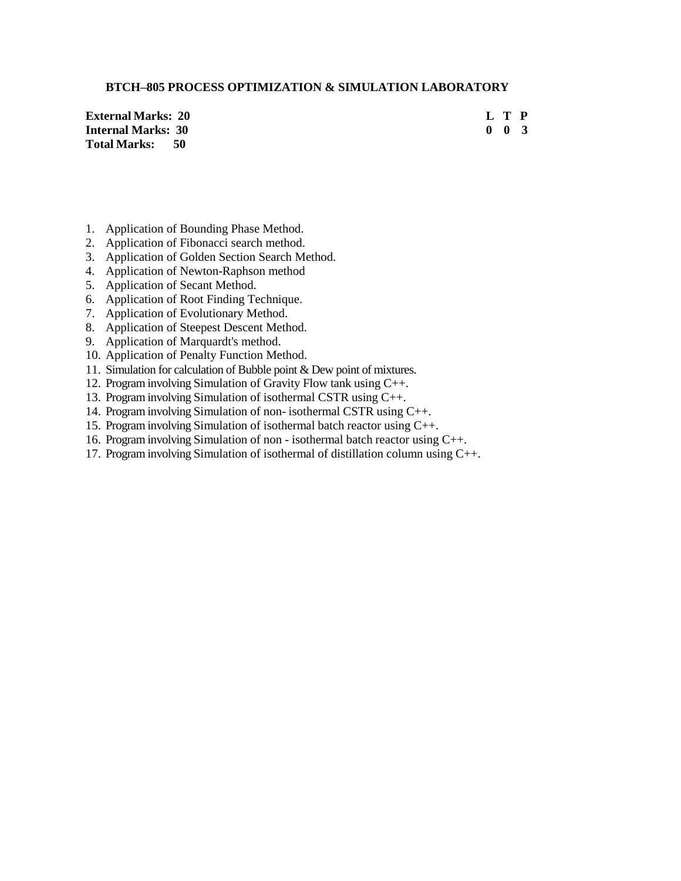## **BTCH–805 PROCESS OPTIMIZATION & SIMULATION LABORATORY**

| <b>External Marks: 20</b> |  | L T P               |  |
|---------------------------|--|---------------------|--|
| Internal Marks: 30        |  | $0 \quad 0 \quad 3$ |  |
| Total Marks: 50           |  |                     |  |

- 1. Application of Bounding Phase Method.
- 2. Application of Fibonacci search method.
- 3. Application of Golden Section Search Method.
- 4. Application of Newton-Raphson method
- 5. Application of Secant Method.
- 6. Application of Root Finding Technique.
- 7. Application of Evolutionary Method.
- 8. Application of Steepest Descent Method.
- 9. Application of Marquardt's method.
- 10. Application of Penalty Function Method.
- 11. Simulation for calculation of Bubble point & Dew point of mixtures.
- 12. Program involving Simulation of Gravity Flow tank using C++.
- 13. Program involving Simulation of isothermal CSTR using C++.
- 14. Program involving Simulation of non- isothermal CSTR using C++.
- 15. Program involving Simulation of isothermal batch reactor using C++.
- 16. Program involving Simulation of non isothermal batch reactor using C++.
- 17. Program involving Simulation of isothermal of distillation column using C++.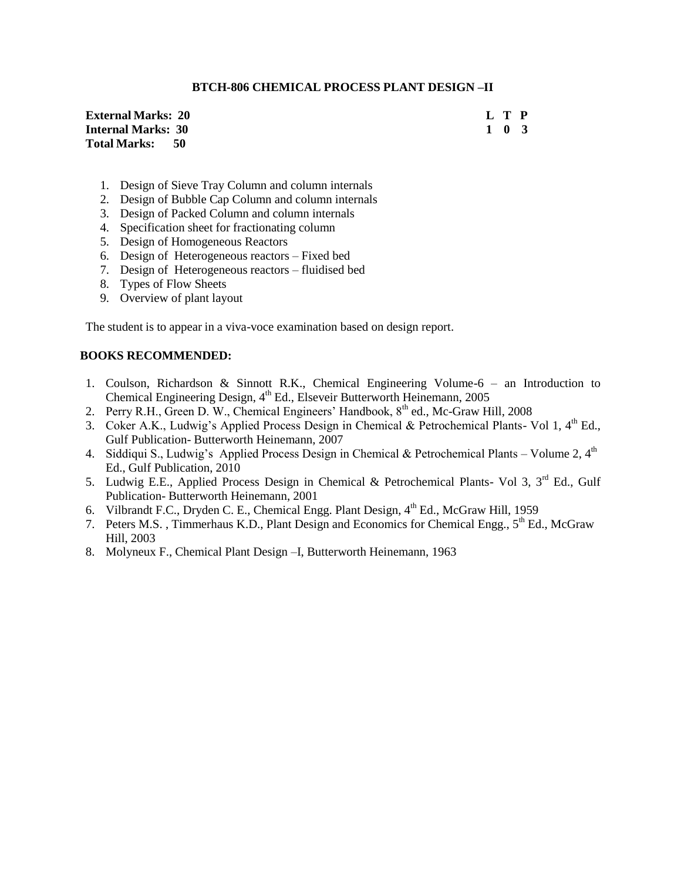## **BTCH-806 CHEMICAL PROCESS PLANT DESIGN –II**

| <b>External Marks: 20</b> |  | L T P |  |
|---------------------------|--|-------|--|
| <b>Internal Marks: 30</b> |  | 1 0 3 |  |
| Total Marks: 50           |  |       |  |

- 1. Design of Sieve Tray Column and column internals
- 2. Design of Bubble Cap Column and column internals
- 3. Design of Packed Column and column internals
- 4. Specification sheet for fractionating column
- 5. Design of Homogeneous Reactors
- 6. Design of Heterogeneous reactors Fixed bed
- 7. Design of Heterogeneous reactors fluidised bed
- 8. Types of Flow Sheets
- 9. Overview of plant layout

The student is to appear in a viva-voce examination based on design report.

- 1. Coulson, Richardson & Sinnott R.K., Chemical Engineering Volume-6 an Introduction to Chemical Engineering Design, 4<sup>th</sup> Ed., Elseveir Butterworth Heinemann, 2005
- 2. Perry R.H., Green D. W., Chemical Engineers' Handbook, 8<sup>th</sup> ed., Mc-Graw Hill, 2008
- 3. Coker A.K., Ludwig's Applied Process Design in Chemical & Petrochemical Plants- Vol 1, 4<sup>th</sup> Ed., Gulf Publication- Butterworth Heinemann, 2007
- 4. Siddiqui S., Ludwig's Applied Process Design in Chemical & Petrochemical Plants Volume 2, 4<sup>th</sup> Ed., Gulf Publication, 2010
- 5. Ludwig E.E., Applied Process Design in Chemical & Petrochemical Plants- Vol 3, 3<sup>rd</sup> Ed., Gulf Publication- Butterworth Heinemann, 2001
- 6. Vilbrandt F.C., Dryden C. E., Chemical Engg. Plant Design, 4<sup>th</sup> Ed., McGraw Hill, 1959
- 7. Peters M.S., Timmerhaus K.D., Plant Design and Economics for Chemical Engg., 5<sup>th</sup> Ed., McGraw Hill, 2003
- 8. Molyneux F., Chemical Plant Design –I, Butterworth Heinemann, 1963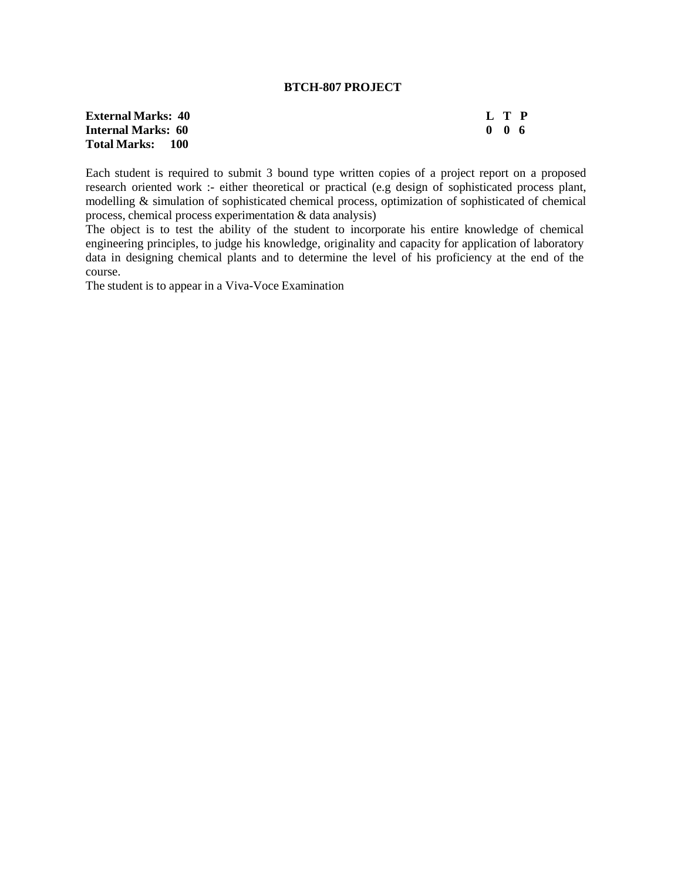## **BTCH-807 PROJECT**

# **External Marks:** 40 **L T P**<br> **Internal Marks:** 60 **D** 0 6 **Internal Marks: 60 Total Marks: 100**

Each student is required to submit 3 bound type written copies of a project report on a proposed research oriented work :- either theoretical or practical (e.g design of sophisticated process plant, modelling & simulation of sophisticated chemical process, optimization of sophisticated of chemical process, chemical process experimentation & data analysis)

The object is to test the ability of the student to incorporate his entire knowledge of chemical engineering principles, to judge his knowledge, originality and capacity for application of laboratory data in designing chemical plants and to determine the level of his proficiency at the end of the course.

The student is to appear in a Viva-Voce Examination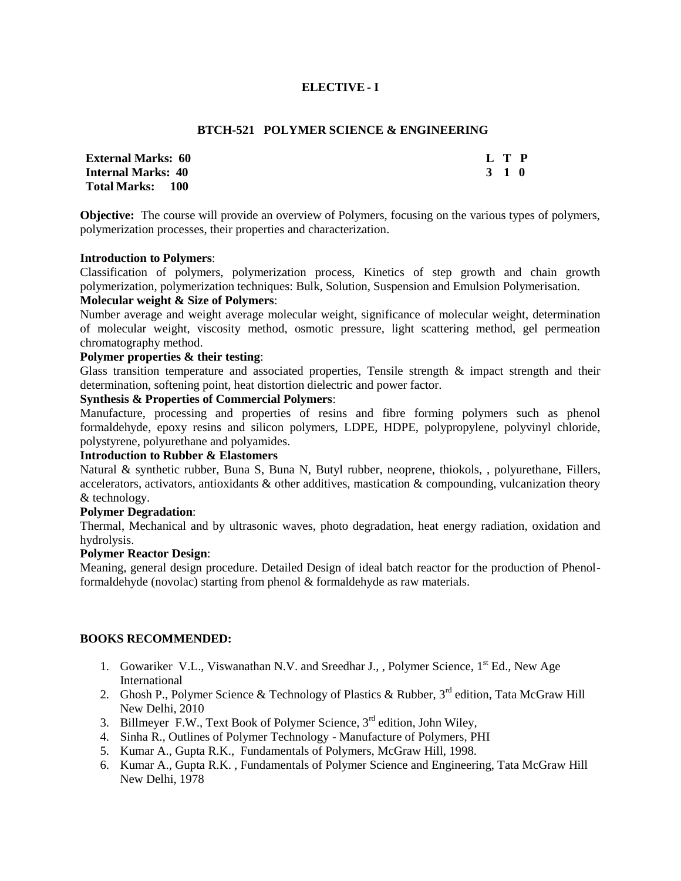# **ELECTIVE - I**

## **BTCH-521 POLYMER SCIENCE & ENGINEERING**

| <b>External Marks: 60</b> | L T P |  |
|---------------------------|-------|--|
| <b>Internal Marks: 40</b> | 3 1 0 |  |
| Total Marks: 100          |       |  |

**Objective:** The course will provide an overview of Polymers, focusing on the various types of polymers, polymerization processes, their properties and characterization.

## **Introduction to Polymers**:

Classification of polymers, polymerization process, Kinetics of step growth and chain growth polymerization, polymerization techniques: Bulk, Solution, Suspension and Emulsion Polymerisation.

## **Molecular weight & Size of Polymers**:

Number average and weight average molecular weight, significance of molecular weight, determination of molecular weight, viscosity method, osmotic pressure, light scattering method, gel permeation chromatography method.

## **Polymer properties & their testing**:

Glass transition temperature and associated properties, Tensile strength & impact strength and their determination, softening point, heat distortion dielectric and power factor.

# **Synthesis & Properties of Commercial Polymers**:

Manufacture, processing and properties of resins and fibre forming polymers such as phenol formaldehyde, epoxy resins and silicon polymers, LDPE, HDPE, polypropylene, polyvinyl chloride, polystyrene, polyurethane and polyamides.

## **Introduction to Rubber & Elastomers**

Natural & synthetic rubber, Buna S, Buna N, Butyl rubber, neoprene, thiokols, , polyurethane, Fillers, accelerators, activators, antioxidants & other additives, mastication & compounding, vulcanization theory & technology.

# **Polymer Degradation**:

Thermal, Mechanical and by ultrasonic waves, photo degradation, heat energy radiation, oxidation and hydrolysis.

# **Polymer Reactor Design**:

Meaning, general design procedure. Detailed Design of ideal batch reactor for the production of Phenolformaldehyde (novolac) starting from phenol & formaldehyde as raw materials.

- 1. Gowariker V.L., Viswanathan N.V. and Sreedhar J., , Polymer Science, 1<sup>st</sup> Ed., New Age International
- 2. Ghosh P., Polymer Science & Technology of Plastics & Rubber,  $3^{rd}$  edition, Tata McGraw Hill New Delhi, 2010
- 3. Billmeyer F.W., Text Book of Polymer Science, 3<sup>rd</sup> edition, John Wiley,
- 4. Sinha R., Outlines of Polymer Technology Manufacture of Polymers, PHI
- 5. Kumar A., Gupta R.K., Fundamentals of Polymers, McGraw Hill, 1998.
- 6. Kumar A., Gupta R.K. , Fundamentals of Polymer Science and Engineering, Tata McGraw Hill New Delhi, 1978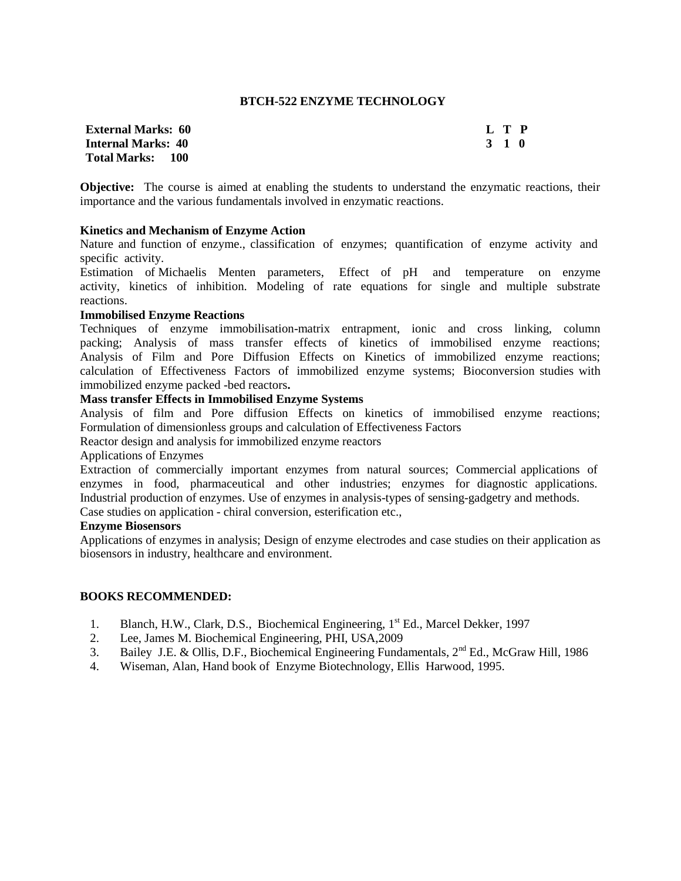## **BTCH-522 ENZYME TECHNOLOGY**

| <b>External Marks: 60</b> | L T P |  |
|---------------------------|-------|--|
| <b>Internal Marks: 40</b> | 3 1 0 |  |
| Total Marks: 100          |       |  |

**Objective:** The course is aimed at enabling the students to understand the enzymatic reactions, their importance and the various fundamentals involved in enzymatic reactions.

### **Kinetics and Mechanism of Enzyme Action**

Nature and function of enzyme., classification of enzymes; quantification of enzyme activity and specific activity.

Estimation of Michaelis Menten parameters, Effect of pH and temperature on enzyme activity, kinetics of inhibition. Modeling of rate equations for single and multiple substrate reactions.

#### **Immobilised Enzyme Reactions**

Techniques of enzyme immobilisation-matrix entrapment, ionic and cross linking, column packing; Analysis of mass transfer effects of kinetics of immobilised enzyme reactions; Analysis of Film and Pore Diffusion Effects on Kinetics of immobilized enzyme reactions; calculation of Effectiveness Factors of immobilized enzyme systems; Bioconversion studies with immobilized enzyme packed -bed reactors**.** 

# **Mass transfer Effects in Immobilised Enzyme Systems**

Analysis of film and Pore diffusion Effects on kinetics of immobilised enzyme reactions; Formulation of dimensionless groups and calculation of Effectiveness Factors

Reactor design and analysis for immobilized enzyme reactors

### Applications of Enzymes

Extraction of commercially important enzymes from natural sources; Commercial applications of enzymes in food, pharmaceutical and other industries; enzymes for diagnostic applications. Industrial production of enzymes. Use of enzymes in analysis-types of sensing-gadgetry and methods.

Case studies on application - chiral conversion, esterification etc.,

# **Enzyme Biosensors**

Applications of enzymes in analysis; Design of enzyme electrodes and case studies on their application as biosensors in industry, healthcare and environment.

- 1. Blanch, H.W., Clark, D.S., Biochemical Engineering, 1<sup>st</sup> Ed., Marcel Dekker, 1997
- 2. Lee, James M. Biochemical Engineering, PHI, USA,2009
- 3. Bailey J.E. & Ollis, D.F., Biochemical Engineering Fundamentals,  $2^{nd}$  Ed., McGraw Hill, 1986
- 4. Wiseman, Alan, Hand book of Enzyme Biotechnology, Ellis Harwood, 1995.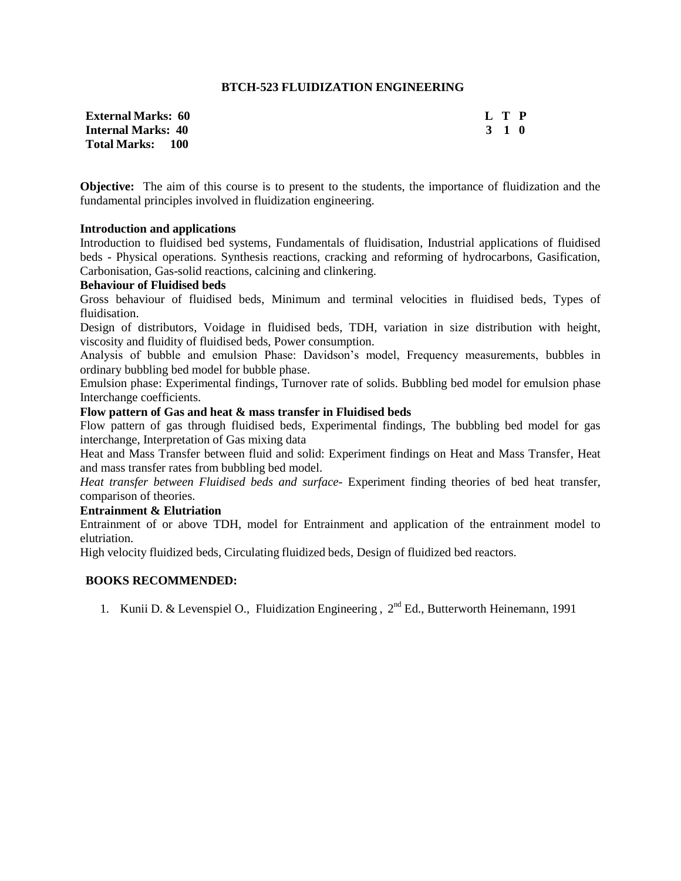## **BTCH-523 FLUIDIZATION ENGINEERING**

| <b>External Marks: 60</b> | L T P |  |
|---------------------------|-------|--|
| Internal Marks: 40        | 3 1 0 |  |
| <b>Total Marks: 100</b>   |       |  |

**Objective:** The aim of this course is to present to the students, the importance of fluidization and the fundamental principles involved in fluidization engineering.

## **Introduction and applications**

Introduction to fluidised bed systems, Fundamentals of fluidisation, Industrial applications of fluidised beds - Physical operations. Synthesis reactions, cracking and reforming of hydrocarbons, Gasification, Carbonisation, Gas-solid reactions, calcining and clinkering.

### **Behaviour of Fluidised beds**

Gross behaviour of fluidised beds, Minimum and terminal velocities in fluidised beds, Types of fluidisation.

Design of distributors, Voidage in fluidised beds, TDH, variation in size distribution with height, viscosity and fluidity of fluidised beds, Power consumption.

Analysis of bubble and emulsion Phase: Davidson's model, Frequency measurements, bubbles in ordinary bubbling bed model for bubble phase.

Emulsion phase: Experimental findings, Turnover rate of solids. Bubbling bed model for emulsion phase Interchange coefficients.

## **Flow pattern of Gas and heat & mass transfer in Fluidised beds**

Flow pattern of gas through fluidised beds, Experimental findings, The bubbling bed model for gas interchange, Interpretation of Gas mixing data

Heat and Mass Transfer between fluid and solid: Experiment findings on Heat and Mass Transfer, Heat and mass transfer rates from bubbling bed model.

*Heat transfer between Fluidised beds and surface-* Experiment finding theories of bed heat transfer, comparison of theories.

### **Entrainment & Elutriation**

Entrainment of or above TDH, model for Entrainment and application of the entrainment model to elutriation.

High velocity fluidized beds, Circulating fluidized beds, Design of fluidized bed reactors.

# **BOOKS RECOMMENDED:**

1. Kunii D. & Levenspiel O., Fluidization Engineering, 2<sup>nd</sup> Ed., Butterworth Heinemann, 1991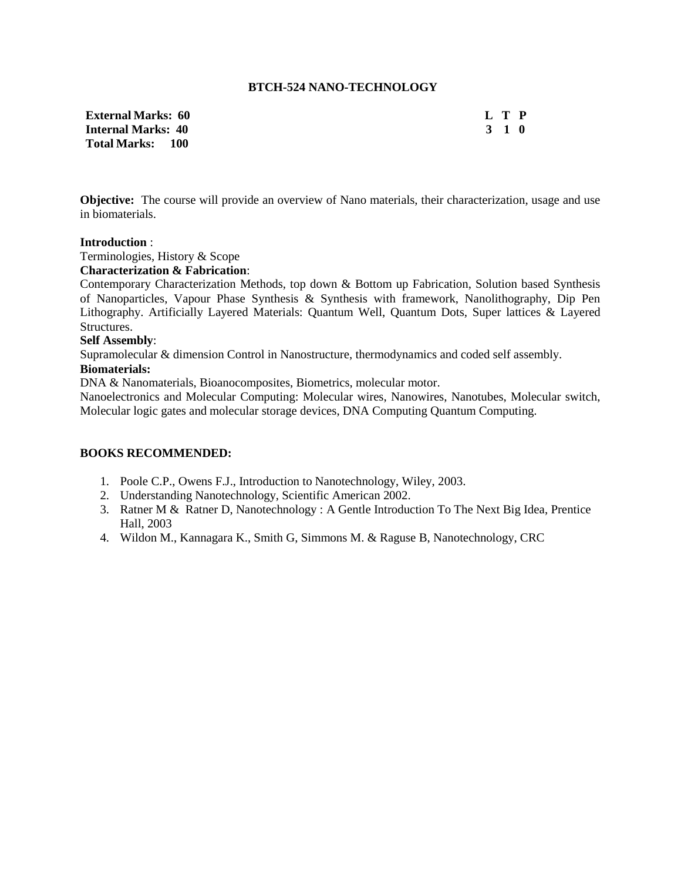### **BTCH-524 NANO-TECHNOLOGY**

| <b>External Marks:  60</b> | L T P |  |
|----------------------------|-------|--|
| <b>Internal Marks: 40</b>  | 3 1 0 |  |
| Total Marks: 100           |       |  |

**Objective:** The course will provide an overview of Nano materials, their characterization, usage and use in biomaterials.

### **Introduction** :

Terminologies, History & Scope

## **Characterization & Fabrication**:

Contemporary Characterization Methods, top down & Bottom up Fabrication, Solution based Synthesis of Nanoparticles, Vapour Phase Synthesis & Synthesis with framework, Nanolithography, Dip Pen Lithography. Artificially Layered Materials: Quantum Well, Quantum Dots, Super lattices & Layered Structures.

#### **Self Assembly**:

Supramolecular & dimension Control in Nanostructure, thermodynamics and coded self assembly.

## **Biomaterials:**

DNA & Nanomaterials, Bioanocomposites, Biometrics, molecular motor.

Nanoelectronics and Molecular Computing: Molecular wires, Nanowires, Nanotubes, Molecular switch, Molecular logic gates and molecular storage devices, DNA Computing Quantum Computing.

- 1. Poole C.P., Owens F.J., Introduction to Nanotechnology, Wiley, 2003.
- 2. Understanding Nanotechnology, Scientific American 2002.
- 3. Ratner M & Ratner D, Nanotechnology : A Gentle Introduction To The Next Big Idea, Prentice Hall, 2003
- 4. Wildon M., Kannagara K., Smith G, Simmons M. & Raguse B, Nanotechnology, CRC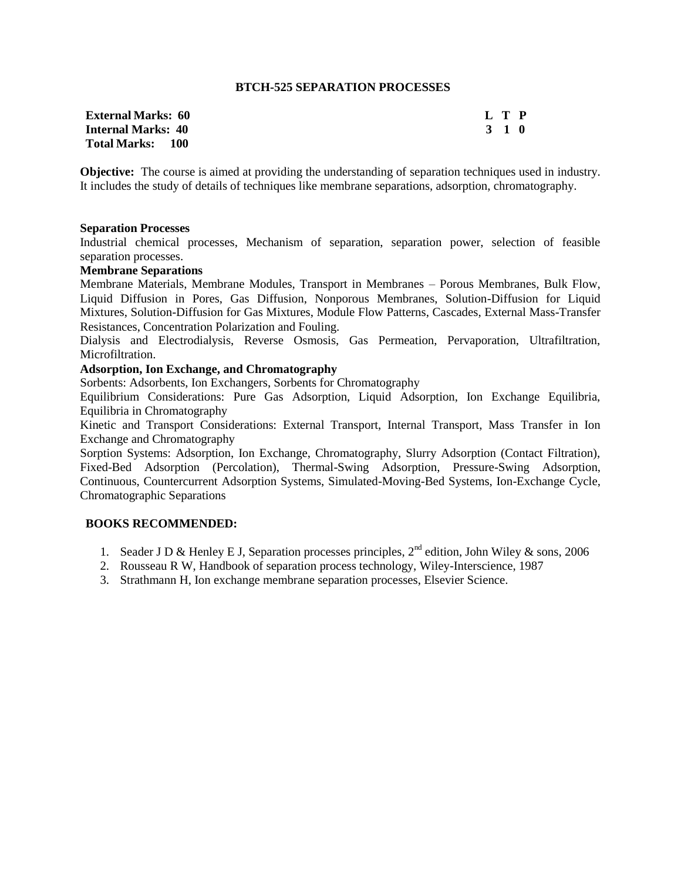### **BTCH-525 SEPARATION PROCESSES**

| <b>External Marks: 60</b> | L T P |  |
|---------------------------|-------|--|
| <b>Internal Marks: 40</b> | 3 1 0 |  |
| <b>Total Marks: 100</b>   |       |  |

**Objective:** The course is aimed at providing the understanding of separation techniques used in industry. It includes the study of details of techniques like membrane separations, adsorption, chromatography.

#### **Separation Processes**

Industrial chemical processes, Mechanism of separation, separation power, selection of feasible separation processes.

### **Membrane Separations**

Membrane Materials, Membrane Modules, Transport in Membranes – Porous Membranes, Bulk Flow, Liquid Diffusion in Pores, Gas Diffusion, Nonporous Membranes, Solution-Diffusion for Liquid Mixtures, Solution-Diffusion for Gas Mixtures, Module Flow Patterns, Cascades, External Mass-Transfer Resistances, Concentration Polarization and Fouling.

Dialysis and Electrodialysis, Reverse Osmosis, Gas Permeation, Pervaporation, Ultrafiltration, Microfiltration.

### **Adsorption, Ion Exchange, and Chromatography**

Sorbents: Adsorbents, Ion Exchangers, Sorbents for Chromatography

Equilibrium Considerations: Pure Gas Adsorption, Liquid Adsorption, Ion Exchange Equilibria, Equilibria in Chromatography

Kinetic and Transport Considerations: External Transport, Internal Transport, Mass Transfer in Ion Exchange and Chromatography

Sorption Systems: Adsorption, Ion Exchange, Chromatography, Slurry Adsorption (Contact Filtration), Fixed-Bed Adsorption (Percolation), Thermal-Swing Adsorption, Pressure-Swing Adsorption, Continuous, Countercurrent Adsorption Systems, Simulated-Moving-Bed Systems, Ion-Exchange Cycle, Chromatographic Separations

- 1. Seader J D & Henley E J, Separation processes principles,  $2^{nd}$  edition, John Wiley & sons, 2006
- 2. Rousseau R W, Handbook of separation process technology, Wiley-Interscience, 1987
- 3. Strathmann H, Ion exchange membrane separation processes, Elsevier Science.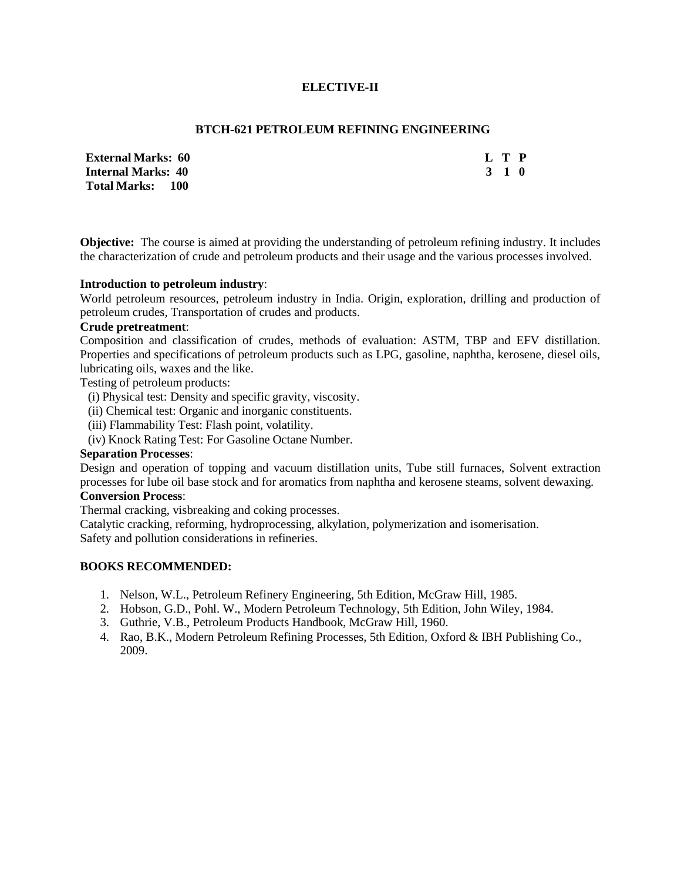# **ELECTIVE-II**

## **BTCH-621 PETROLEUM REFINING ENGINEERING**

| <b>External Marks: 60</b> | L T P |       |  |
|---------------------------|-------|-------|--|
| <b>Internal Marks: 40</b> |       | 3 1 0 |  |
| Total Marks: 100          |       |       |  |

**Objective:** The course is aimed at providing the understanding of petroleum refining industry. It includes the characterization of crude and petroleum products and their usage and the various processes involved.

### **Introduction to petroleum industry**:

World petroleum resources, petroleum industry in India. Origin, exploration, drilling and production of petroleum crudes, Transportation of crudes and products.

### **Crude pretreatment**:

Composition and classification of crudes, methods of evaluation: ASTM, TBP and EFV distillation. Properties and specifications of petroleum products such as LPG, gasoline, naphtha, kerosene, diesel oils, lubricating oils, waxes and the like.

Testing of petroleum products:

- (i) Physical test: Density and specific gravity, viscosity.
- (ii) Chemical test: Organic and inorganic constituents.
- (iii) Flammability Test: Flash point, volatility.
- (iv) Knock Rating Test: For Gasoline Octane Number.

# **Separation Processes**:

Design and operation of topping and vacuum distillation units, Tube still furnaces, Solvent extraction processes for lube oil base stock and for aromatics from naphtha and kerosene steams, solvent dewaxing. **Conversion Process**:

Thermal cracking, visbreaking and coking processes.

Catalytic cracking, reforming, hydroprocessing, alkylation, polymerization and isomerisation. Safety and pollution considerations in refineries.

- 1. Nelson, W.L., Petroleum Refinery Engineering, 5th Edition, McGraw Hill, 1985.
- 2. Hobson, G.D., Pohl. W., Modern Petroleum Technology, 5th Edition, John Wiley, 1984.
- 3. Guthrie, V.B., Petroleum Products Handbook, McGraw Hill, 1960.
- 4. Rao, B.K., Modern Petroleum Refining Processes, 5th Edition, Oxford & IBH Publishing Co., 2009.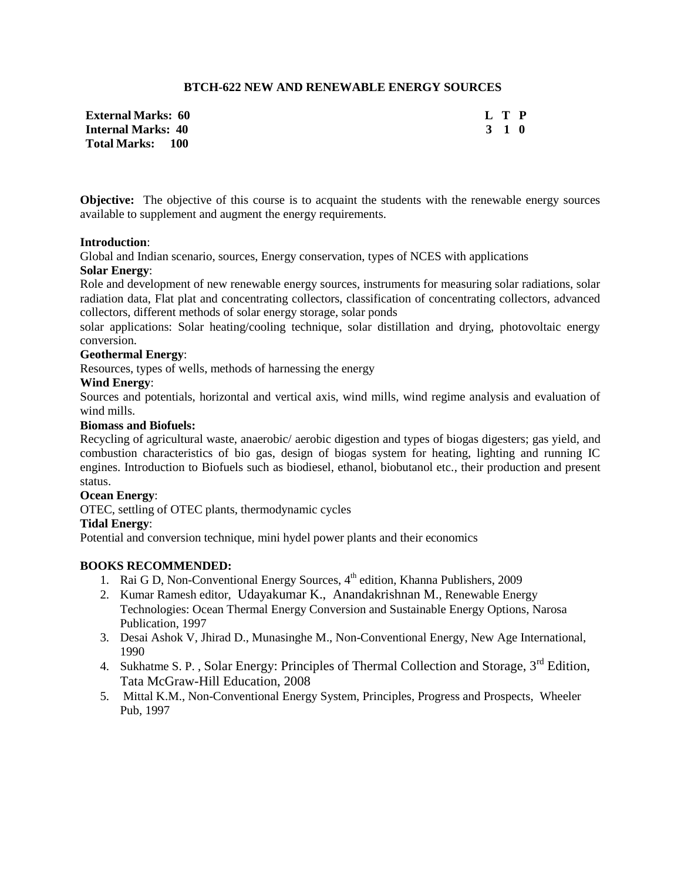# **BTCH-622 NEW AND RENEWABLE ENERGY SOURCES**

| <b>External Marks: 60</b> | L T P |  |
|---------------------------|-------|--|
| <b>Internal Marks: 40</b> | 3 1 0 |  |
| <b>Total Marks: 100</b>   |       |  |

**Objective:** The objective of this course is to acquaint the students with the renewable energy sources available to supplement and augment the energy requirements.

### **Introduction**:

Global and Indian scenario, sources, Energy conservation, types of NCES with applications **Solar Energy**:

Role and development of new renewable energy sources, instruments for measuring solar radiations, solar radiation data, Flat plat and concentrating collectors, classification of concentrating collectors, advanced collectors, different methods of solar energy storage, solar ponds

solar applications: Solar heating/cooling technique, solar distillation and drying, photovoltaic energy conversion.

### **Geothermal Energy**:

Resources, types of wells, methods of harnessing the energy

## **Wind Energy**:

Sources and potentials, horizontal and vertical axis, wind mills, wind regime analysis and evaluation of wind mills.

### **Biomass and Biofuels:**

Recycling of agricultural waste, anaerobic/ aerobic digestion and types of biogas digesters; gas yield, and combustion characteristics of bio gas, design of biogas system for heating, lighting and running IC engines. Introduction to Biofuels such as biodiesel, ethanol, biobutanol etc., their production and present status.

### **Ocean Energy**:

OTEC, settling of OTEC plants, thermodynamic cycles

### **Tidal Energy**:

Potential and conversion technique, mini hydel power plants and their economics

- 1. Rai G D, Non-Conventional Energy Sources, 4<sup>th</sup> edition, Khanna Publishers, 2009
- 2. Kumar Ramesh editor, [Udayakumar](http://www.google.co.in/search?tbo=p&tbm=bks&q=inauthor:%22K.+Udayakumar%22&source=gbs_metadata_r&cad=6) K., [Anandakrishnan](http://www.google.co.in/search?tbo=p&tbm=bks&q=inauthor:%22M.+Anandakrishnan%22&source=gbs_metadata_r&cad=6) M., Renewable Energy Technologies: Ocean Thermal Energy Conversion and Sustainable Energy Options, Narosa Publication, 1997
- 3. Desai Ashok V, Jhirad D., Munasinghe M., Non-Conventional Energy, New Age International, 1990
- 4. Sukhatme S. P., Solar Energy: Principles of Thermal Collection and Storage, 3<sup>rd</sup> Edition, Tata McGraw-Hill Education, 2008
- 5. Mittal K.M., Non-Conventional Energy System, Principles, Progress and Prospects, Wheeler Pub, 1997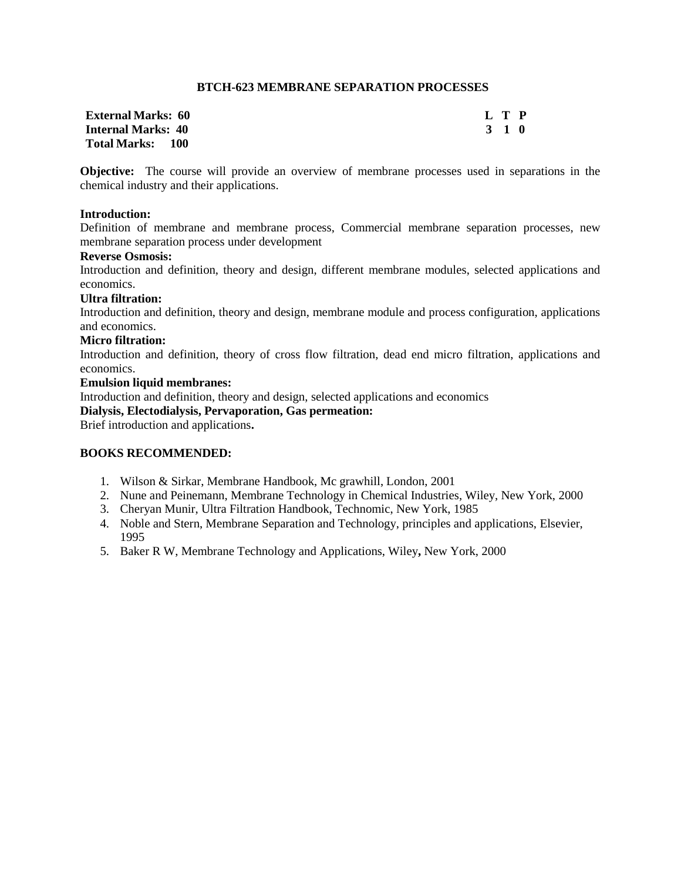## **BTCH-623 MEMBRANE SEPARATION PROCESSES**

| <b>External Marks: 60</b> | L T P |
|---------------------------|-------|
| <b>Internal Marks: 40</b> | 3 1 0 |
| <b>Total Marks: 100</b>   |       |

**Objective:** The course will provide an overview of membrane processes used in separations in the chemical industry and their applications.

## **Introduction:**

Definition of membrane and membrane process, Commercial membrane separation processes, new membrane separation process under development

# **Reverse Osmosis:**

Introduction and definition, theory and design, different membrane modules, selected applications and economics.

### **Ultra filtration:**

Introduction and definition, theory and design, membrane module and process configuration, applications and economics.

### **Micro filtration:**

Introduction and definition, theory of cross flow filtration, dead end micro filtration, applications and economics.

#### **Emulsion liquid membranes:**

Introduction and definition, theory and design, selected applications and economics

# **Dialysis, Electodialysis, Pervaporation, Gas permeation:**

Brief introduction and applications**.**

- 1. Wilson & Sirkar, Membrane Handbook, Mc grawhill, London, 2001
- 2. Nune and Peinemann, Membrane Technology in Chemical Industries, Wiley, New York, 2000
- 3. Cheryan Munir, Ultra Filtration Handbook, Technomic, New York, 1985
- 4. Noble and Stern, Membrane Separation and Technology, principles and applications, Elsevier, 1995
- 5. Baker R W, Membrane Technology and Applications, Wiley**,** New York, 2000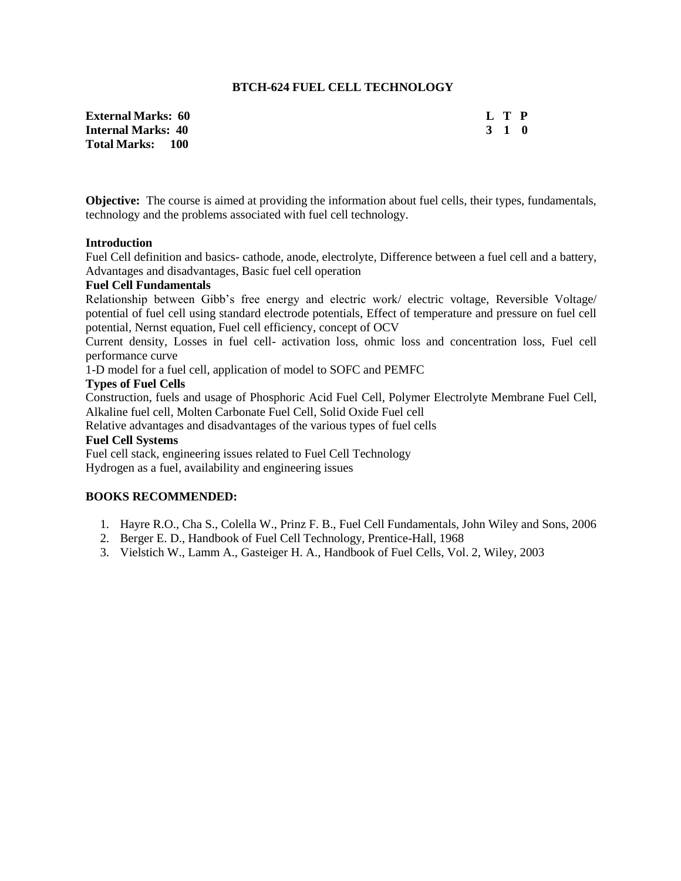## **BTCH-624 FUEL CELL TECHNOLOGY**

**External Marks: 60 L T P Internal Marks: 40 3 1 0 Total Marks: 100**

**Objective:** The course is aimed at providing the information about fuel cells, their types, fundamentals, technology and the problems associated with fuel cell technology.

#### **Introduction**

Fuel Cell definition and basics- cathode, anode, electrolyte, Difference between a fuel cell and a battery, Advantages and disadvantages, Basic fuel cell operation

#### **Fuel Cell Fundamentals**

Relationship between Gibb's free energy and electric work/ electric voltage, Reversible Voltage/ potential of fuel cell using standard electrode potentials, Effect of temperature and pressure on fuel cell potential, Nernst equation, Fuel cell efficiency, concept of OCV

Current density, Losses in fuel cell- activation loss, ohmic loss and concentration loss, Fuel cell performance curve

1-D model for a fuel cell, application of model to SOFC and PEMFC

### **Types of Fuel Cells**

Construction, fuels and usage of Phosphoric Acid Fuel Cell, Polymer Electrolyte Membrane Fuel Cell, Alkaline fuel cell, Molten Carbonate Fuel Cell, Solid Oxide Fuel cell

Relative advantages and disadvantages of the various types of fuel cells

# **Fuel Cell Systems**

Fuel cell stack, engineering issues related to Fuel Cell Technology Hydrogen as a fuel, availability and engineering issues

- 1. Hayre R.O., Cha S., Colella W., Prinz F. B., Fuel Cell Fundamentals, John Wiley and Sons, 2006
- 2. Berger E. D., Handbook of Fuel Cell Technology, Prentice-Hall, 1968
- 3. Vielstich W., Lamm A., Gasteiger H. A., Handbook of Fuel Cells, Vol. 2, Wiley, 2003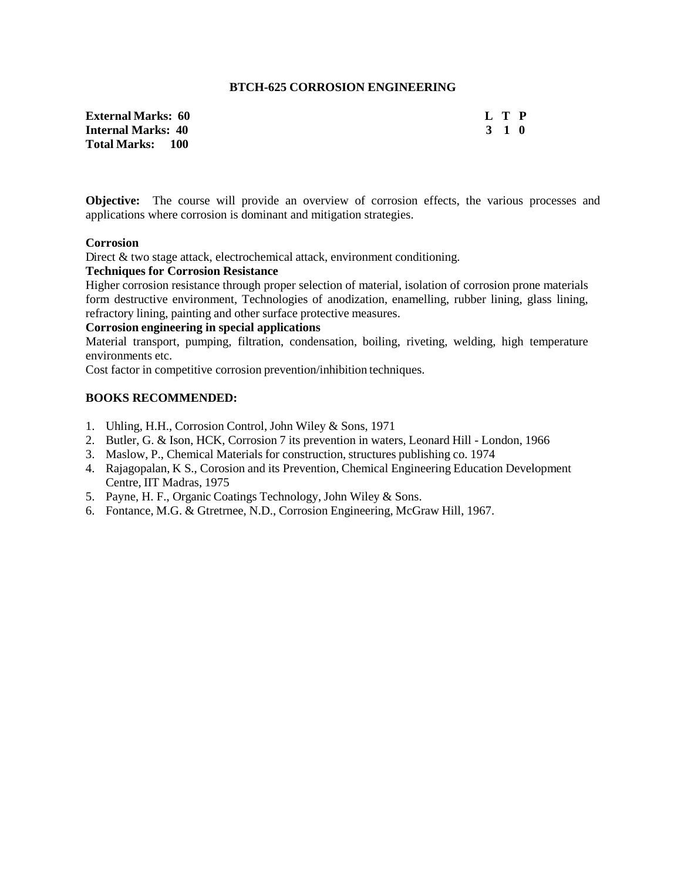### **BTCH-625 CORROSION ENGINEERING**

| External Marks:  60     | L T P |  |
|-------------------------|-------|--|
| Internal Marks: 40      | 3 1 0 |  |
| <b>Total Marks: 100</b> |       |  |

**Objective:** The course will provide an overview of corrosion effects, the various processes and applications where corrosion is dominant and mitigation strategies.

### **Corrosion**

Direct & two stage attack, electrochemical attack, environment conditioning.

# **Techniques for Corrosion Resistance**

Higher corrosion resistance through proper selection of material, isolation of corrosion prone materials form destructive environment, Technologies of anodization, enamelling, rubber lining, glass lining, refractory lining, painting and other surface protective measures.

## **Corrosion engineering in special applications**

Material transport, pumping, filtration, condensation, boiling, riveting, welding, high temperature environments etc.

Cost factor in competitive corrosion prevention/inhibition techniques.

- 1. Uhling, H.H., Corrosion Control, John Wiley & Sons, 1971
- 2. Butler, G. & Ison, HCK, Corrosion 7 its prevention in waters, Leonard Hill London, 1966
- 3. Maslow, P., Chemical Materials for construction, structures publishing co. 1974
- 4. Rajagopalan, K S., Corosion and its Prevention, Chemical Engineering Education Development Centre, IIT Madras, 1975
- 5. Payne, H. F., Organic Coatings Technology, John Wiley & Sons.
- 6. Fontance, M.G. & Gtretrnee, N.D., Corrosion Engineering, McGraw Hill, 1967.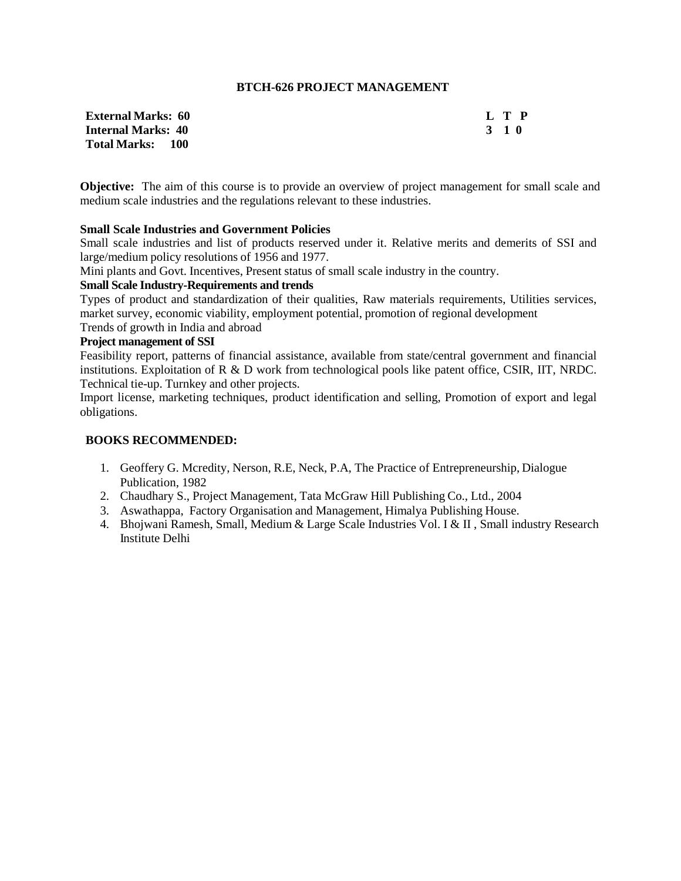## **BTCH-626 PROJECT MANAGEMENT**

| <b>External Marks: 60</b> | L T P |  |
|---------------------------|-------|--|
| <b>Internal Marks: 40</b> | 3 1 0 |  |
| Total Marks: 100          |       |  |

| I | P |
|---|---|
| × | o |

**Objective:** The aim of this course is to provide an overview of project management for small scale and medium scale industries and the regulations relevant to these industries.

### **Small Scale Industries and Government Policies**

Small scale industries and list of products reserved under it. Relative merits and demerits of SSI and large/medium policy resolutions of 1956 and 1977.

Mini plants and Govt. Incentives, Present status of small scale industry in the country.

### **Small Scale Industry-Requirements and trends**

Types of product and standardization of their qualities, Raw materials requirements, Utilities services, market survey, economic viability, employment potential, promotion of regional development

Trends of growth in India and abroad

## **Project management of SSI**

Feasibility report, patterns of financial assistance, available from state/central government and financial institutions. Exploitation of R & D work from technological pools like patent office, CSIR, IIT, NRDC. Technical tie-up. Turnkey and other projects.

Import license, marketing techniques, product identification and selling, Promotion of export and legal obligations.

- 1. Geoffery G. Mcredity, Nerson, R.E, Neck, P.A, The Practice of Entrepreneurship, Dialogue Publication, 1982
- 2. Chaudhary S., Project Management, Tata McGraw Hill Publishing Co., Ltd., 2004
- 3. Aswathappa, Factory Organisation and Management, Himalya Publishing House.
- 4. Bhojwani Ramesh, Small, Medium & Large Scale Industries Vol. I & II , Small industry Research Institute Delhi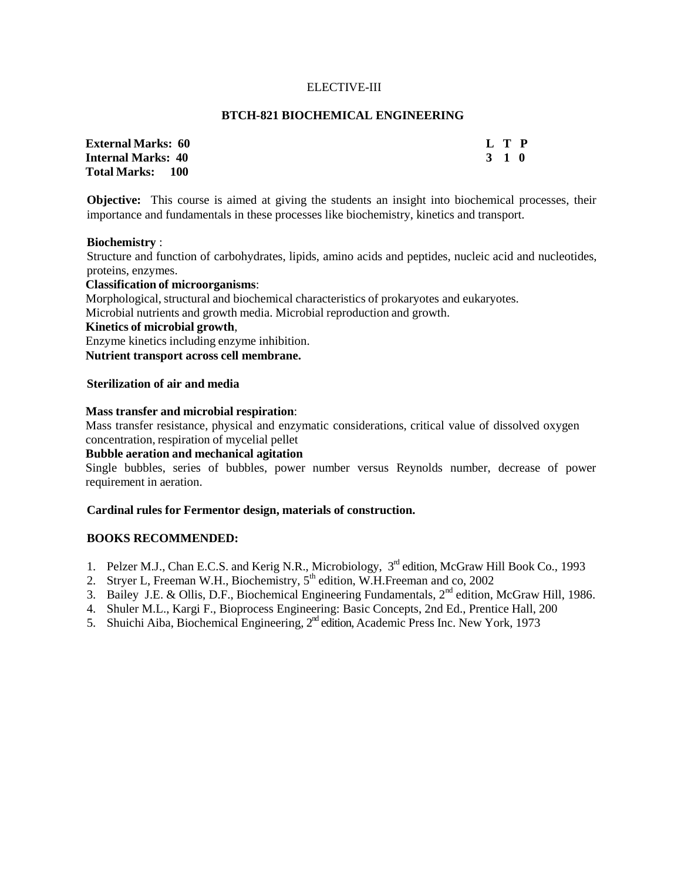### ELECTIVE-III

#### **BTCH-821 BIOCHEMICAL ENGINEERING**

| <b>External Marks: 60</b> | L T P |  |
|---------------------------|-------|--|
| <b>Internal Marks: 40</b> | 3 1 0 |  |
| Total Marks: 100          |       |  |

**Objective:** This course is aimed at giving the students an insight into biochemical processes, their importance and fundamentals in these processes like biochemistry, kinetics and transport.

#### **Biochemistry** :

Structure and function of carbohydrates, lipids, amino acids and peptides, nucleic acid and nucleotides, proteins, enzymes.

### **Classification of microorganisms**:

Morphological, structural and biochemical characteristics of prokaryotes and eukaryotes.

Microbial nutrients and growth media. Microbial reproduction and growth.

## **Kinetics of microbial growth**,

Enzyme kinetics including enzyme inhibition.

**Nutrient transport across cell membrane.**

### **Sterilization of air and media**

### **Mass transfer and microbial respiration**:

Mass transfer resistance, physical and enzymatic considerations, critical value of dissolved oxygen concentration, respiration of mycelial pellet

## **Bubble aeration and mechanical agitation**

Single bubbles, series of bubbles, power number versus Reynolds number, decrease of power requirement in aeration.

### **Cardinal rules for Fermentor design, materials of construction.**

- 1. Pelzer M.J., Chan E.C.S. and Kerig N.R., Microbiology, 3<sup>rd</sup> edition, McGraw Hill Book Co., 1993
- 2. Stryer L, Freeman W.H., Biochemistry,  $5<sup>th</sup>$  edition, W.H.Freeman and co, 2002
- 3. Bailey J.E. & Ollis, D.F., Biochemical Engineering Fundamentals, 2nd edition, McGraw Hill, 1986.
- 4. Shuler M.L., Kargi F., Bioprocess Engineering: Basic Concepts, 2nd Ed., Prentice Hall, 200
- 5. Shuichi Aiba, Biochemical Engineering,  $2<sup>nd</sup>$  edition, Academic Press Inc. New York, 1973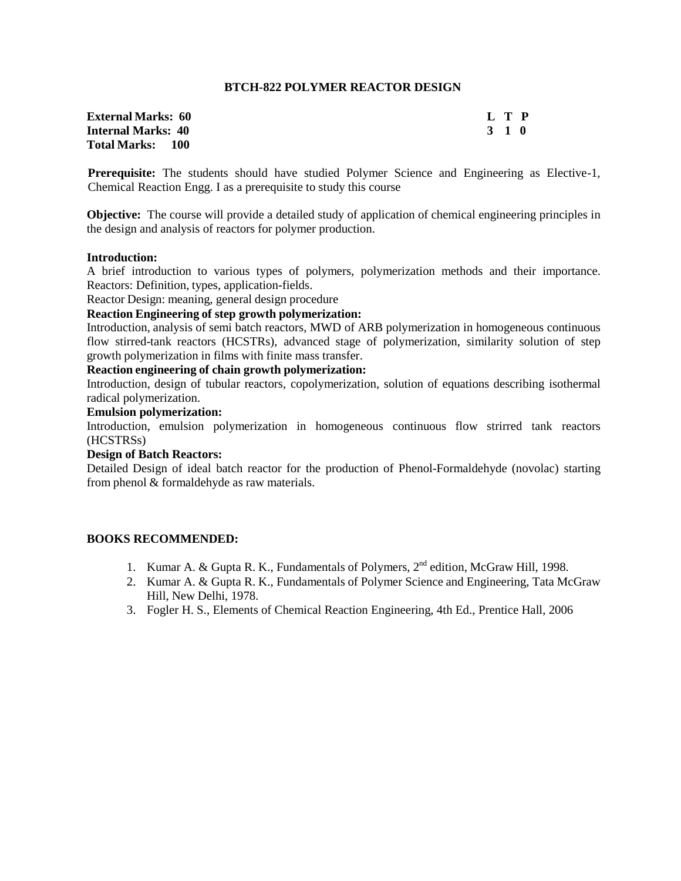## **BTCH-822 POLYMER REACTOR DESIGN**

| <b>External Marks:   60</b> |       | L T P |  |
|-----------------------------|-------|-------|--|
| Internal Marks: 40          | 3 1 0 |       |  |
| Total Marks: 100            |       |       |  |

**Prerequisite:** The students should have studied Polymer Science and Engineering as Elective-1, Chemical Reaction Engg. I as a prerequisite to study this course

**Objective:** The course will provide a detailed study of application of chemical engineering principles in the design and analysis of reactors for polymer production.

### **Introduction:**

A brief introduction to various types of polymers, polymerization methods and their importance. Reactors: Definition, types, application-fields.

Reactor Design: meaning, general design procedure

## **Reaction Engineering of step growth polymerization:**

Introduction, analysis of semi batch reactors, MWD of ARB polymerization in homogeneous continuous flow stirred-tank reactors (HCSTRs), advanced stage of polymerization, similarity solution of step growth polymerization in films with finite mass transfer.

### **Reaction engineering of chain growth polymerization:**

Introduction, design of tubular reactors, copolymerization, solution of equations describing isothermal radical polymerization.

## **Emulsion polymerization:**

Introduction, emulsion polymerization in homogeneous continuous flow strirred tank reactors (HCSTRSs)

### **Design of Batch Reactors:**

Detailed Design of ideal batch reactor for the production of Phenol-Formaldehyde (novolac) starting from phenol & formaldehyde as raw materials.

- 1. Kumar A. & Gupta R. K., Fundamentals of Polymers, 2<sup>nd</sup> edition, McGraw Hill, 1998.
- 2. Kumar A. & Gupta R. K., Fundamentals of Polymer Science and Engineering, Tata McGraw Hill, New Delhi, 1978.
- 3. Fogler H. S., Elements of Chemical Reaction Engineering, 4th Ed., Prentice Hall, 2006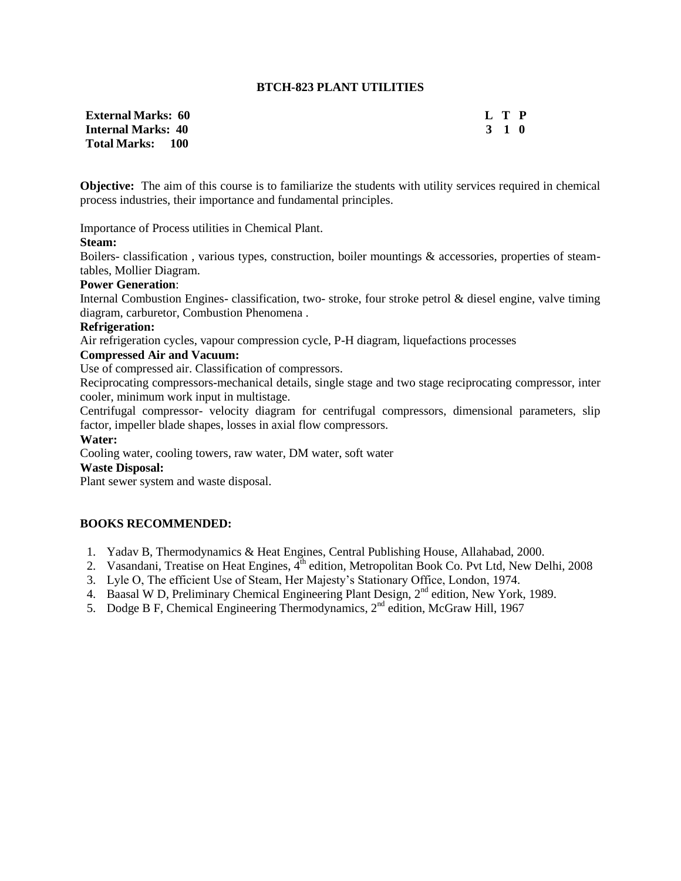## **BTCH-823 PLANT UTILITIES**

| <b>External Marks: 60</b> | L T P |
|---------------------------|-------|
| <b>Internal Marks: 40</b> | 3 1 0 |
| <b>Total Marks: 100</b>   |       |

**Objective:** The aim of this course is to familiarize the students with utility services required in chemical process industries, their importance and fundamental principles.

Importance of Process utilities in Chemical Plant.

### **Steam:**

Boilers- classification , various types, construction, boiler mountings & accessories, properties of steamtables, Mollier Diagram.

#### **Power Generation**:

Internal Combustion Engines- classification, two- stroke, four stroke petrol & diesel engine, valve timing diagram, carburetor, Combustion Phenomena .

#### **Refrigeration:**

Air refrigeration cycles, vapour compression cycle, P-H diagram, liquefactions processes

# **Compressed Air and Vacuum:**

Use of compressed air. Classification of compressors.

Reciprocating compressors-mechanical details, single stage and two stage reciprocating compressor, inter cooler, minimum work input in multistage.

Centrifugal compressor- velocity diagram for centrifugal compressors, dimensional parameters, slip factor, impeller blade shapes, losses in axial flow compressors.

## **Water:**

Cooling water, cooling towers, raw water, DM water, soft water

#### **Waste Disposal:**

Plant sewer system and waste disposal.

- 1. Yadav B, Thermodynamics & Heat Engines, Central Publishing House, Allahabad, 2000.
- 2. Vasandani, Treatise on Heat Engines, 4<sup>th</sup> edition, Metropolitan Book Co. Pvt Ltd, New Delhi, 2008
- 3. Lyle O, The efficient Use of Steam, Her Majesty's Stationary Office, London, 1974.
- 4. Baasal W D, Preliminary Chemical Engineering Plant Design, 2<sup>nd</sup> edition, New York, 1989.
- 5. Dodge B F, Chemical Engineering Thermodynamics, 2<sup>nd</sup> edition, McGraw Hill, 1967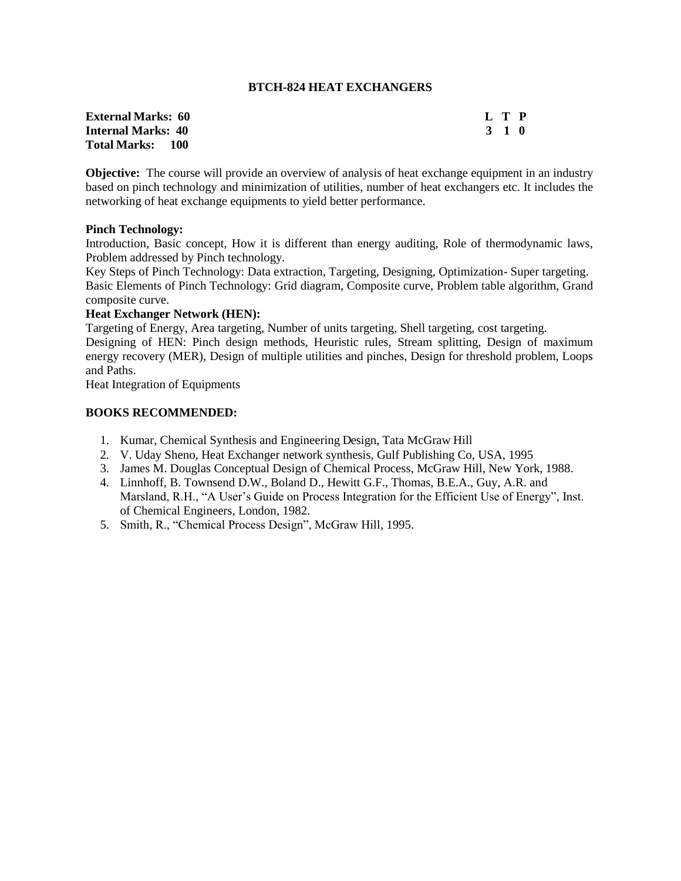### **BTCH-824 HEAT EXCHANGERS**

| <b>External Marks:  60</b> | L T P |  |
|----------------------------|-------|--|
| Internal Marks: 40         | 3 1 0 |  |
| Total Marks:      100      |       |  |

**Objective:** The course will provide an overview of analysis of heat exchange equipment in an industry based on pinch technology and minimization of utilities, number of heat exchangers etc. It includes the networking of heat exchange equipments to yield better performance.

### **Pinch Technology:**

Introduction, Basic concept, How it is different than energy auditing, Role of thermodynamic laws, Problem addressed by Pinch technology.

Key Steps of Pinch Technology: Data extraction, Targeting, Designing, Optimization- Super targeting. Basic Elements of Pinch Technology: Grid diagram, Composite curve, Problem table algorithm, Grand composite curve.

## **Heat Exchanger Network (HEN):**

Targeting of Energy, Area targeting, Number of units targeting, Shell targeting, cost targeting. Designing of HEN: Pinch design methods, Heuristic rules, Stream splitting, Design of maximum energy recovery (MER), Design of multiple utilities and pinches, Design for threshold problem, Loops and Paths.

Heat Integration of Equipments

- 1. Kumar, Chemical Synthesis and Engineering Design, Tata McGraw Hill
- 2. V. Uday Sheno, Heat Exchanger network synthesis, Gulf Publishing Co, USA, 1995
- 3. James M. Douglas Conceptual Design of Chemical Process, McGraw Hill, New York, 1988.
- 4. Linnhoff, B. Townsend D.W., Boland D., Hewitt G.F., Thomas, B.E.A., Guy, A.R. and Marsland, R.H., "A User's Guide on Process Integration for the Efficient Use of Energy", Inst. of Chemical Engineers, London, 1982.
- 5. Smith, R., "Chemical Process Design", McGraw Hill, 1995.